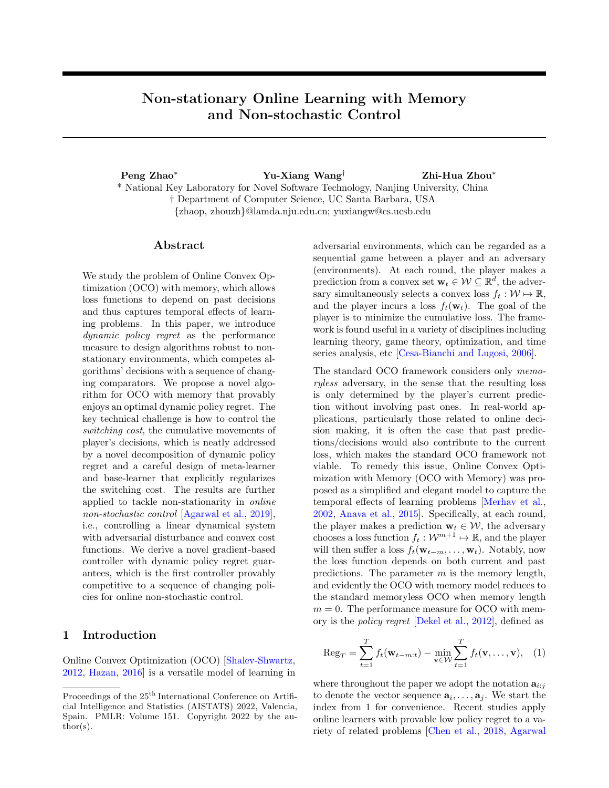# Non-stationary Online Learning with Memory and Non-stochastic Control

Peng Zhao<sup>∗</sup> Yu-Xiang Wang† Zhi-Hua Zhou<sup>∗</sup> \* National Key Laboratory for Novel Software Technology, Nanjing University, China † Department of Computer Science, UC Santa Barbara, USA {zhaop, zhouzh}@lamda.nju.edu.cn; yuxiangw@cs.ucsb.edu

# Abstract

We study the problem of Online Convex Optimization (OCO) with memory, which allows loss functions to depend on past decisions and thus captures temporal effects of learning problems. In this paper, we introduce dynamic policy regret as the performance measure to design algorithms robust to nonstationary environments, which competes algorithms' decisions with a sequence of changing comparators. We propose a novel algorithm for OCO with memory that provably enjoys an optimal dynamic policy regret. The key technical challenge is how to control the switching cost, the cumulative movements of player's decisions, which is neatly addressed by a novel decomposition of dynamic policy regret and a careful design of meta-learner and base-learner that explicitly regularizes the switching cost. The results are further applied to tackle non-stationarity in online non-stochastic control [\[Agarwal et al.,](#page-9-0) [2019\]](#page-9-0), i.e., controlling a linear dynamical system with adversarial disturbance and convex cost functions. We derive a novel gradient-based controller with dynamic policy regret guarantees, which is the first controller provably competitive to a sequence of changing policies for online non-stochastic control.

# 1 Introduction

Online Convex Optimization (OCO) [\[Shalev-Shwartz,](#page-10-0) [2012,](#page-10-0) [Hazan,](#page-10-1) [2016\]](#page-10-1) is a versatile model of learning in adversarial environments, which can be regarded as a sequential game between a player and an adversary (environments). At each round, the player makes a prediction from a convex set  $\mathbf{w}_t \in \mathcal{W} \subseteq \mathbb{R}^d$ , the adversary simultaneously selects a convex loss  $f_t : \mathcal{W} \mapsto \mathbb{R}$ , and the player incurs a loss  $f_t(\mathbf{w}_t)$ . The goal of the player is to minimize the cumulative loss. The framework is found useful in a variety of disciplines including learning theory, game theory, optimization, and time series analysis, etc [\[Cesa-Bianchi and Lugosi,](#page-9-1) [2006\]](#page-9-1).

The standard OCO framework considers only memoryless adversary, in the sense that the resulting loss is only determined by the player's current prediction without involving past ones. In real-world applications, particularly those related to online decision making, it is often the case that past predictions/decisions would also contribute to the current loss, which makes the standard OCO framework not viable. To remedy this issue, Online Convex Optimization with Memory (OCO with Memory) was proposed as a simplified and elegant model to capture the temporal effects of learning problems [\[Merhav et al.,](#page-10-2) [2002,](#page-10-2) [Anava et al.,](#page-9-2) [2015\]](#page-9-2). Specifically, at each round, the player makes a prediction  $\mathbf{w}_t \in \mathcal{W}$ , the adversary chooses a loss function  $f_t: \mathcal{W}^{m+1} \mapsto \mathbb{R}$ , and the player will then suffer a loss  $f_t(\mathbf{w}_{t-m}, \ldots, \mathbf{w}_t)$ . Notably, now the loss function depends on both current and past predictions. The parameter  $m$  is the memory length, and evidently the OCO with memory model reduces to the standard memoryless OCO when memory length  $m = 0$ . The performance measure for OCO with memory is the policy regret [\[Dekel et al.,](#page-9-3) [2012\]](#page-9-3), defined as

<span id="page-0-0"></span>
$$
\operatorname{Reg}_{T} = \sum_{t=1}^{T} f_t(\mathbf{w}_{t-m:t}) - \min_{\mathbf{v} \in \mathcal{W}} \sum_{t=1}^{T} f_t(\mathbf{v}, \dots, \mathbf{v}), \quad (1)
$$

where throughout the paper we adopt the notation  $a_{i:j}$ to denote the vector sequence  $\mathbf{a}_i, \ldots, \mathbf{a}_j$ . We start the index from 1 for convenience. Recent studies apply online learners with provable low policy regret to a variety of related problems [\[Chen et al.,](#page-9-4) [2018,](#page-9-4) [Agarwal](#page-9-0)

Proceedings of the  $25^{\text{th}}$  International Conference on Artificial Intelligence and Statistics (AISTATS) 2022, Valencia, Spain. PMLR: Volume 151. Copyright 2022 by the au- $\text{thor}(s)$ .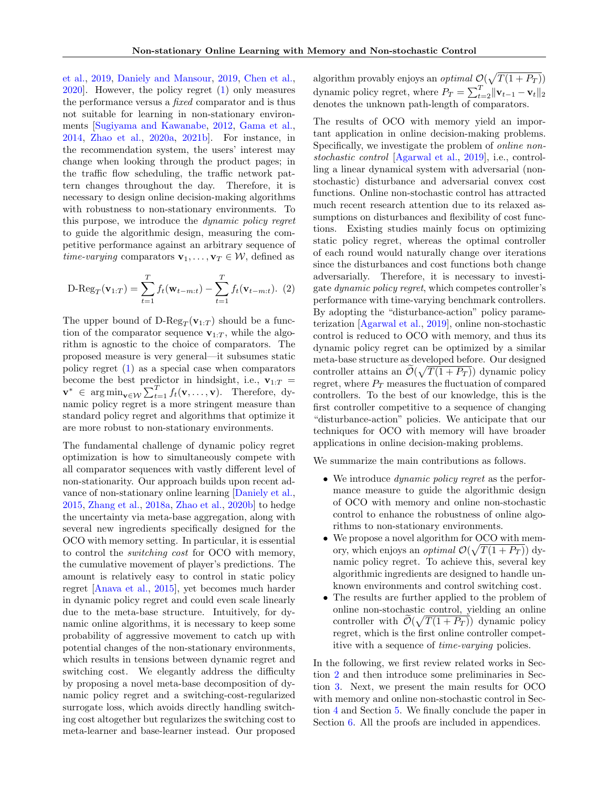[et al.,](#page-9-0) [2019,](#page-9-0) [Daniely and Mansour,](#page-9-5) [2019,](#page-9-5) [Chen et al.,](#page-9-6) [2020\]](#page-9-6). However, the policy regret [\(1\)](#page-0-0) only measures the performance versus a fixed comparator and is thus not suitable for learning in non-stationary environments [\[Sugiyama and Kawanabe,](#page-10-3) [2012,](#page-10-3) [Gama et al.,](#page-9-7) [2014,](#page-9-7) [Zhao et al.,](#page-11-0) [2020a,](#page-11-0) [2021b\]](#page-11-1). For instance, in the recommendation system, the users' interest may change when looking through the product pages; in the traffic flow scheduling, the traffic network pattern changes throughout the day. Therefore, it is necessary to design online decision-making algorithms with robustness to non-stationary environments. To this purpose, we introduce the dynamic policy regret to guide the algorithmic design, measuring the competitive performance against an arbitrary sequence of *time-varying* comparators  $\mathbf{v}_1, \ldots, \mathbf{v}_T \in \mathcal{W}$ , defined as

<span id="page-1-0"></span>D-Reg<sub>T</sub>(**v**<sub>1:T</sub>) = 
$$
\sum_{t=1}^{T} f_t(\mathbf{w}_{t-m:t}) - \sum_{t=1}^{T} f_t(\mathbf{v}_{t-m:t}).
$$
 (2)

The upper bound of  $D\text{-}Reg_T(\mathbf{v}_{1:T})$  should be a function of the comparator sequence  $v_{1:T}$ , while the algorithm is agnostic to the choice of comparators. The proposed measure is very general—it subsumes static policy regret [\(1\)](#page-0-0) as a special case when comparators become the best predictor in hindsight, i.e.,  $\mathbf{v}_{1:T}$  =  $\mathbf{v}^* \in \arg\min_{\mathbf{v}\in\mathcal{W}} \sum_{t=1}^T f_t(\mathbf{v},\dots,\mathbf{v})$ . Therefore, dynamic policy regret is a more stringent measure than standard policy regret and algorithms that optimize it are more robust to non-stationary environments.

The fundamental challenge of dynamic policy regret optimization is how to simultaneously compete with all comparator sequences with vastly different level of non-stationarity. Our approach builds upon recent advance of non-stationary online learning [\[Daniely et al.,](#page-9-8) [2015,](#page-9-8) [Zhang et al.,](#page-10-4) [2018a,](#page-10-4) [Zhao et al.,](#page-11-2) [2020b\]](#page-11-2) to hedge the uncertainty via meta-base aggregation, along with several new ingredients specifically designed for the OCO with memory setting. In particular, it is essential to control the switching cost for OCO with memory, the cumulative movement of player's predictions. The amount is relatively easy to control in static policy regret [\[Anava et al.,](#page-9-2) [2015\]](#page-9-2), yet becomes much harder in dynamic policy regret and could even scale linearly due to the meta-base structure. Intuitively, for dynamic online algorithms, it is necessary to keep some probability of aggressive movement to catch up with potential changes of the non-stationary environments, which results in tensions between dynamic regret and switching cost. We elegantly address the difficulty by proposing a novel meta-base decomposition of dynamic policy regret and a switching-cost-regularized surrogate loss, which avoids directly handling switching cost altogether but regularizes the switching cost to meta-learner and base-learner instead. Our proposed algorithm provably enjoys an *optimal*  $\mathcal{O}(\sqrt{T(1 + P_T)})$ dynamic policy regret, where  $P_T = \sum_{t=2}^{T} ||\mathbf{v}_{t-1} - \mathbf{v}_t||_2$ denotes the unknown path-length of comparators.

The results of OCO with memory yield an important application in online decision-making problems. Specifically, we investigate the problem of online nonstochastic control [\[Agarwal et al.,](#page-9-0) [2019\]](#page-9-0), i.e., controlling a linear dynamical system with adversarial (nonstochastic) disturbance and adversarial convex cost functions. Online non-stochastic control has attracted much recent research attention due to its relaxed assumptions on disturbances and flexibility of cost functions. Existing studies mainly focus on optimizing static policy regret, whereas the optimal controller of each round would naturally change over iterations since the disturbances and cost functions both change adversarially. Therefore, it is necessary to investigate dynamic policy regret, which competes controller's performance with time-varying benchmark controllers. By adopting the "disturbance-action" policy parameterization [\[Agarwal et al.,](#page-9-0) [2019\]](#page-9-0), online non-stochastic control is reduced to OCO with memory, and thus its dynamic policy regret can be optimized by a similar meta-base structure as developed before. Our designed controller attains an  $\mathcal{O}(\sqrt{T(1+P_T)})$  dynamic policy regret, where  $P_T$  measures the fluctuation of compared controllers. To the best of our knowledge, this is the first controller competitive to a sequence of changing "disturbance-action" policies. We anticipate that our techniques for OCO with memory will have broader applications in online decision-making problems.

We summarize the main contributions as follows.

- We introduce *dynamic policy regret* as the performance measure to guide the algorithmic design of OCO with memory and online non-stochastic control to enhance the robustness of online algorithms to non-stationary environments.
- We propose a novel algorithm for OCO with memory, which enjoys an *optimal*  $\mathcal{O}(\sqrt{T(1+P_T)})$  dynamic policy regret. To achieve this, several key algorithmic ingredients are designed to handle unknown environments and control switching cost.
- The results are further applied to the problem of online non-stochastic control, yielding an online controller with  $\mathcal{O}(\sqrt{T(1+P_T)})$  dynamic policy regret, which is the first online controller competitive with a sequence of time-varying policies.

In the following, we first review related works in Section [2](#page-2-0) and then introduce some preliminaries in Section [3.](#page-3-0) Next, we present the main results for OCO with memory and online non-stochastic control in Section [4](#page-3-1) and Section [5.](#page-6-0) We finally conclude the paper in Section **6**. All the proofs are included in appendices.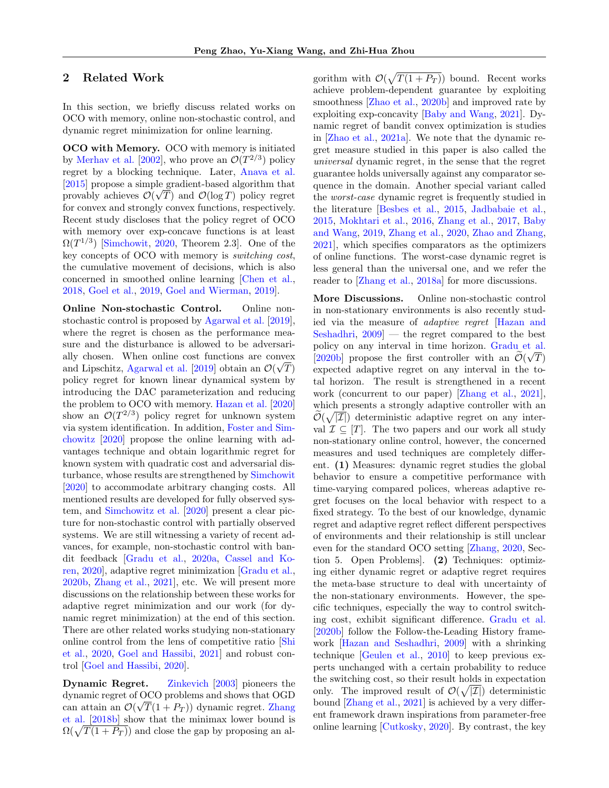# <span id="page-2-0"></span>2 Related Work

In this section, we briefly discuss related works on OCO with memory, online non-stochastic control, and dynamic regret minimization for online learning.

OCO with Memory. OCO with memory is initiated by [Merhav et al.](#page-10-2) [\[2002\]](#page-10-2), who prove an  $\mathcal{O}(T^{2/3})$  policy regret by a blocking technique. Later, [Anava et al.](#page-9-2) [\[2015\]](#page-9-2) propose a simple gradient-based algorithm that provably achieves  $\mathcal{O}(\sqrt{T})$  and  $\mathcal{O}(\log T)$  policy regret for convex and strongly convex functions, respectively. Recent study discloses that the policy regret of OCO with memory over exp-concave functions is at least  $\Omega(T^{1/3})$  [\[Simchowit,](#page-10-5) [2020,](#page-10-5) Theorem 2.3]. One of the key concepts of OCO with memory is switching cost, the cumulative movement of decisions, which is also concerned in smoothed online learning [\[Chen et al.,](#page-9-4) [2018,](#page-9-4) [Goel et al.,](#page-10-6) [2019,](#page-10-6) [Goel and Wierman,](#page-10-7) [2019\]](#page-10-7).

Online Non-stochastic Control. Online nonstochastic control is proposed by [Agarwal et al.](#page-9-0) [\[2019\]](#page-9-0), where the regret is chosen as the performance measure and the disturbance is allowed to be adversarially chosen. When online cost functions are convex and Lipschitz, [Agarwal et al.](#page-9-0) [\[2019\]](#page-9-0) obtain an  $\mathcal{O}(\sqrt{T})$ policy regret for known linear dynamical system by introducing the DAC parameterization and reducing the problem to OCO with memory. [Hazan et al.](#page-10-8) [\[2020\]](#page-10-8) show an  $\mathcal{O}(T^{2/3})$  policy regret for unknown system via system identification. In addition, [Foster and Sim](#page-9-9)[chowitz](#page-9-9) [\[2020\]](#page-9-9) propose the online learning with advantages technique and obtain logarithmic regret for known system with quadratic cost and adversarial disturbance, whose results are strengthened by [Simchowit](#page-10-5) [\[2020\]](#page-10-5) to accommodate arbitrary changing costs. All mentioned results are developed for fully observed system, and [Simchowitz et al.](#page-10-9) [\[2020\]](#page-10-9) present a clear picture for non-stochastic control with partially observed systems. We are still witnessing a variety of recent advances, for example, non-stochastic control with bandit feedback [\[Gradu et al.,](#page-10-10) [2020a,](#page-10-10) [Cassel and Ko](#page-9-10)[ren,](#page-9-10) [2020\]](#page-9-10), adaptive regret minimization [\[Gradu et al.,](#page-10-11) [2020b,](#page-10-11) [Zhang et al.,](#page-11-3) [2021\]](#page-11-3), etc. We will present more discussions on the relationship between these works for adaptive regret minimization and our work (for dynamic regret minimization) at the end of this section. There are other related works studying non-stationary online control from the lens of competitive ratio [\[Shi](#page-10-12) [et al.,](#page-10-12) [2020,](#page-10-12) [Goel and Hassibi,](#page-10-13) [2021\]](#page-10-13) and robust control [\[Goel and Hassibi,](#page-10-14) [2020\]](#page-10-14).

Dynamic Regret. [Zinkevich](#page-11-4) [\[2003\]](#page-11-4) pioneers the dynamic regret of OCO problems and shows that OGD can attain an  $\mathcal{O}(\sqrt{T}(1+P_T))$  dynamic regret. [Zhang](#page-10-15) [et al.](#page-10-15) [\[2018b\]](#page-10-15) show that the minimax lower bound is  $\Omega(\sqrt{T(1 + P_T)})$  and close the gap by proposing an al-

gorithm with  $\mathcal{O}(\sqrt{T(1+P_T)})$  bound. Recent works achieve problem-dependent guarantee by exploiting smoothness [\[Zhao et al.,](#page-11-2) [2020b\]](#page-11-2) and improved rate by exploiting exp-concavity [\[Baby and Wang,](#page-9-11) [2021\]](#page-9-11). Dynamic regret of bandit convex optimization is studies in [\[Zhao et al.,](#page-11-5) [2021a\]](#page-11-5). We note that the dynamic regret measure studied in this paper is also called the universal dynamic regret, in the sense that the regret guarantee holds universally against any comparator sequence in the domain. Another special variant called the worst-case dynamic regret is frequently studied in the literature [\[Besbes et al.,](#page-9-12) [2015,](#page-9-12) [Jadbabaie et al.,](#page-10-16) [2015,](#page-10-16) [Mokhtari et al.,](#page-10-17) [2016,](#page-10-17) [Zhang et al.,](#page-10-18) [2017,](#page-10-18) [Baby](#page-9-13) [and Wang,](#page-9-13) [2019,](#page-9-13) [Zhang et al.,](#page-10-19) [2020,](#page-10-19) [Zhao and Zhang,](#page-11-6) [2021\]](#page-11-6), which specifies comparators as the optimizers of online functions. The worst-case dynamic regret is less general than the universal one, and we refer the reader to [\[Zhang et al.,](#page-10-4) [2018a\]](#page-10-4) for more discussions.

More Discussions. Online non-stochastic control in non-stationary environments is also recently studied via the measure of adaptive regret [\[Hazan and](#page-10-20) [Seshadhri,](#page-10-20) [2009\]](#page-10-20) — the regret compared to the best policy on any interval in time horizon. [Gradu et al.](#page-10-11) [\[2020b\]](#page-10-11) propose the first controller with an  $\mathcal{O}(\sqrt{T})$ expected adaptive regret on any interval in the total horizon. The result is strengthened in a recent work (concurrent to our paper) [\[Zhang et al.,](#page-11-3) [2021\]](#page-11-3), which presents a strongly adaptive controller with an  $\widetilde{\mathcal{O}}(\sqrt{|\mathcal{I}|})$  deterministic adaptive regret on any interval  $\mathcal{I} \subseteq [T]$ . The two papers and our work all study non-stationary online control, however, the concerned measures and used techniques are completely different. (1) Measures: dynamic regret studies the global behavior to ensure a competitive performance with time-varying compared polices, whereas adaptive regret focuses on the local behavior with respect to a fixed strategy. To the best of our knowledge, dynamic regret and adaptive regret reflect different perspectives of environments and their relationship is still unclear even for the standard OCO setting [\[Zhang,](#page-10-21) [2020,](#page-10-21) Section 5. Open Problems]. (2) Techniques: optimizing either dynamic regret or adaptive regret requires the meta-base structure to deal with uncertainty of the non-stationary environments. However, the specific techniques, especially the way to control switching cost, exhibit significant difference. [Gradu et al.](#page-10-11) [\[2020b\]](#page-10-11) follow the Follow-the-Leading History framework [\[Hazan and Seshadhri,](#page-10-20) [2009\]](#page-10-20) with a shrinking technique [\[Geulen et al.,](#page-9-14) [2010\]](#page-9-14) to keep previous experts unchanged with a certain probability to reduce the switching cost, so their result holds in expectation only. The improved result of  $\mathcal{O}(\sqrt{|\mathcal{I}|})$  deterministic bound [\[Zhang et al.,](#page-11-3) [2021\]](#page-11-3) is achieved by a very different framework drawn inspirations from parameter-free online learning [\[Cutkosky,](#page-9-15) [2020\]](#page-9-15). By contrast, the key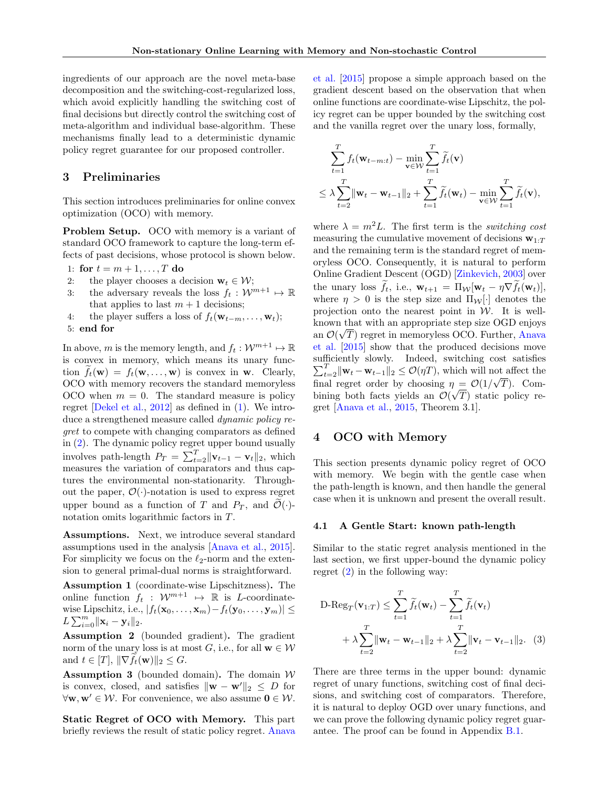ingredients of our approach are the novel meta-base decomposition and the switching-cost-regularized loss, which avoid explicitly handling the switching cost of final decisions but directly control the switching cost of meta-algorithm and individual base-algorithm. These mechanisms finally lead to a deterministic dynamic policy regret guarantee for our proposed controller.

## <span id="page-3-0"></span>3 Preliminaries

This section introduces preliminaries for online convex optimization (OCO) with memory.

Problem Setup. OCO with memory is a variant of standard OCO framework to capture the long-term effects of past decisions, whose protocol is shown below.

1: for  $t = m + 1, ..., T$  do

- 2: the player chooses a decision  $\mathbf{w}_t \in \mathcal{W}$ ;
- 3: the adversary reveals the loss  $f_t : \mathcal{W}^{m+1} \mapsto \mathbb{R}$ that applies to last  $m + 1$  decisions;
- 4: the player suffers a loss of  $f_t(\mathbf{w}_{t-m}, \ldots, \mathbf{w}_t);$

```
5: end for
```
In above, m is the memory length, and  $f_t: \mathcal{W}^{m+1} \mapsto \mathbb{R}$ is convex in memory, which means its unary function  $f_t(\mathbf{w}) = f_t(\mathbf{w}, \dots, \mathbf{w})$  is convex in **w**. Clearly, OCO with memory recovers the standard memoryless OCO when  $m = 0$ . The standard measure is policy regret [\[Dekel et al.,](#page-9-3) [2012\]](#page-9-3) as defined in [\(1\)](#page-0-0). We introduce a strengthened measure called dynamic policy regret to compete with changing comparators as defined in [\(2\)](#page-1-0). The dynamic policy regret upper bound usually involves path-length  $P_T = \sum_{t=2}^T ||\mathbf{v}_{t-1} - \mathbf{v}_t||_2$ , which measures the variation of comparators and thus captures the environmental non-stationarity. Throughout the paper,  $\mathcal{O}(\cdot)$ -notation is used to express regret upper bound as a function of T and  $P_T$ , and  $\mathcal{O}(\cdot)$ notation omits logarithmic factors in T.

Assumptions. Next, we introduce several standard assumptions used in the analysis [\[Anava et al.,](#page-9-2) [2015\]](#page-9-2). For simplicity we focus on the  $\ell_2$ -norm and the extension to general primal-dual norms is straightforward.

<span id="page-3-2"></span>Assumption 1 (coordinate-wise Lipschitzness). The online function  $f_t : \mathcal{W}^{m+1} \rightarrow \mathbb{R}$  is L-coordinatewise Lipschitz, i.e.,  $|f_t(\mathbf{x}_0, ..., \mathbf{x}_m) - f_t(\mathbf{y}_0, ..., \mathbf{y}_m)| \le$  $L \sum_{i=0}^{m} ||\mathbf{x}_i - \mathbf{y}_i||_2.$ 

<span id="page-3-5"></span>Assumption 2 (bounded gradient). The gradient norm of the unary loss is at most G, i.e., for all  $\mathbf{w} \in \mathcal{W}$ and  $t \in [T], ||\nabla f_t(\mathbf{w})||_2 \leq G.$ 

<span id="page-3-3"></span>**Assumption 3** (bounded domain). The domain  $W$ is convex, closed, and satisfies  $\|\mathbf{w} - \mathbf{w}'\|_2 \leq D$  for  $\forall \mathbf{w}, \mathbf{w}' \in \mathcal{W}$ . For convenience, we also assume  $\mathbf{0} \in \mathcal{W}$ .

Static Regret of OCO with Memory. This part briefly reviews the result of static policy regret. [Anava](#page-9-2) [et al.](#page-9-2) [\[2015\]](#page-9-2) propose a simple approach based on the gradient descent based on the observation that when online functions are coordinate-wise Lipschitz, the policy regret can be upper bounded by the switching cost and the vanilla regret over the unary loss, formally,

$$
\sum_{t=1}^{T} f_t(\mathbf{w}_{t-m:t}) - \min_{\mathbf{v} \in \mathcal{W}} \sum_{t=1}^{T} \widetilde{f}_t(\mathbf{v})
$$
\n
$$
\leq \lambda \sum_{t=2}^{T} \|\mathbf{w}_t - \mathbf{w}_{t-1}\|_2 + \sum_{t=1}^{T} \widetilde{f}_t(\mathbf{w}_t) - \min_{\mathbf{v} \in \mathcal{W}} \sum_{t=1}^{T} \widetilde{f}_t(\mathbf{v}),
$$

where  $\lambda = m^2 L$ . The first term is the *switching cost* measuring the cumulative movement of decisions  $\mathbf{w}_{1:T}$ and the remaining term is the standard regret of memoryless OCO. Consequently, it is natural to perform Online Gradient Descent (OGD) [\[Zinkevich,](#page-11-4) [2003\]](#page-11-4) over the unary loss  $f_t$ , i.e.,  $\mathbf{w}_{t+1} = \Pi_{\mathcal{W}}[\mathbf{w}_t - \eta \nabla f_t(\mathbf{w}_t)],$ where  $\eta > 0$  is the step size and  $\Pi_{\mathcal{W}}[\cdot]$  denotes the projection onto the nearest point in  $W$ . It is wellknown that with an appropriate step size OGD enjoys an  $\mathcal{O}(\sqrt{T})$  regret in memoryless OCO. Further, [Anava](#page-9-2) [et al.](#page-9-2) [\[2015\]](#page-9-2) show that the produced decisions move sufficiently slowly. Indeed, switching cost satisfies  $\sum_{t=2}^{T} ||\mathbf{w}_t - \mathbf{w}_{t-1}||_2 \leq \mathcal{O}(\eta)$ , which will not affect the final regret order by choosing  $\eta = \mathcal{O}(1/\sqrt{T})$ . Combining both facts yields an  $\mathcal{O}(\sqrt{T})$  static policy regret [\[Anava et al.,](#page-9-2) [2015,](#page-9-2) Theorem 3.1].

# <span id="page-3-1"></span>4 OCO with Memory

This section presents dynamic policy regret of OCO with memory. We begin with the gentle case when the path-length is known, and then handle the general case when it is unknown and present the overall result.

#### 4.1 A Gentle Start: known path-length

Similar to the static regret analysis mentioned in the last section, we first upper-bound the dynamic policy regret  $(2)$  in the following way:

<span id="page-3-4"></span>
$$
\begin{aligned} \n\text{D-Reg}_T(\mathbf{v}_{1:T}) &\leq \sum_{t=1}^T \widetilde{f}_t(\mathbf{w}_t) - \sum_{t=1}^T \widetilde{f}_t(\mathbf{v}_t) \\ \n&+ \lambda \sum_{t=2}^T \|\mathbf{w}_t - \mathbf{w}_{t-1}\|_2 + \lambda \sum_{t=2}^T \|\mathbf{v}_t - \mathbf{v}_{t-1}\|_2. \n\end{aligned} \tag{3}
$$

There are three terms in the upper bound: dynamic regret of unary functions, switching cost of final decisions, and switching cost of comparators. Therefore, it is natural to deploy OGD over unary functions, and we can prove the following dynamic policy regret guarantee. The proof can be found in Appendix [B.1.](#page-14-0)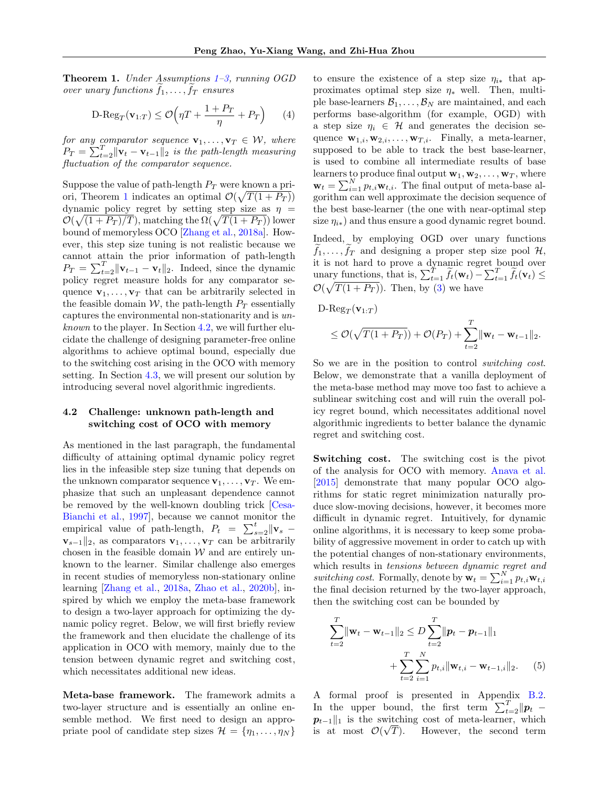<span id="page-4-0"></span>**Theorem 1.** Under Assumptions  $1-\hat{3}$ , running OGD over unary functions  $f_1, \ldots, f_T$  ensures

$$
\mathrm{D}\text{-} \mathrm{Reg}_T(\mathbf{v}_{1:T}) \le \mathcal{O}\left(\eta T + \frac{1+P_T}{\eta} + P_T\right) \tag{4}
$$

for any comparator sequence  $\mathbf{v}_1, \ldots, \mathbf{v}_T \in \mathcal{W}$ , where  $P_T = \sum_{t=2}^{T} \|\mathbf{v}_t - \mathbf{v}_{t-1}\|_2$  is the path-length measuring fluctuation of the comparator sequence.

Suppose the value of path-length  $P_T$  were known a pri-ori, Theorem [1](#page-4-0) indicates an optimal  $\mathcal{O}(\sqrt{T(1+P_T)})$ dynamic policy regret by setting step size as  $\eta =$  $\mathcal{O}(\sqrt{(1+P_T)/T})$ , matching the  $\Omega(\sqrt{T(1+P_T)})$  lower bound of memoryless OCO [\[Zhang et al.,](#page-10-4) [2018a\]](#page-10-4). However, this step size tuning is not realistic because we cannot attain the prior information of path-length  $P_T = \sum_{t=2}^T \|\mathbf{v}_{t-1} - \mathbf{v}_t\|_2$ . Indeed, since the dynamic policy regret measure holds for any comparator sequence  $\mathbf{v}_1, \ldots, \mathbf{v}_T$  that can be arbitrarily selected in the feasible domain W, the path-length  $P_T$  essentially captures the environmental non-stationarity and is unknown to the player. In Section [4.2,](#page-4-1) we will further elucidate the challenge of designing parameter-free online algorithms to achieve optimal bound, especially due to the switching cost arising in the OCO with memory setting. In Section [4.3,](#page-5-0) we will present our solution by introducing several novel algorithmic ingredients.

# <span id="page-4-1"></span>4.2 Challenge: unknown path-length and switching cost of OCO with memory

As mentioned in the last paragraph, the fundamental difficulty of attaining optimal dynamic policy regret lies in the infeasible step size tuning that depends on the unknown comparator sequence  $\mathbf{v}_1, \ldots, \mathbf{v}_T$ . We emphasize that such an unpleasant dependence cannot be removed by the well-known doubling trick [\[Cesa-](#page-9-16)[Bianchi et al.,](#page-9-16) [1997\]](#page-9-16), because we cannot monitor the empirical value of path-length,  $P_t = \sum_{s=2}^t ||\mathbf{v}_s \mathbf{v}_{s-1}||_2$ , as comparators  $\mathbf{v}_1, \ldots, \mathbf{v}_T$  can be arbitrarily chosen in the feasible domain  $W$  and are entirely unknown to the learner. Similar challenge also emerges in recent studies of memoryless non-stationary online learning [\[Zhang et al.,](#page-10-4) [2018a,](#page-10-4) [Zhao et al.,](#page-11-2) [2020b\]](#page-11-2), inspired by which we employ the meta-base framework to design a two-layer approach for optimizing the dynamic policy regret. Below, we will first briefly review the framework and then elucidate the challenge of its application in OCO with memory, mainly due to the tension between dynamic regret and switching cost, which necessitates additional new ideas.

Meta-base framework. The framework admits a two-layer structure and is essentially an online ensemble method. We first need to design an appropriate pool of candidate step sizes  $\mathcal{H} = \{\eta_1, \ldots, \eta_N\}$ 

to ensure the existence of a step size  $\eta_{i*}$  that approximates optimal step size  $\eta_*$  well. Then, multiple base-learners  $\mathcal{B}_1, \ldots, \mathcal{B}_N$  are maintained, and each performs base-algorithm (for example, OGD) with a step size  $\eta_i \in \mathcal{H}$  and generates the decision sequence  $\mathbf{w}_{1,i}, \mathbf{w}_{2,i}, \ldots, \mathbf{w}_{T,i}$ . Finally, a meta-learner, supposed to be able to track the best base-learner, is used to combine all intermediate results of base learners to produce final output  $\mathbf{w}_1, \mathbf{w}_2, \ldots, \mathbf{w}_T$ , where  $\mathbf{w}_t = \sum_{i=1}^{N} p_{t,i} \mathbf{w}_{t,i}$ . The final output of meta-base algorithm can well approximate the decision sequence of the best base-learner (the one with near-optimal step size  $\eta_{i*}$ ) and thus ensure a good dynamic regret bound.

Indeed, by employing OGD over unary functions  $f_1, \ldots, f_T$  and designing a proper step size pool H, it is not hard to prove a dynamic regret bound over unary functions, that is,  $\sum_{t=1}^{T} \widetilde{f}_t(\mathbf{w}_t) - \sum_{t=1}^{T} \widetilde{f}_t(\mathbf{v}_t) \le$  $\mathcal{O}(\sqrt{T(1+P_T)})$ . Then, by [\(3\)](#page-3-4) we have

D-Reg $_T(\mathbf{v}_{1:T})$ 

$$
\leq \mathcal{O}(\sqrt{T(1+P_T)})+\mathcal{O}(P_T)+\sum_{t=2}^T \|\mathbf{w}_t-\mathbf{w}_{t-1}\|_2.
$$

So we are in the position to control switching cost. Below, we demonstrate that a vanilla deployment of the meta-base method may move too fast to achieve a sublinear switching cost and will ruin the overall policy regret bound, which necessitates additional novel algorithmic ingredients to better balance the dynamic regret and switching cost.

Switching cost. The switching cost is the pivot of the analysis for OCO with memory. [Anava et al.](#page-9-2) [\[2015\]](#page-9-2) demonstrate that many popular OCO algorithms for static regret minimization naturally produce slow-moving decisions, however, it becomes more difficult in dynamic regret. Intuitively, for dynamic online algorithms, it is necessary to keep some probability of aggressive movement in order to catch up with the potential changes of non-stationary environments, which results in tensions between dynamic regret and switching cost. Formally, denote by  $\mathbf{w}_t = \sum_{i=1}^N p_{t,i} \mathbf{w}_{t,i}$ the final decision returned by the two-layer approach, then the switching cost can be bounded by

<span id="page-4-2"></span>
$$
\sum_{t=2}^{T} \|\mathbf{w}_t - \mathbf{w}_{t-1}\|_2 \le D \sum_{t=2}^{T} \|\mathbf{p}_t - \mathbf{p}_{t-1}\|_1
$$
  
+ 
$$
\sum_{t=2}^{T} \sum_{i=1}^{N} p_{t,i} \|\mathbf{w}_{t,i} - \mathbf{w}_{t-1,i}\|_2.
$$
 (5)

A formal proof is presented in Appendix [B.2.](#page-15-0) In the upper bound, the first term  $\sum_{t=2}^{T} ||\boldsymbol{p}_t$  –  $p_{t-1}$ ||1 is the switching cost of meta-learner, which is at most  $\mathcal{O}(\sqrt{T})$ . However, the second term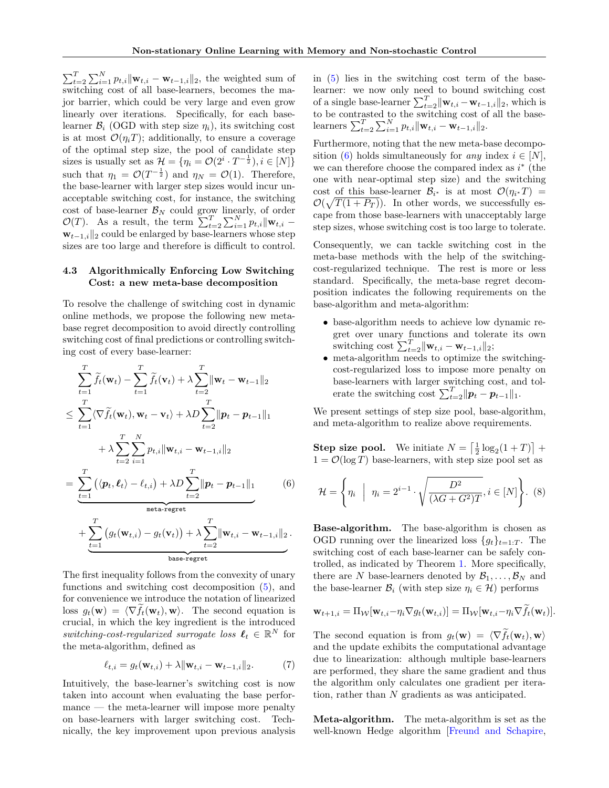$\sum_{t=2}^{T} \sum_{i=1}^{N} p_{t,i} ||\mathbf{w}_{t,i} - \mathbf{w}_{t-1,i}||_2$ , the weighted sum of switching cost of all base-learners, becomes the major barrier, which could be very large and even grow linearly over iterations. Specifically, for each baselearner  $\mathcal{B}_i$  (OGD with step size  $\eta_i$ ), its switching cost is at most  $\mathcal{O}(\eta_i T)$ ; additionally, to ensure a coverage of the optimal step size, the pool of candidate step sizes is usually set as  $\mathcal{H} = \{ \eta_i = \mathcal{O}(2^i \cdot T^{-\frac{1}{2}}), i \in [N] \}$ such that  $\eta_1 = \mathcal{O}(T^{-\frac{1}{2}})$  and  $\eta_N = \mathcal{O}(1)$ . Therefore, the base-learner with larger step sizes would incur unacceptable switching cost, for instance, the switching cost of base-learner  $\mathcal{B}_N$  could grow linearly, of order  $\mathcal{O}(T)$ . As a result, the term  $\sum_{t=2}^{T} \sum_{i=1}^{N} p_{t,i} || \mathbf{w}_{t,i} \mathbf{w}_{t-1,i}$ <sub>2</sub> could be enlarged by base-learners whose step sizes are too large and therefore is difficult to control.

# <span id="page-5-0"></span>4.3 Algorithmically Enforcing Low Switching Cost: a new meta-base decomposition

To resolve the challenge of switching cost in dynamic online methods, we propose the following new metabase regret decomposition to avoid directly controlling switching cost of final predictions or controlling switching cost of every base-learner:

$$
\sum_{t=1}^{T} \widetilde{f}_{t}(\mathbf{w}_{t}) - \sum_{t=1}^{T} \widetilde{f}_{t}(\mathbf{v}_{t}) + \lambda \sum_{t=2}^{T} \|\mathbf{w}_{t} - \mathbf{w}_{t-1}\|_{2}
$$
\n
$$
\leq \sum_{t=1}^{T} \langle \nabla \widetilde{f}_{t}(\mathbf{w}_{t}), \mathbf{w}_{t} - \mathbf{v}_{t} \rangle + \lambda D \sum_{t=2}^{T} \|\mathbf{p}_{t} - \mathbf{p}_{t-1}\|_{1}
$$
\n
$$
+ \lambda \sum_{t=2}^{T} \sum_{i=1}^{N} p_{t,i} \|\mathbf{w}_{t,i} - \mathbf{w}_{t-1,i}\|_{2}
$$
\n
$$
= \sum_{t=1}^{T} (\langle \mathbf{p}_{t}, \ell_{t} \rangle - \ell_{t,i}) + \lambda D \sum_{t=2}^{T} \|\mathbf{p}_{t} - \mathbf{p}_{t-1}\|_{1}
$$
\n
$$
= \sum_{\text{meta-regret}}^{T} (g_{t}(\mathbf{w}_{t,i}) - g_{t}(\mathbf{v}_{t})) + \lambda \sum_{t=2}^{T} \|\mathbf{w}_{t,i} - \mathbf{w}_{t-1,i}\|_{2}.
$$
\n
$$
\sum_{\text{base-regret}} \mathbf{w}_{t,i} - \mathbf{w}_{t-1,i}\|_{2}.
$$

The first inequality follows from the convexity of unary functions and switching cost decomposition [\(5\)](#page-4-2), and for convenience we introduce the notation of linearized loss  $g_t(\mathbf{w}) = \langle \nabla f_t(\mathbf{w}_t), \mathbf{w} \rangle$ . The second equation is crucial, in which the key ingredient is the introduced switching-cost-regularized surrogate loss  $\ell_t \in \mathbb{R}^N$  for the meta-algorithm, defined as

<span id="page-5-2"></span>
$$
\ell_{t,i} = g_t(\mathbf{w}_{t,i}) + \lambda \|\mathbf{w}_{t,i} - \mathbf{w}_{t-1,i}\|_2.
$$
 (7)

Intuitively, the base-learner's switching cost is now taken into account when evaluating the base performance — the meta-learner will impose more penalty on base-learners with larger switching cost. Technically, the key improvement upon previous analysis in [\(5\)](#page-4-2) lies in the switching cost term of the baselearner: we now only need to bound switching cost of a single base-learner  $\sum_{t=2}^{T} ||\mathbf{w}_{t,i} - \mathbf{w}_{t-1,i}||_2$ , which is to be contrasted to the switching cost of all the baselearners  $\sum_{t=2}^{T} \sum_{i=1}^{N} p_{t,i} ||\mathbf{w}_{t,i} - \mathbf{w}_{t-1,i}||_2$ .

Furthermore, noting that the new meta-base decompo-sition [\(6\)](#page-5-1) holds simultaneously for *any* index  $i \in [N]$ , we can therefore choose the compared index as  $i^*$  (the one with near-optimal step size) and the switching cost of this base-learner  $\mathcal{B}_{i^*}$  is at most  $\mathcal{O}(\eta_{i^*}T) =$  $\mathcal{O}(\sqrt{T(1+P_T)})$ . In other words, we successfully escape from those base-learners with unacceptably large step sizes, whose switching cost is too large to tolerate.

Consequently, we can tackle switching cost in the meta-base methods with the help of the switchingcost-regularized technique. The rest is more or less standard. Specifically, the meta-base regret decomposition indicates the following requirements on the base-algorithm and meta-algorithm:

- base-algorithm needs to achieve low dynamic regret over unary functions and tolerate its own switching cost  $\sum_{t=2}^{T} ||\mathbf{w}_{t,i} - \mathbf{w}_{t-1,i}||_2;$
- meta-algorithm needs to optimize the switchingcost-regularized loss to impose more penalty on base-learners with larger switching cost, and tolerate the switching cost  $\sum_{t=2}^{T} ||\boldsymbol{p}_t - \boldsymbol{p}_{t-1}||_1$ .

We present settings of step size pool, base-algorithm, and meta-algorithm to realize above requirements.

**Step size pool.** We initiate  $N = \left[\frac{1}{2}\log_2(1+T)\right] +$  $1 = \mathcal{O}(\log T)$  base-learners, with step size pool set as

<span id="page-5-3"></span><span id="page-5-1"></span>
$$
\mathcal{H} = \left\{ \eta_i \mid \eta_i = 2^{i-1} \cdot \sqrt{\frac{D^2}{(\lambda G + G^2)T}}, i \in [N] \right\}. \tag{8}
$$

Base-algorithm. The base-algorithm is chosen as OGD running over the linearized loss  ${g_t}_{t=1:T}$ . The switching cost of each base-learner can be safely controlled, as indicated by Theorem [1.](#page-4-0) More specifically, there are N base-learners denoted by  $\mathcal{B}_1, \ldots, \mathcal{B}_N$  and the base-learner  $\mathcal{B}_i$  (with step size  $\eta_i \in \mathcal{H}$ ) performs

$$
\mathbf{w}_{t+1,i} = \Pi_{\mathcal{W}}[\mathbf{w}_{t,i} - \eta_i \nabla g_t(\mathbf{w}_{t,i})] = \Pi_{\mathcal{W}}[\mathbf{w}_{t,i} - \eta_i \nabla f_t(\mathbf{w}_t)].
$$

The second equation is from  $q_t(\mathbf{w}) = \langle \nabla \tilde{f}_t(\mathbf{w}_t), \mathbf{w} \rangle$ and the update exhibits the computational advantage due to linearization: although multiple base-learners are performed, they share the same gradient and thus the algorithm only calculates one gradient per iteration, rather than N gradients as was anticipated.

Meta-algorithm. The meta-algorithm is set as the well-known Hedge algorithm Freund and Schapire,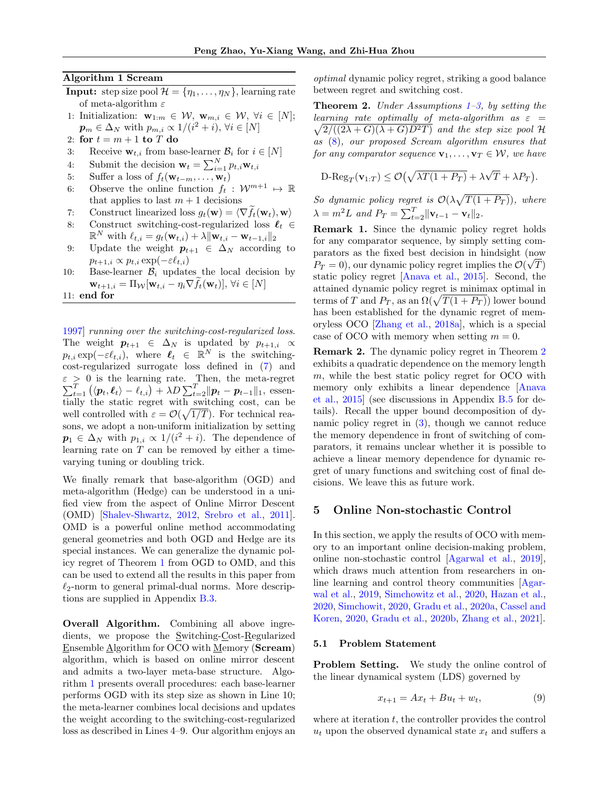#### Algorithm 1 Scream

- <span id="page-6-1"></span>**Input:** step size pool  $\mathcal{H} = {\eta_1, \ldots, \eta_N}$ , learning rate of meta-algorithm  $\varepsilon$
- 1: Initialization:  $\mathbf{w}_{1:m} \in \mathcal{W}, \mathbf{w}_{m,i} \in \mathcal{W}, \forall i \in [N];$  $\boldsymbol{p}_m \in \Delta_N$  with  $p_{m,i} \propto 1/(i^2 + i), \forall i \in [N]$
- 2: for  $t = m + 1$  to T do
- 3: Receive  $\mathbf{w}_{t,i}$  from base-learner  $\mathcal{B}_i$  for  $i \in [N]$
- 4: Submit the decision  $\mathbf{w}_t = \sum_{i=1}^N p_{t,i} \mathbf{w}_{t,i}$
- 5: Suffer a loss of  $f_t(\mathbf{w}_{t-m}, \dots, \mathbf{w}_t)$
- 6: Observe the online function  $f_t : \mathcal{W}^{m+1} \mapsto \mathbb{R}$ that applies to last  $m + 1$  decisions
- 7: Construct linearized loss  $g_t(\mathbf{w}) = \langle \nabla f_t(\mathbf{w}_t), \mathbf{w} \rangle$ <br>8: Construct switching-cost-regularized loss  $\ell_t$
- Construct switching-cost-regularized loss  $\ell_t \in$  $\mathbb{R}^N$  with  $\ell_{t,i} = g_t(\mathbf{w}_{t,i}) + \lambda \|\mathbf{w}_{t,i} - \mathbf{w}_{t-1,i}\|_2$
- 9: Update the weight  $p_{t+1} \in \Delta_N$  according to  $p_{t+1,i} \propto p_{t,i} \exp(-\varepsilon \ell_{t,i})$
- 10: Base-learner  $B_i$  updates the local decision by  $\mathbf{w}_{t+1,i} = \Pi_{\mathcal{W}}[\mathbf{w}_{t,i} - \eta_i \nabla f_t(\mathbf{w}_t)], \forall i \in [N]$

11: end for

[1997\]](#page-9-17) running over the switching-cost-regularized loss. The weight  $p_{t+1} \in \Delta_N$  is updated by  $p_{t+1,i} \propto$  $p_{t,i} \exp(-\varepsilon \ell_{t,i}),$  where  $\ell_t \in \mathbb{R}^N$  is the switchingcost-regularized surrogate loss defined in [\(7\)](#page-5-2) and ε > P > 0 is the learning rate. Then, the meta-regret  $T_{t=1}^{T} (\langle p_t, \ell_t \rangle - \ell_{t,i}) + \lambda D \sum_{t=2}^{T} ||p_t - p_{t-1}||_1$ , essentially the static regret with switching cost, can be well controlled with  $\varepsilon = \mathcal{O}(\sqrt{1/T})$ . For technical reasons, we adopt a non-uniform initialization by setting  $p_1 \in \Delta_N$  with  $p_{1,i} \propto 1/(i^2 + i)$ . The dependence of learning rate on  $T$  can be removed by either a timevarying tuning or doubling trick.

We finally remark that base-algorithm (OGD) and meta-algorithm (Hedge) can be understood in a unified view from the aspect of Online Mirror Descent (OMD) [\[Shalev-Shwartz,](#page-10-0) [2012,](#page-10-0) [Srebro et al.,](#page-10-22) [2011\]](#page-10-22). OMD is a powerful online method accommodating general geometries and both OGD and Hedge are its special instances. We can generalize the dynamic policy regret of Theorem [1](#page-4-0) from OGD to OMD, and this can be used to extend all the results in this paper from  $\ell_2$ -norm to general primal-dual norms. More descriptions are supplied in Appendix [B.3.](#page-15-1)

Overall Algorithm. Combining all above ingredients, we propose the Switching-Cost-Regularized Ensemble Algorithm for OCO with Memory (Scream) algorithm, which is based on online mirror descent and admits a two-layer meta-base structure. Algorithm [1](#page-6-1) presents overall procedures: each base-learner performs OGD with its step size as shown in Line 10; the meta-learner combines local decisions and updates the weight according to the switching-cost-regularized loss as described in Lines 4–9. Our algorithm enjoys an optimal dynamic policy regret, striking a good balance between regret and switching cost.

<span id="page-6-2"></span>**Theorem 2.** Under Assumptions  $1-\theta$  $1-\theta$ , by setting the  $\sqrt{2/((2\lambda+G)(\lambda+G)D^2T)}$  and the step size pool H learning rate optimally of meta-algorithm as  $\varepsilon =$ as [\(8\)](#page-5-3), our proposed Scream algorithm ensures that for any comparator sequence  $\mathbf{v}_1, \ldots, \mathbf{v}_T \in \mathcal{W}$ , we have

D-
$$
\text{Reg}_T(\mathbf{v}_{1:T}) \leq \mathcal{O}(\sqrt{\lambda T(1+P_T)} + \lambda \sqrt{T} + \lambda P_T).
$$

So dynamic policy regret is  $\mathcal{O}(\lambda\sqrt{T(1+P_T)})$ , where  $\lambda = m^2 L$  and  $P_T = \sum_{t=2}^T ||\mathbf{v}_{t-1} - \mathbf{v}_t||_2$ .

Remark 1. Since the dynamic policy regret holds for any comparator sequence, by simply setting comparators as the fixed best decision in hindsight (now  $P_T = 0$ , our dynamic policy regret implies the  $\mathcal{O}(\sqrt{T})$ static policy regret [\[Anava et al.,](#page-9-2) [2015\]](#page-9-2). Second, the attained dynamic policy regret is minimax optimal in terms of T and  $P_T$ , as an  $\Omega(\sqrt{T(1 + P_T)})$  lower bound has been established for the dynamic regret of memoryless OCO [\[Zhang et al.,](#page-10-4) [2018a\]](#page-10-4), which is a special case of OCO with memory when setting  $m = 0$ .

Remark 2. The dynamic policy regret in Theorem [2](#page-6-2) exhibits a quadratic dependence on the memory length m, while the best static policy regret for OCO with memory only exhibits a linear dependence [\[Anava](#page-9-2) [et al.,](#page-9-2) [2015\]](#page-9-2) (see discussions in Appendix [B.5](#page-19-0) for details). Recall the upper bound decomposition of dynamic policy regret in [\(3\)](#page-3-4), though we cannot reduce the memory dependence in front of switching of comparators, it remains unclear whether it is possible to achieve a linear memory dependence for dynamic regret of unary functions and switching cost of final decisions. We leave this as future work.

### <span id="page-6-0"></span>5 Online Non-stochastic Control

In this section, we apply the results of OCO with memory to an important online decision-making problem, online non-stochastic control [\[Agarwal et al.,](#page-9-0) [2019\]](#page-9-0), which draws much attention from researchers in online learning and control theory communities [\[Agar](#page-9-0)[wal et al.,](#page-9-0) [2019,](#page-9-0) [Simchowitz et al.,](#page-10-9) [2020,](#page-10-9) [Hazan et al.,](#page-10-8) [2020,](#page-10-8) [Simchowit,](#page-10-5) [2020,](#page-10-5) [Gradu et al.,](#page-10-10) [2020a,](#page-10-10) [Cassel and](#page-9-10) [Koren,](#page-9-10) [2020,](#page-9-10) [Gradu et al.,](#page-10-11) [2020b,](#page-10-11) [Zhang et al.,](#page-11-3) [2021\]](#page-11-3).

### 5.1 Problem Statement

Problem Setting. We study the online control of the linear dynamical system (LDS) governed by

<span id="page-6-3"></span>
$$
x_{t+1} = Ax_t + Bu_t + w_t, \t\t(9)
$$

where at iteration  $t$ , the controller provides the control  $u_t$  upon the observed dynamical state  $x_t$  and suffers a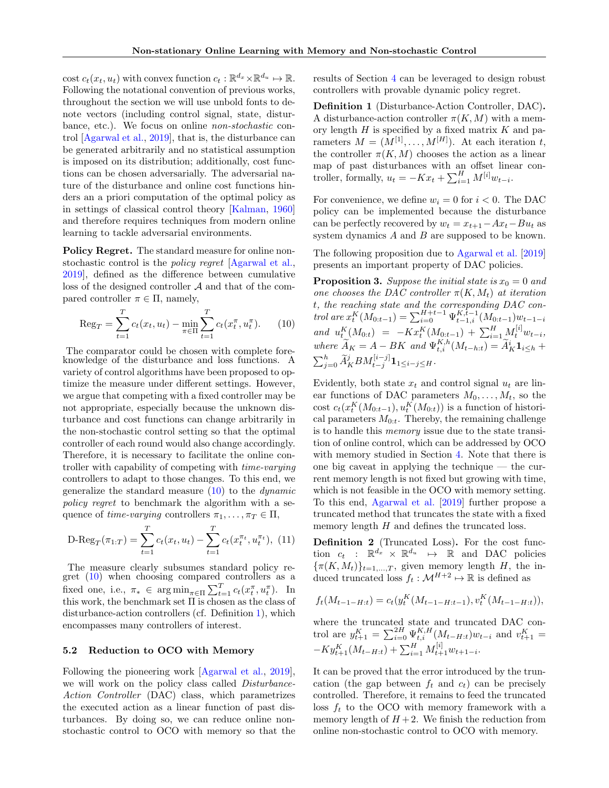cost  $c_t(x_t, u_t)$  with convex function  $c_t : \mathbb{R}^{d_x} \times \mathbb{R}^{d_u} \mapsto \mathbb{R}$ . Following the notational convention of previous works, throughout the section we will use unbold fonts to denote vectors (including control signal, state, disturbance, etc.). We focus on online non-stochastic control [\[Agarwal et al.,](#page-9-0) [2019\]](#page-9-0), that is, the disturbance can be generated arbitrarily and no statistical assumption is imposed on its distribution; additionally, cost functions can be chosen adversarially. The adversarial nature of the disturbance and online cost functions hinders an a priori computation of the optimal policy as in settings of classical control theory [\[Kalman,](#page-10-23) [1960\]](#page-10-23) and therefore requires techniques from modern online learning to tackle adversarial environments.

Policy Regret. The standard measure for online nonstochastic control is the *policy regret* [\[Agarwal et al.,](#page-9-0) [2019\]](#page-9-0), defined as the difference between cumulative loss of the designed controller  $A$  and that of the compared controller  $\pi \in \Pi$ , namely,

<span id="page-7-0"></span>
$$
\text{Reg}_T = \sum_{t=1}^T c_t(x_t, u_t) - \min_{\pi \in \Pi} \sum_{t=1}^T c_t(x_t, u_t, u_t)
$$
 (10)

The comparator could be chosen with complete foreknowledge of the disturbance and loss functions. A variety of control algorithms have been proposed to optimize the measure under different settings. However, we argue that competing with a fixed controller may be not appropriate, especially because the unknown disturbance and cost functions can change arbitrarily in the non-stochastic control setting so that the optimal controller of each round would also change accordingly. Therefore, it is necessary to facilitate the online controller with capability of competing with time-varying controllers to adapt to those changes. To this end, we generalize the standard measure  $(10)$  to the *dynamic* policy regret to benchmark the algorithm with a sequence of time-varying controllers  $\pi_1, \ldots, \pi_T \in \Pi$ ,

D-Reg<sub>T</sub>(
$$
\pi_{1:T}
$$
) =  $\sum_{t=1}^{T} c_t(x_t, u_t) - \sum_{t=1}^{T} c_t(x_t^{\pi_t}, u_t^{\pi_t}),$  (11)

The measure clearly subsumes standard policy regret  $(10)$  when choosing compared controllers as a fixed one, i.e.,  $\pi_* \in \arg\min_{\pi \in \Pi} \sum_{t=1}^T c_t(x_t^{\pi}, u_t^{\pi})$ . In this work, the benchmark set  $\Pi$  is chosen as the class of disturbance-action controllers (cf. Definition [1\)](#page-7-1), which encompasses many controllers of interest.

#### <span id="page-7-4"></span>5.2 Reduction to OCO with Memory

Following the pioneering work [\[Agarwal et al.,](#page-9-0) [2019\]](#page-9-0), we will work on the policy class called *Disturbance*-Action Controller (DAC) class, which parametrizes the executed action as a linear function of past disturbances. By doing so, we can reduce online nonstochastic control to OCO with memory so that the results of Section [4](#page-3-1) can be leveraged to design robust controllers with provable dynamic policy regret.

<span id="page-7-1"></span>Definition 1 (Disturbance-Action Controller, DAC). A disturbance-action controller  $\pi(K, M)$  with a memory length  $H$  is specified by a fixed matrix  $K$  and parameters  $M = (M^{[1]}, \ldots, M^{[H]})$ . At each iteration t, the controller  $\pi(K, M)$  chooses the action as a linear map of past disturbances with an offset linear controller, formally,  $u_t = -Kx_t + \sum_{i=1}^H M^{[i]}w_{t-i}$ .

For convenience, we define  $w_i = 0$  for  $i < 0$ . The DAC policy can be implemented because the disturbance can be perfectly recovered by  $w_t = x_{t+1} - Ax_t - Bu_t$  as system dynamics A and B are supposed to be known.

The following proposition due to [Agarwal et al.](#page-9-0) [\[2019\]](#page-9-0) presents an important property of DAC policies.

<span id="page-7-3"></span>**Proposition 3.** Suppose the initial state is  $x_0 = 0$  and one chooses the DAC controller  $\pi(K, M_t)$  at iteration t, the reaching state and the corresponding DAC control are  $x_t^K(M_{0:t-1}) = \sum_{i=0}^{H+t-1} \Psi_{t-1,i}^{K,\tilde{t}-1}(M_{0:t-1})w_{t-1-i}$ and  $u_{t}^{K}(M_{0:t}) = -Kx_{t}^{K}(M_{0:t-1}) + \sum_{i=1}^{H} M_{t}^{[i]}w_{t-i},$ where  $\widetilde{A}_K = A - BK$  and  $\Psi_{t,i}^{K,h}(M_{t-h:t}) = \widetilde{A}_K^i \mathbf{1}_{i \leq h} +$  $\sum_{j=0}^{h} \widetilde{A}_{K}^{j} B M_{t-j}^{[i-j]} 1_{1 \leq i-j \leq H}.$ 

Evidently, both state  $x_t$  and control signal  $u_t$  are linear functions of DAC parameters  $M_0, \ldots, M_t$ , so the cost  $c_t(x_t^K(M_{0:t-1}), u_t^K(M_{0:t}))$  is a function of historical parameters  $M_{0:t}$ . Thereby, the remaining challenge is to handle this memory issue due to the state transition of online control, which can be addressed by OCO with memory studied in Section [4.](#page-3-1) Note that there is one big caveat in applying the technique — the current memory length is not fixed but growing with time, which is not feasible in the OCO with memory setting. To this end, [Agarwal et al.](#page-9-0) [\[2019\]](#page-9-0) further propose a truncated method that truncates the state with a fixed memory length  $H$  and defines the truncated loss.

<span id="page-7-2"></span>Definition 2 (Truncated Loss). For the cost function  $c_t$  :  $\mathbb{R}^{d_x} \times \mathbb{R}^{d_u} \mapsto \mathbb{R}$  and DAC policies  $\{\pi(K, M_t)\}_{t=1,\dots,T}$ , given memory length H, the induced truncated loss  $f_t : \mathcal{M}^{H+2} \to \mathbb{R}$  is defined as

$$
f_t(M_{t-1-H:t}) = c_t(y_t^K(M_{t-1-H:t-1}), v_t^K(M_{t-1-H:t})),
$$

where the truncated state and truncated DAC control are  $y_{t+1}^K = \sum_{i=0}^{2H} \Psi_{t,i}^{K,H}(M_{t-H:t})w_{t-i}$  and  $v_{t+1}^K =$  $-Ky_{t+1}^{K}(M_{t-H:t})+\sum_{i=1}^{H}M_{t+1}^{[i]}w_{t+1-i}.$ 

It can be proved that the error introduced by the truncation (the gap between  $f_t$  and  $c_t$ ) can be precisely controlled. Therefore, it remains to feed the truncated loss  $f_t$  to the OCO with memory framework with a memory length of  $H + 2$ . We finish the reduction from online non-stochastic control to OCO with memory.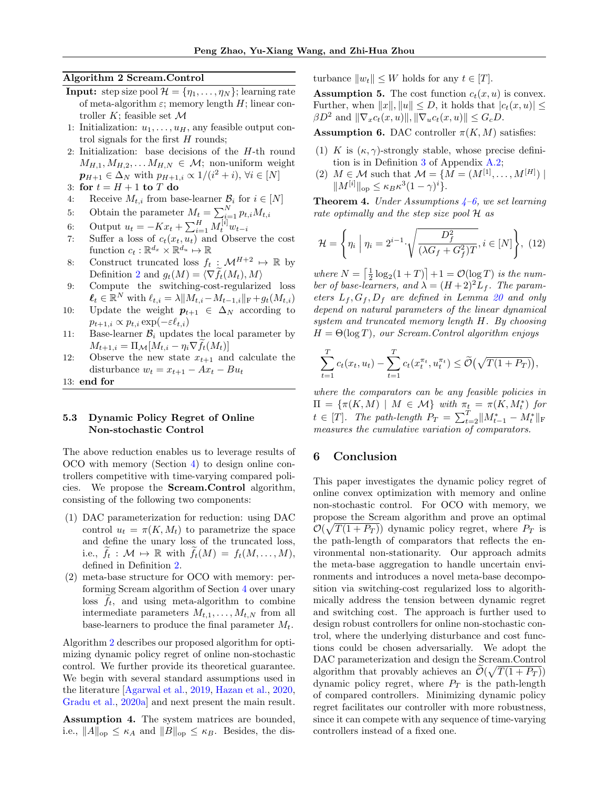#### Algorithm 2 Scream.Control

- <span id="page-8-1"></span>**Input:** step size pool  $\mathcal{H} = {\eta_1, \ldots, \eta_N}$ ; learning rate of meta-algorithm  $\varepsilon$ ; memory length H; linear controller  $K$ ; feasible set  $\mathcal M$
- 1: Initialization:  $u_1, \ldots, u_H$ , any feasible output control signals for the first  $H$  rounds;
- 2: Initialization: base decisions of the H-th round  $M_{H,1}, M_{H,2}, \ldots M_{H,N} \in \mathcal{M}$ ; non-uniform weight  $\mathbf{p}_{H+1} \in \Delta_N$  with  $p_{H+1,i} \propto 1/(i^2 + i), \forall i \in [N]$
- 3: for  $t = H + 1$  to T do
- 4: Receive  $M_{t,i}$  from base-learner  $\mathcal{B}_i$  for  $i \in [N]$

5: Obtain the parameter 
$$
M_t = \sum_{i=1}^{N} p_{t,i} M_{t,i}
$$

- 6: Output  $u_t = -Kx_t + \sum_{i=1}^H M_t^{[i]} w_{t-i}$
- 7: Suffer a loss of  $c_t(x_t, u_t)$  and Observe the cost function  $c_t : \mathbb{R}^{d_x} \times \mathbb{R}^{d_u} \mapsto \mathbb{R}$
- 8: Construct truncated loss  $f_t : \mathcal{M}^{H+2} \rightarrow \mathbb{R}$  by Definition [2](#page-7-2) and  $g_t(M) = \langle \nabla f_t(M_t), M \rangle$
- 9: Compute the switching-cost-regularized loss  $\ell_t \in \mathbb{R}^N$  with  $\ell_{t,i} = \lambda \| M_{t,i} - M_{t-1,i} \|_{\mathrm{F}} + g_t(M_{t,i})$
- 10: Update the weight  $p_{t+1} \in \Delta_N$  according to  $p_{t+1,i} \propto p_{t,i} \exp(-\varepsilon \ell_{t,i})$
- 11: Base-learner  $B_i$  updates the local parameter by  $M_{t+1,i} = \Pi_{\mathcal{M}}[M_{t,i} - \eta_i \nabla f_t(M_t)]$
- 12: Observe the new state  $x_{t+1}$  and calculate the disturbance  $w_t = x_{t+1} - Ax_t - Bu_t$

13: end for

### 5.3 Dynamic Policy Regret of Online Non-stochastic Control

The above reduction enables us to leverage results of OCO with memory (Section [4\)](#page-3-1) to design online controllers competitive with time-varying compared policies. We propose the Scream.Control algorithm, consisting of the following two components:

- (1) DAC parameterization for reduction: using DAC control  $u_t = \pi(K, M_t)$  to parametrize the space and define the unary loss of the truncated loss, i.e.,  $f_t: \mathcal{M} \mapsto \mathbb{R}$  with  $f_t(M) = f_t(M, \ldots, M),$ defined in Definition [2.](#page-7-2)
- (2) meta-base structure for OCO with memory: performing Scream algorithm of Section [4](#page-3-1) over unary loss  $f_t$ , and using meta-algorithm to combine intermediate parameters  $M_{t,1}, \ldots, M_{t,N}$  from all base-learners to produce the final parameter  $M_t$ .

Algorithm [2](#page-8-1) describes our proposed algorithm for optimizing dynamic policy regret of online non-stochastic control. We further provide its theoretical guarantee. We begin with several standard assumptions used in the literature [\[Agarwal et al.,](#page-9-0) [2019,](#page-9-0) [Hazan et al.,](#page-10-8) [2020,](#page-10-8) [Gradu et al.,](#page-10-10) [2020a\]](#page-10-10) and next present the main result.

<span id="page-8-2"></span>Assumption 4. The system matrices are bounded, i.e.,  $||A||_{op} \leq \kappa_A$  and  $||B||_{op} \leq \kappa_B$ . Besides, the disturbance  $||w_t|| \leq W$  holds for any  $t \in [T]$ .

<span id="page-8-5"></span>**Assumption 5.** The cost function  $c_t(x, u)$  is convex. Further, when  $||x||, ||u|| \leq D$ , it holds that  $|c_t(x, u)| \leq$  $\beta D^2$  and  $\|\nabla_x c_t(x, u)\|, \|\nabla_u c_t(x, u)\| \leq G_c D.$ 

<span id="page-8-3"></span>**Assumption 6.** DAC controller  $\pi(K, M)$  satisfies:

- (1) K is  $(\kappa, \gamma)$ -strongly stable, whose precise definition is in Definition [3](#page-13-0) of Appendix [A.2;](#page-13-1)
- (2)  $M \in \mathcal{M}$  such that  $\mathcal{M} = \{M = (M^{[1]}, \ldots, M^{[H]})\}\$  $||M^{[i]}||_{\text{op}} \leq \kappa_B \kappa^3 (1-\gamma)^i$ .

<span id="page-8-4"></span>**Theorem [4](#page-8-2).** Under Assumptions  $4-6$ , we set learning rate optimally and the step size pool H as

$$
\mathcal{H} = \left\{ \eta_i \mid \eta_i = 2^{i-1} \cdot \sqrt{\frac{D_f^2}{(\lambda G_f + G_f^2)T}}, i \in [N] \right\}, (12)
$$

where  $N = \left\lceil \frac{1}{2} \log_2(1+T) \right\rceil + 1 = \mathcal{O}(\log T)$  is the number of base-learners, and  $\lambda = (H+2)^2 L_f$ . The parameters  $L_f$ ,  $G_f$ ,  $D_f$  are defined in Lemma [20](#page-28-0) and only depend on natural parameters of the linear dynamical system and truncated memory length H. By choosing  $H = \Theta(\log T)$ , our Scream. Control algorithm enjoys

$$
\sum_{t=1}^T c_t(x_t, u_t) - \sum_{t=1}^T c_t(x_t^{\pi_t}, u_t^{\pi_t}) \le \widetilde{\mathcal{O}}\big(\sqrt{T(1+P_T)}\big),
$$

where the comparators can be any feasible policies in  $\Pi = \{\pi(K, M) \mid M \in \mathcal{M}\}\$  with  $\pi_t = \pi(K, M_t^*)$  for  $t \in [T]$ . The path-length  $P_T = \sum_{t=2}^{T} ||M_{t-1}^* - M_t^*||_F$ measures the cumulative variation of comparators.

# <span id="page-8-0"></span>6 Conclusion

This paper investigates the dynamic policy regret of online convex optimization with memory and online non-stochastic control. For OCO with memory, we propose the Scream algorithm and prove an optimal  $\mathcal{O}(\sqrt{T(1+P_T)})$  dynamic policy regret, where  $P_T$  is the path-length of comparators that reflects the environmental non-stationarity. Our approach admits the meta-base aggregation to handle uncertain environments and introduces a novel meta-base decomposition via switching-cost regularized loss to algorithmically address the tension between dynamic regret and switching cost. The approach is further used to design robust controllers for online non-stochastic control, where the underlying disturbance and cost functions could be chosen adversarially. We adopt the DAC parameterization and design the Scream.Control algorithm that provably achieves an  $\widetilde{\mathcal{O}}(\sqrt{T(1+P_T)})$ dynamic policy regret, where  $P_T$  is the path-length of compared controllers. Minimizing dynamic policy regret facilitates our controller with more robustness, since it can compete with any sequence of time-varying controllers instead of a fixed one.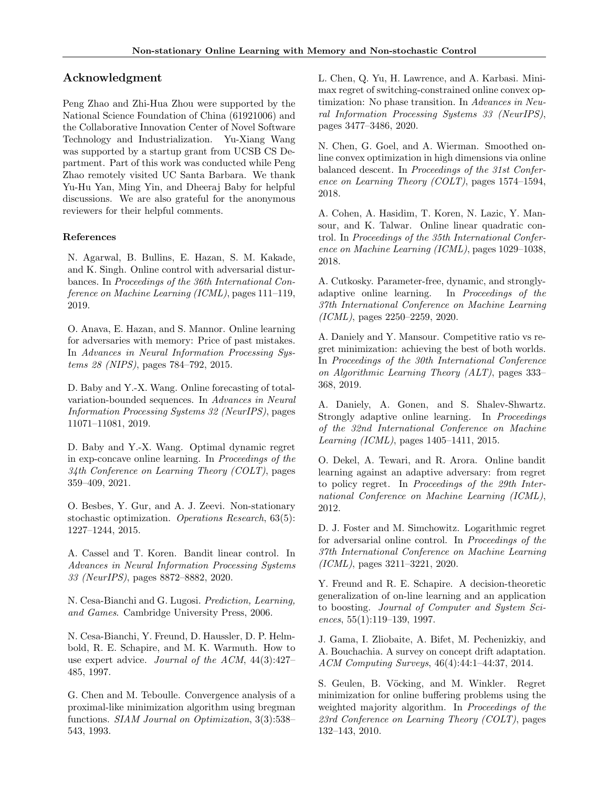# Acknowledgment

Peng Zhao and Zhi-Hua Zhou were supported by the National Science Foundation of China (61921006) and the Collaborative Innovation Center of Novel Software Technology and Industrialization. Yu-Xiang Wang was supported by a startup grant from UCSB CS Department. Part of this work was conducted while Peng Zhao remotely visited UC Santa Barbara. We thank Yu-Hu Yan, Ming Yin, and Dheeraj Baby for helpful discussions. We are also grateful for the anonymous reviewers for their helpful comments.

# References

<span id="page-9-0"></span>N. Agarwal, B. Bullins, E. Hazan, S. M. Kakade, and K. Singh. Online control with adversarial disturbances. In Proceedings of the 36th International Conference on Machine Learning (ICML), pages 111–119, 2019.

<span id="page-9-2"></span>O. Anava, E. Hazan, and S. Mannor. Online learning for adversaries with memory: Price of past mistakes. In Advances in Neural Information Processing Systems 28 (NIPS), pages 784–792, 2015.

<span id="page-9-13"></span>D. Baby and Y.-X. Wang. Online forecasting of totalvariation-bounded sequences. In Advances in Neural Information Processing Systems 32 (NeurIPS), pages 11071–11081, 2019.

<span id="page-9-11"></span>D. Baby and Y.-X. Wang. Optimal dynamic regret in exp-concave online learning. In Proceedings of the  $34th$  Conference on Learning Theory (COLT), pages 359–409, 2021.

<span id="page-9-12"></span>O. Besbes, Y. Gur, and A. J. Zeevi. Non-stationary stochastic optimization. Operations Research, 63(5): 1227–1244, 2015.

<span id="page-9-10"></span>A. Cassel and T. Koren. Bandit linear control. In Advances in Neural Information Processing Systems 33 (NeurIPS), pages 8872–8882, 2020.

<span id="page-9-1"></span>N. Cesa-Bianchi and G. Lugosi. Prediction, Learning, and Games. Cambridge University Press, 2006.

<span id="page-9-16"></span>N. Cesa-Bianchi, Y. Freund, D. Haussler, D. P. Helmbold, R. E. Schapire, and M. K. Warmuth. How to use expert advice. Journal of the ACM, 44(3):427– 485, 1997.

<span id="page-9-19"></span>G. Chen and M. Teboulle. Convergence analysis of a proximal-like minimization algorithm using bregman functions. SIAM Journal on Optimization, 3(3):538– 543, 1993.

<span id="page-9-6"></span>L. Chen, Q. Yu, H. Lawrence, and A. Karbasi. Minimax regret of switching-constrained online convex optimization: No phase transition. In Advances in Neural Information Processing Systems 33 (NeurIPS), pages 3477–3486, 2020.

<span id="page-9-4"></span>N. Chen, G. Goel, and A. Wierman. Smoothed online convex optimization in high dimensions via online balanced descent. In Proceedings of the 31st Conference on Learning Theory (COLT), pages 1574–1594, 2018.

<span id="page-9-18"></span>A. Cohen, A. Hasidim, T. Koren, N. Lazic, Y. Mansour, and K. Talwar. Online linear quadratic control. In Proceedings of the 35th International Conference on Machine Learning (ICML), pages 1029–1038, 2018.

<span id="page-9-15"></span>A. Cutkosky. Parameter-free, dynamic, and stronglyadaptive online learning. In Proceedings of the 37th International Conference on Machine Learning (ICML), pages 2250–2259, 2020.

<span id="page-9-5"></span>A. Daniely and Y. Mansour. Competitive ratio vs regret minimization: achieving the best of both worlds. In Proceedings of the 30th International Conference on Algorithmic Learning Theory (ALT), pages 333– 368, 2019.

<span id="page-9-8"></span>A. Daniely, A. Gonen, and S. Shalev-Shwartz. Strongly adaptive online learning. In Proceedings of the 32nd International Conference on Machine Learning (ICML), pages 1405–1411, 2015.

<span id="page-9-3"></span>O. Dekel, A. Tewari, and R. Arora. Online bandit learning against an adaptive adversary: from regret to policy regret. In Proceedings of the 29th International Conference on Machine Learning (ICML), 2012.

<span id="page-9-9"></span>D. J. Foster and M. Simchowitz. Logarithmic regret for adversarial online control. In Proceedings of the 37th International Conference on Machine Learning (ICML), pages 3211–3221, 2020.

<span id="page-9-17"></span>Y. Freund and R. E. Schapire. A decision-theoretic generalization of on-line learning and an application to boosting. Journal of Computer and System Sciences, 55(1):119–139, 1997.

<span id="page-9-7"></span>J. Gama, I. Zliobaite, A. Bifet, M. Pechenizkiy, and A. Bouchachia. A survey on concept drift adaptation. ACM Computing Surveys, 46(4):44:1–44:37, 2014.

<span id="page-9-14"></span>S. Geulen, B. Vöcking, and M. Winkler. Regret minimization for online buffering problems using the weighted majority algorithm. In Proceedings of the 23rd Conference on Learning Theory (COLT), pages 132–143, 2010.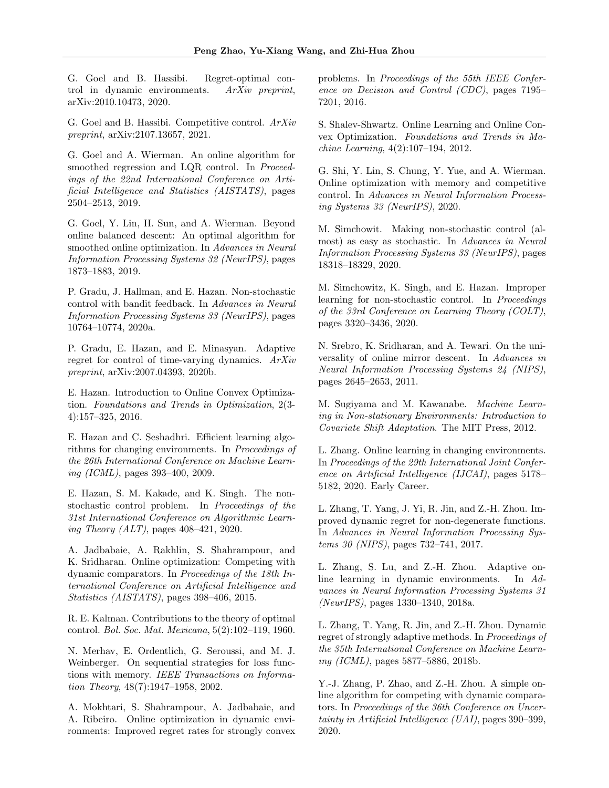<span id="page-10-14"></span>G. Goel and B. Hassibi. Regret-optimal control in dynamic environments. ArXiv preprint, arXiv:2010.10473, 2020.

<span id="page-10-13"></span>G. Goel and B. Hassibi. Competitive control. ArXiv preprint, arXiv:2107.13657, 2021.

<span id="page-10-7"></span>G. Goel and A. Wierman. An online algorithm for smoothed regression and LQR control. In *Proceed*ings of the 22nd International Conference on Artificial Intelligence and Statistics (AISTATS), pages 2504–2513, 2019.

<span id="page-10-6"></span>G. Goel, Y. Lin, H. Sun, and A. Wierman. Beyond online balanced descent: An optimal algorithm for smoothed online optimization. In Advances in Neural Information Processing Systems 32 (NeurIPS), pages 1873–1883, 2019.

<span id="page-10-10"></span>P. Gradu, J. Hallman, and E. Hazan. Non-stochastic control with bandit feedback. In Advances in Neural Information Processing Systems 33 (NeurIPS), pages 10764–10774, 2020a.

<span id="page-10-11"></span>P. Gradu, E. Hazan, and E. Minasyan. Adaptive regret for control of time-varying dynamics. ArXiv preprint, arXiv:2007.04393, 2020b.

<span id="page-10-1"></span>E. Hazan. Introduction to Online Convex Optimization. Foundations and Trends in Optimization, 2(3- 4):157–325, 2016.

<span id="page-10-20"></span>E. Hazan and C. Seshadhri. Efficient learning algorithms for changing environments. In Proceedings of the 26th International Conference on Machine Learning (ICML), pages 393–400, 2009.

<span id="page-10-8"></span>E. Hazan, S. M. Kakade, and K. Singh. The nonstochastic control problem. In Proceedings of the 31st International Conference on Algorithmic Learning Theory (ALT), pages 408–421, 2020.

<span id="page-10-16"></span>A. Jadbabaie, A. Rakhlin, S. Shahrampour, and K. Sridharan. Online optimization: Competing with dynamic comparators. In Proceedings of the 18th International Conference on Artificial Intelligence and Statistics (AISTATS), pages 398–406, 2015.

<span id="page-10-23"></span>R. E. Kalman. Contributions to the theory of optimal control. Bol. Soc. Mat. Mexicana, 5(2):102–119, 1960.

<span id="page-10-2"></span>N. Merhav, E. Ordentlich, G. Seroussi, and M. J. Weinberger. On sequential strategies for loss functions with memory. IEEE Transactions on Information Theory, 48(7):1947–1958, 2002.

<span id="page-10-17"></span>A. Mokhtari, S. Shahrampour, A. Jadbabaie, and A. Ribeiro. Online optimization in dynamic environments: Improved regret rates for strongly convex problems. In Proceedings of the 55th IEEE Conference on Decision and Control (CDC), pages 7195– 7201, 2016.

<span id="page-10-0"></span>S. Shalev-Shwartz. Online Learning and Online Convex Optimization. Foundations and Trends in Machine Learning, 4(2):107–194, 2012.

<span id="page-10-12"></span>G. Shi, Y. Lin, S. Chung, Y. Yue, and A. Wierman. Online optimization with memory and competitive control. In Advances in Neural Information Processing Systems 33 (NeurIPS), 2020.

<span id="page-10-5"></span>M. Simchowit. Making non-stochastic control (almost) as easy as stochastic. In Advances in Neural Information Processing Systems 33 (NeurIPS), pages 18318–18329, 2020.

<span id="page-10-9"></span>M. Simchowitz, K. Singh, and E. Hazan. Improper learning for non-stochastic control. In Proceedings of the 33rd Conference on Learning Theory (COLT), pages 3320–3436, 2020.

<span id="page-10-22"></span>N. Srebro, K. Sridharan, and A. Tewari. On the universality of online mirror descent. In Advances in Neural Information Processing Systems 24 (NIPS), pages 2645–2653, 2011.

<span id="page-10-3"></span>M. Sugiyama and M. Kawanabe. Machine Learning in Non-stationary Environments: Introduction to Covariate Shift Adaptation. The MIT Press, 2012.

<span id="page-10-21"></span>L. Zhang. Online learning in changing environments. In Proceedings of the 29th International Joint Conference on Artificial Intelligence (IJCAI), pages 5178– 5182, 2020. Early Career.

<span id="page-10-18"></span>L. Zhang, T. Yang, J. Yi, R. Jin, and Z.-H. Zhou. Improved dynamic regret for non-degenerate functions. In Advances in Neural Information Processing Systems 30 (NIPS), pages 732–741, 2017.

<span id="page-10-4"></span>L. Zhang, S. Lu, and Z.-H. Zhou. Adaptive online learning in dynamic environments. In Advances in Neural Information Processing Systems 31 (NeurIPS), pages 1330–1340, 2018a.

<span id="page-10-15"></span>L. Zhang, T. Yang, R. Jin, and Z.-H. Zhou. Dynamic regret of strongly adaptive methods. In Proceedings of the 35th International Conference on Machine Learning (ICML), pages 5877–5886, 2018b.

<span id="page-10-19"></span>Y.-J. Zhang, P. Zhao, and Z.-H. Zhou. A simple online algorithm for competing with dynamic comparators. In Proceedings of the 36th Conference on Uncertainty in Artificial Intelligence (UAI), pages 390–399, 2020.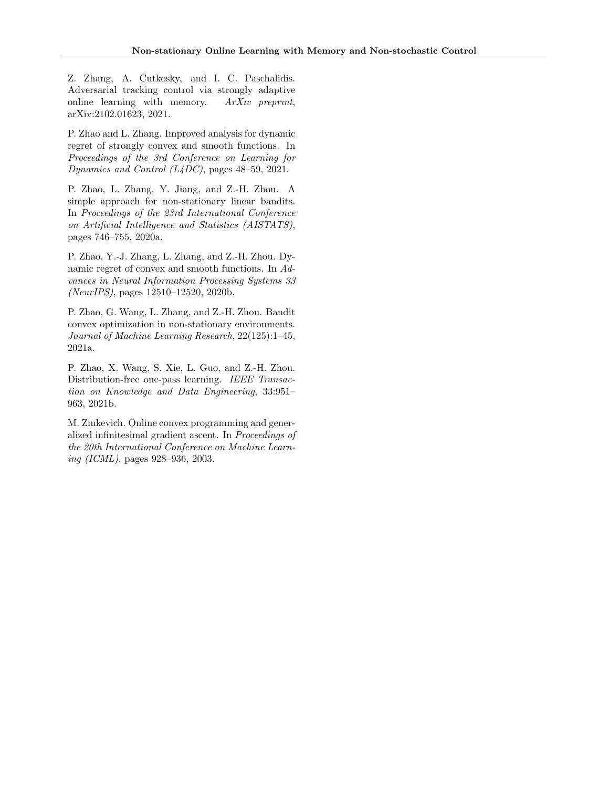<span id="page-11-3"></span>Z. Zhang, A. Cutkosky, and I. C. Paschalidis. Adversarial tracking control via strongly adaptive online learning with memory. ArXiv preprint, arXiv:2102.01623, 2021.

<span id="page-11-6"></span>P. Zhao and L. Zhang. Improved analysis for dynamic regret of strongly convex and smooth functions. In Proceedings of the 3rd Conference on Learning for Dynamics and Control (L4DC), pages 48–59, 2021.

<span id="page-11-0"></span>P. Zhao, L. Zhang, Y. Jiang, and Z.-H. Zhou. A simple approach for non-stationary linear bandits. In Proceedings of the 23rd International Conference on Artificial Intelligence and Statistics (AISTATS), pages 746–755, 2020a.

<span id="page-11-2"></span>P. Zhao, Y.-J. Zhang, L. Zhang, and Z.-H. Zhou. Dynamic regret of convex and smooth functions. In Advances in Neural Information Processing Systems 33 (NeurIPS), pages 12510–12520, 2020b.

<span id="page-11-5"></span>P. Zhao, G. Wang, L. Zhang, and Z.-H. Zhou. Bandit convex optimization in non-stationary environments. Journal of Machine Learning Research, 22(125):1–45, 2021a.

<span id="page-11-1"></span>P. Zhao, X. Wang, S. Xie, L. Guo, and Z.-H. Zhou. Distribution-free one-pass learning. IEEE Transaction on Knowledge and Data Engineering, 33:951– 963, 2021b.

<span id="page-11-4"></span>M. Zinkevich. Online convex programming and generalized infinitesimal gradient ascent. In Proceedings of the 20th International Conference on Machine Learning (ICML), pages 928–936, 2003.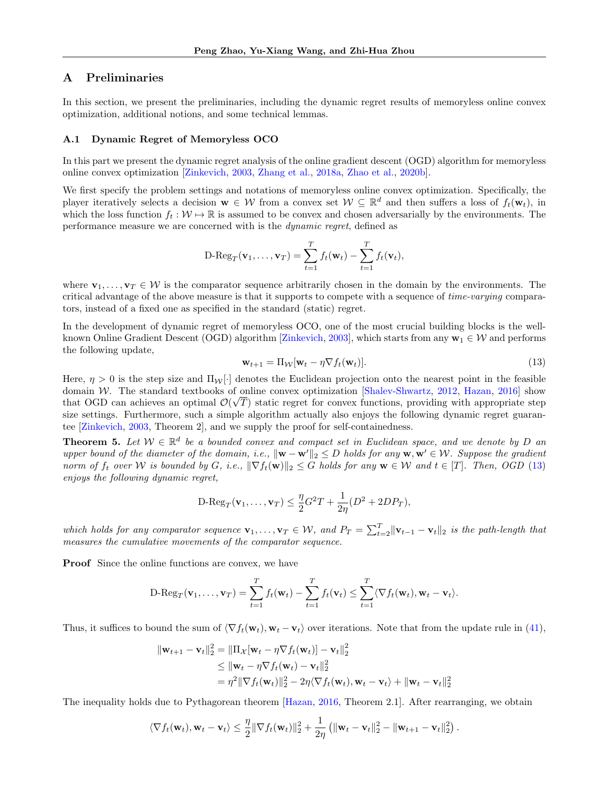# A Preliminaries

In this section, we present the preliminaries, including the dynamic regret results of memoryless online convex optimization, additional notions, and some technical lemmas.

#### A.1 Dynamic Regret of Memoryless OCO

In this part we present the dynamic regret analysis of the online gradient descent (OGD) algorithm for memoryless online convex optimization [\[Zinkevich,](#page-11-4) [2003,](#page-11-4) [Zhang et al.,](#page-10-4) [2018a,](#page-10-4) [Zhao et al.,](#page-11-2) [2020b\]](#page-11-2).

We first specify the problem settings and notations of memoryless online convex optimization. Specifically, the player iteratively selects a decision  $\mathbf{w} \in \mathcal{W}$  from a convex set  $\mathcal{W} \subseteq \mathbb{R}^d$  and then suffers a loss of  $f_t(\mathbf{w}_t)$ , in which the loss function  $f_t : \mathcal{W} \to \mathbb{R}$  is assumed to be convex and chosen adversarially by the environments. The performance measure we are concerned with is the dynamic regret, defined as

$$
\mathrm{D}\text{-Reg}_T(\mathbf{v}_1,\ldots,\mathbf{v}_T)=\sum_{t=1}^T f_t(\mathbf{w}_t)-\sum_{t=1}^T f_t(\mathbf{v}_t),
$$

where  $\mathbf{v}_1, \ldots, \mathbf{v}_T \in \mathcal{W}$  is the comparator sequence arbitrarily chosen in the domain by the environments. The critical advantage of the above measure is that it supports to compete with a sequence of time-varying comparators, instead of a fixed one as specified in the standard (static) regret.

In the development of dynamic regret of memoryless OCO, one of the most crucial building blocks is the well-known Online Gradient Descent (OGD) algorithm [\[Zinkevich,](#page-11-4) [2003\]](#page-11-4), which starts from any  $\mathbf{w}_1 \in \mathcal{W}$  and performs the following update,

<span id="page-12-0"></span>
$$
\mathbf{w}_{t+1} = \Pi_{\mathcal{W}}[\mathbf{w}_t - \eta \nabla f_t(\mathbf{w}_t)].
$$
\n(13)

Here,  $\eta > 0$  is the step size and  $\Pi_{\mathcal{W}}[\cdot]$  denotes the Euclidean projection onto the nearest point in the feasible domain *W*. The standard textbooks of online convex optimization [\[Shalev-Shwartz,](#page-10-0) [2012,](#page-10-0) [Hazan,](#page-10-1) [2016\]](#page-10-1) show that OGD can achieves an optimal  $\mathcal{O}(\sqrt{T})$  static regret for convex functions, providing with appropriate step size settings. Furthermore, such a simple algorithm actually also enjoys the following dynamic regret guarantee [\[Zinkevich,](#page-11-4) [2003,](#page-11-4) Theorem 2], and we supply the proof for self-containedness.

<span id="page-12-1"></span>**Theorem 5.** Let  $W \in \mathbb{R}^d$  be a bounded convex and compact set in Euclidean space, and we denote by D an upper bound of the diameter of the domain, i.e.,  $\|\mathbf{w} - \mathbf{w}'\|_2 \leq D$  holds for any  $\mathbf{w}, \mathbf{w}' \in \mathcal{W}$ . Suppose the gradient norm of  $f_t$  over W is bounded by G, i.e.,  $\|\nabla f_t(\mathbf{w})\|_2 \leq G$  holds for any  $\mathbf{w} \in \mathcal{W}$  and  $t \in [T]$ . Then, OGD [\(13\)](#page-12-0) enjoys the following dynamic regret,

$$
\mathrm{D}\text{-} \mathrm{Reg}_T(\mathbf{v}_1,\ldots,\mathbf{v}_T) \leq \frac{\eta}{2} G^2 T + \frac{1}{2\eta} (D^2 + 2DP_T),
$$

which holds for any comparator sequence  $\mathbf{v}_1, \ldots, \mathbf{v}_T \in \mathcal{W}$ , and  $P_T = \sum_{t=2}^T ||\mathbf{v}_{t-1} - \mathbf{v}_t||_2$  is the path-length that measures the cumulative movements of the comparator sequence.

Proof Since the online functions are convex, we have

$$
\text{D-Reg}_T(\mathbf{v}_1,\ldots,\mathbf{v}_T)=\sum_{t=1}^T f_t(\mathbf{w}_t)-\sum_{t=1}^T f_t(\mathbf{v}_t)\leq \sum_{t=1}^T \langle \nabla f_t(\mathbf{w}_t),\mathbf{w}_t-\mathbf{v}_t\rangle.
$$

Thus, it suffices to bound the sum of  $\langle \nabla f_t(\mathbf{w}_t), \mathbf{w}_t - \mathbf{v}_t \rangle$  over iterations. Note that from the update rule in [\(41\)](#page-22-0),

$$
\|\mathbf{w}_{t+1} - \mathbf{v}_t\|_2^2 = \|\Pi_{\mathcal{X}}[\mathbf{w}_t - \eta \nabla f_t(\mathbf{w}_t)] - \mathbf{v}_t\|_2^2
$$
  
\n
$$
\leq \|\mathbf{w}_t - \eta \nabla f_t(\mathbf{w}_t) - \mathbf{v}_t\|_2^2
$$
  
\n
$$
= \eta^2 \|\nabla f_t(\mathbf{w}_t)\|_2^2 - 2\eta \langle \nabla f_t(\mathbf{w}_t), \mathbf{w}_t - \mathbf{v}_t \rangle + \|\mathbf{w}_t - \mathbf{v}_t\|_2^2
$$

The inequality holds due to Pythagorean theorem [\[Hazan,](#page-10-1) [2016,](#page-10-1) Theorem 2.1]. After rearranging, we obtain

$$
\langle \nabla f_t(\mathbf{w}_t), \mathbf{w}_t - \mathbf{v}_t \rangle \leq \frac{\eta}{2} \|\nabla f_t(\mathbf{w}_t)\|_2^2 + \frac{1}{2\eta} \left( \|\mathbf{w}_t - \mathbf{v}_t\|_2^2 - \|\mathbf{w}_{t+1} - \mathbf{v}_t\|_2^2 \right).
$$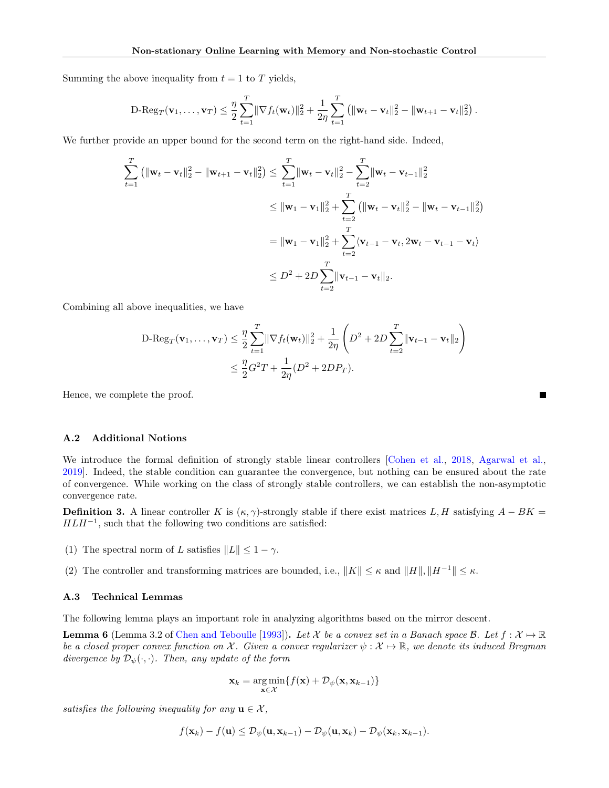Summing the above inequality from  $t = 1$  to T yields,

$$
\mathrm{D}\text{-} \mathrm{Reg}_T(\mathbf{v}_1,\ldots,\mathbf{v}_T) \leq \frac{\eta}{2} \sum_{t=1}^T \|\nabla f_t(\mathbf{w}_t)\|_2^2 + \frac{1}{2\eta} \sum_{t=1}^T \left(\|\mathbf{w}_t - \mathbf{v}_t\|_2^2 - \|\mathbf{w}_{t+1} - \mathbf{v}_t\|_2^2\right).
$$

We further provide an upper bound for the second term on the right-hand side. Indeed,

$$
\sum_{t=1}^{T} (||\mathbf{w}_{t} - \mathbf{v}_{t}||_{2}^{2} - ||\mathbf{w}_{t+1} - \mathbf{v}_{t}||_{2}^{2}) \leq \sum_{t=1}^{T} ||\mathbf{w}_{t} - \mathbf{v}_{t}||_{2}^{2} - \sum_{t=2}^{T} ||\mathbf{w}_{t} - \mathbf{v}_{t-1}||_{2}^{2}
$$
\n
$$
\leq ||\mathbf{w}_{1} - \mathbf{v}_{1}||_{2}^{2} + \sum_{t=2}^{T} (||\mathbf{w}_{t} - \mathbf{v}_{t}||_{2}^{2} - ||\mathbf{w}_{t} - \mathbf{v}_{t-1}||_{2}^{2})
$$
\n
$$
= ||\mathbf{w}_{1} - \mathbf{v}_{1}||_{2}^{2} + \sum_{t=2}^{T} \langle \mathbf{v}_{t-1} - \mathbf{v}_{t}, 2\mathbf{w}_{t} - \mathbf{v}_{t-1} - \mathbf{v}_{t} \rangle
$$
\n
$$
\leq D^{2} + 2D \sum_{t=2}^{T} ||\mathbf{v}_{t-1} - \mathbf{v}_{t}||_{2}.
$$

Combining all above inequalities, we have

$$
\begin{split} \text{D-Reg}_T(\mathbf{v}_1, \dots, \mathbf{v}_T) &\leq \frac{\eta}{2} \sum_{t=1}^T \|\nabla f_t(\mathbf{w}_t)\|_2^2 + \frac{1}{2\eta} \left( D^2 + 2D \sum_{t=2}^T \|\mathbf{v}_{t-1} - \mathbf{v}_t\|_2 \right) \\ &\leq \frac{\eta}{2} G^2 T + \frac{1}{2\eta} (D^2 + 2D P_T). \end{split}
$$

**Contract** 

Hence, we complete the proof.

#### <span id="page-13-1"></span>A.2 Additional Notions

We introduce the formal definition of strongly stable linear controllers [\[Cohen et al.,](#page-9-18) [2018,](#page-9-18) [Agarwal et al.,](#page-9-0) [2019\]](#page-9-0). Indeed, the stable condition can guarantee the convergence, but nothing can be ensured about the rate of convergence. While working on the class of strongly stable controllers, we can establish the non-asymptotic convergence rate.

<span id="page-13-0"></span>**Definition 3.** A linear controller K is  $(\kappa, \gamma)$ -strongly stable if there exist matrices L, H satisfying  $A - BK =$  $HLH^{-1}$ , such that the following two conditions are satisfied:

- (1) The spectral norm of L satisfies  $||L|| \leq 1 \gamma$ .
- (2) The controller and transforming matrices are bounded, i.e.,  $||K|| \leq \kappa$  and  $||H||, ||H^{-1}|| \leq \kappa$ .

### A.3 Technical Lemmas

The following lemma plays an important role in analyzing algorithms based on the mirror descent.

<span id="page-13-2"></span>**Lemma 6** (Lemma 3.2 of [Chen and Teboulle](#page-9-19) [\[1993\]](#page-9-19)). Let X be a convex set in a Banach space B. Let  $f : \mathcal{X} \mapsto \mathbb{R}$ be a closed proper convex function on X. Given a convex regularizer  $\psi : \mathcal{X} \mapsto \mathbb{R}$ , we denote its induced Bregman divergence by  $\mathcal{D}_{\psi}(\cdot,\cdot)$ . Then, any update of the form

$$
\mathbf{x}_k = \argmin_{\mathbf{x} \in \mathcal{X}} \{ f(\mathbf{x}) + \mathcal{D}_{\psi}(\mathbf{x}, \mathbf{x}_{k-1}) \}
$$

satisfies the following inequality for any  $\mathbf{u} \in \mathcal{X}$ ,

$$
f(\mathbf{x}_k) - f(\mathbf{u}) \leq \mathcal{D}_{\psi}(\mathbf{u}, \mathbf{x}_{k-1}) - \mathcal{D}_{\psi}(\mathbf{u}, \mathbf{x}_k) - \mathcal{D}_{\psi}(\mathbf{x}_k, \mathbf{x}_{k-1}).
$$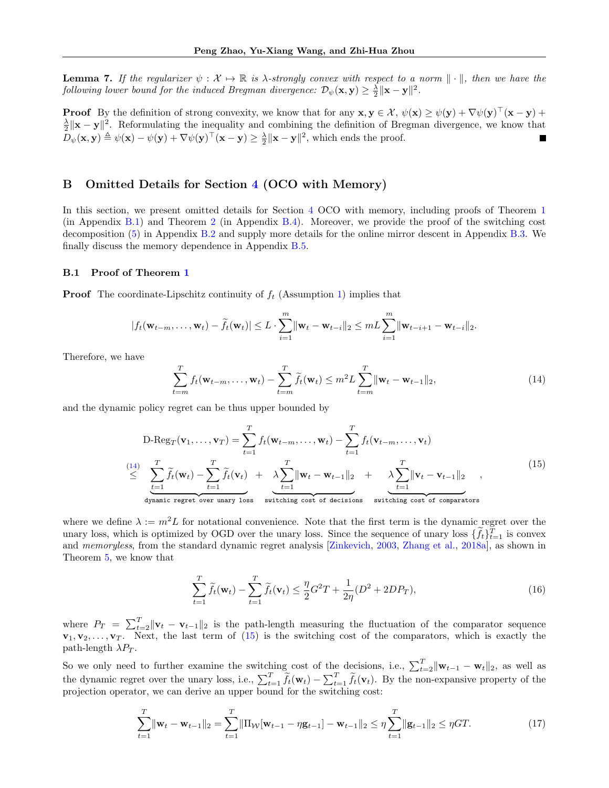<span id="page-14-5"></span>**Lemma 7.** If the regularizer  $\psi : \mathcal{X} \mapsto \mathbb{R}$  is  $\lambda$ -strongly convex with respect to a norm  $\|\cdot\|$ , then we have the following lower bound for the induced Bregman divergence:  $\mathcal{D}_{\psi}(\mathbf{x}, \mathbf{y}) \geq \frac{\lambda}{2} \|\mathbf{x} - \mathbf{y}\|^2$ .

**Proof** By the definition of strong convexity, we know that for any  $\mathbf{x}, \mathbf{y} \in \mathcal{X}$ ,  $\psi(\mathbf{x}) \geq \psi(\mathbf{y}) + \nabla \psi(\mathbf{y})^{\top}(\mathbf{x} - \mathbf{y}) +$  $\frac{\lambda}{2} \|\mathbf{x} - \mathbf{y}\|^2$ . Reformulating the inequality and combining the definition of Bregman divergence, we know that  $D_{\psi}(\mathbf{x}, \mathbf{y}) \triangleq \psi(\mathbf{x}) - \psi(\mathbf{y}) + \nabla \psi(\mathbf{y})^{\top} (\mathbf{x} - \mathbf{y}) \ge \frac{\lambda}{2} ||\mathbf{x} - \mathbf{y}||^2$ , which ends the proof.

# B Omitted Details for Section [4](#page-3-1) (OCO with Memory)

In this section, we present omitted details for Section [4](#page-3-1) OCO with memory, including proofs of Theorem [1](#page-4-0) (in Appendix [B.1\)](#page-14-0) and Theorem [2](#page-6-2) (in Appendix [B.4\)](#page-18-0). Moreover, we provide the proof of the switching cost decomposition [\(5\)](#page-4-2) in Appendix [B.2](#page-15-0) and supply more details for the online mirror descent in Appendix [B.3.](#page-15-1) We finally discuss the memory dependence in Appendix [B.5.](#page-19-0)

#### <span id="page-14-0"></span>B.1 Proof of Theorem [1](#page-4-0)

**Proof** The coordinate-Lipschitz continuity of  $f_t$  (Assumption [1\)](#page-3-2) implies that

$$
|f_t(\mathbf{w}_{t-m},\ldots,\mathbf{w}_t)-\widetilde{f}_t(\mathbf{w}_t)|\leq L\cdot\sum_{i=1}^m\|\mathbf{w}_t-\mathbf{w}_{t-i}\|_2\leq mL\sum_{i=1}^m\|\mathbf{w}_{t-i+1}-\mathbf{w}_{t-i}\|_2.
$$

Therefore, we have

<span id="page-14-1"></span>
$$
\sum_{t=m}^{T} f_t(\mathbf{w}_{t-m}, \dots, \mathbf{w}_t) - \sum_{t=m}^{T} \widetilde{f}_t(\mathbf{w}_t) \leq m^2 L \sum_{t=m}^{T} ||\mathbf{w}_t - \mathbf{w}_{t-1}||_2,
$$
\n(14)

<span id="page-14-2"></span>and the dynamic policy regret can be thus upper bounded by

$$
\text{D-Reg}_T(\mathbf{v}_1, \dots, \mathbf{v}_T) = \sum_{t=1}^T f_t(\mathbf{w}_{t-m}, \dots, \mathbf{w}_t) - \sum_{t=1}^T f_t(\mathbf{v}_{t-m}, \dots, \mathbf{v}_t)
$$
\n
$$
\leq \underbrace{\sum_{t=1}^T \widetilde{f}_t(\mathbf{w}_t)}_{\text{dynamic regret over unary loss}} - \underbrace{\sum_{t=1}^T \|\mathbf{w}_t - \mathbf{w}_{t-1}\|_2}_{\text{switching cost of decisions}} + \underbrace{\lambda \sum_{t=1}^T \|\mathbf{v}_t - \mathbf{v}_{t-1}\|_2}_{\text{switching cost of comparators}} \,, \tag{15}
$$

where we define  $\lambda := m^2 L$  for notational convenience. Note that the first term is the dynamic regret over the unary loss, which is optimized by OGD over the unary loss. Since the sequence of unary loss  $\{f_t\}_{t=1}^T$  is convex and memoryless, from the standard dynamic regret analysis [\[Zinkevich,](#page-11-4) [2003,](#page-11-4) [Zhang et al.,](#page-10-4) [2018a\]](#page-10-4), as shown in Theorem [5,](#page-12-1) we know that

<span id="page-14-4"></span>
$$
\sum_{t=1}^{T} \tilde{f}_t(\mathbf{w}_t) - \sum_{t=1}^{T} \tilde{f}_t(\mathbf{v}_t) \le \frac{\eta}{2} G^2 T + \frac{1}{2\eta} (D^2 + 2DP_T),\tag{16}
$$

where  $P_T = \sum_{t=2}^T ||\mathbf{v}_t - \mathbf{v}_{t-1}||_2$  is the path-length measuring the fluctuation of the comparator sequence  $\mathbf{v}_1, \mathbf{v}_2, \ldots, \mathbf{v}_T$ . Next, the last term of [\(15\)](#page-14-2) is the switching cost of the comparators, which is exactly the path-length  $\lambda P_T$ .

So we only need to further examine the switching cost of the decisions, i.e.,  $\sum_{t=2}^{T} ||\mathbf{w}_{t-1} - \mathbf{w}_t||_2$ , as well as the dynamic regret over the unary loss, i.e.,  $\sum_{t=1}^{T} \widetilde{f}_t(\mathbf{w}_t) - \sum_{t=1}^{T} \widetilde{f}_t(\mathbf{v}_t)$ . By the non-expansive property of the projection operator, we can derive an upper bound for the switching cost:

<span id="page-14-3"></span>
$$
\sum_{t=1}^{T} \|\mathbf{w}_t - \mathbf{w}_{t-1}\|_2 = \sum_{t=1}^{T} \|\Pi_{\mathcal{W}}[\mathbf{w}_{t-1} - \eta \mathbf{g}_{t-1}] - \mathbf{w}_{t-1}\|_2 \leq \eta \sum_{t=1}^{T} \|\mathbf{g}_{t-1}\|_2 \leq \eta GT.
$$
\n(17)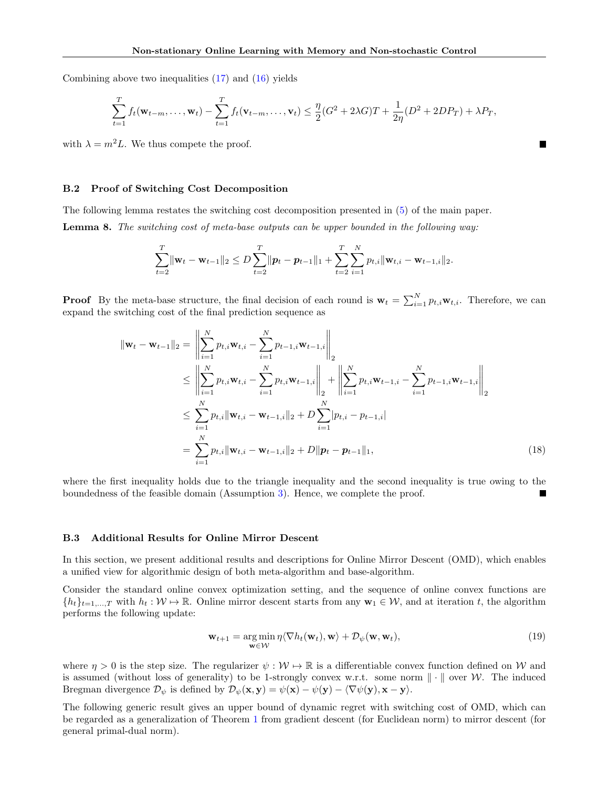Combining above two inequalities [\(17\)](#page-14-3) and [\(16\)](#page-14-4) yields

$$
\sum_{t=1}^{T} f_t(\mathbf{w}_{t-m}, \dots, \mathbf{w}_t) - \sum_{t=1}^{T} f_t(\mathbf{v}_{t-m}, \dots, \mathbf{v}_t) \leq \frac{\eta}{2} (G^2 + 2\lambda G)T + \frac{1}{2\eta} (D^2 + 2DP_T) + \lambda P_T,
$$

 $\overline{\phantom{a}}$ 

with  $\lambda = m^2 L$ . We thus compete the proof.

#### <span id="page-15-0"></span>B.2 Proof of Switching Cost Decomposition

<span id="page-15-3"></span>The following lemma restates the switching cost decomposition presented in [\(5\)](#page-4-2) of the main paper. Lemma 8. The switching cost of meta-base outputs can be upper bounded in the following way:

$$
\sum_{t=2}^{T} \|\mathbf{w}_{t} - \mathbf{w}_{t-1}\|_{2} \leq D \sum_{t=2}^{T} \|p_{t} - p_{t-1}\|_{1} + \sum_{t=2}^{T} \sum_{i=1}^{N} p_{t,i} \|\mathbf{w}_{t,i} - \mathbf{w}_{t-1,i}\|_{2}.
$$

**Proof** By the meta-base structure, the final decision of each round is  $\mathbf{w}_t = \sum_{i=1}^{N} p_{t,i} \mathbf{w}_{t,i}$ . Therefore, we can expand the switching cost of the final prediction sequence as

$$
\|\mathbf{w}_{t} - \mathbf{w}_{t-1}\|_{2} = \left\|\sum_{i=1}^{N} p_{t,i} \mathbf{w}_{t,i} - \sum_{i=1}^{N} p_{t-1,i} \mathbf{w}_{t-1,i}\right\|_{2}
$$
\n
$$
\leq \left\|\sum_{i=1}^{N} p_{t,i} \mathbf{w}_{t,i} - \sum_{i=1}^{N} p_{t,i} \mathbf{w}_{t-1,i}\right\|_{2} + \left\|\sum_{i=1}^{N} p_{t,i} \mathbf{w}_{t-1,i} - \sum_{i=1}^{N} p_{t-1,i} \mathbf{w}_{t-1,i}\right\|_{2}
$$
\n
$$
\leq \sum_{i=1}^{N} p_{t,i} \|\mathbf{w}_{t,i} - \mathbf{w}_{t-1,i}\|_{2} + D \sum_{i=1}^{N} |p_{t,i} - p_{t-1,i}|
$$
\n
$$
= \sum_{i=1}^{N} p_{t,i} \|\mathbf{w}_{t,i} - \mathbf{w}_{t-1,i}\|_{2} + D \|\mathbf{p}_{t} - \mathbf{p}_{t-1}\|_{1}, \tag{18}
$$

where the first inequality holds due to the triangle inequality and the second inequality is true owing to the boundedness of the feasible domain (Assumption [3\)](#page-3-3). Hence, we complete the proof.

#### <span id="page-15-1"></span>B.3 Additional Results for Online Mirror Descent

In this section, we present additional results and descriptions for Online Mirror Descent (OMD), which enables a unified view for algorithmic design of both meta-algorithm and base-algorithm.

Consider the standard online convex optimization setting, and the sequence of online convex functions are  ${h_t}_{t=1,\ldots,T}$  with  $h_t : \mathcal{W} \to \mathbb{R}$ . Online mirror descent starts from any  $\mathbf{w}_1 \in \mathcal{W}$ , and at iteration t, the algorithm performs the following update:

<span id="page-15-2"></span>
$$
\mathbf{w}_{t+1} = \underset{\mathbf{w} \in \mathcal{W}}{\arg \min} \eta \langle \nabla h_t(\mathbf{w}_t), \mathbf{w} \rangle + \mathcal{D}_{\psi}(\mathbf{w}, \mathbf{w}_t), \tag{19}
$$

where  $\eta > 0$  is the step size. The regularizer  $\psi : \mathcal{W} \mapsto \mathbb{R}$  is a differentiable convex function defined on W and is assumed (without loss of generality) to be 1-strongly convex w.r.t. some norm  $\|\cdot\|$  over W. The induced Bregman divergence  $\mathcal{D}_{\psi}$  is defined by  $\mathcal{D}_{\psi}(\mathbf{x}, \mathbf{y}) = \psi(\mathbf{x}) - \psi(\mathbf{y}) - \langle \nabla \psi(\mathbf{y}), \mathbf{x} - \mathbf{y} \rangle$ .

The following generic result gives an upper bound of dynamic regret with switching cost of OMD, which can be regarded as a generalization of Theorem [1](#page-4-0) from gradient descent (for Euclidean norm) to mirror descent (for general primal-dual norm).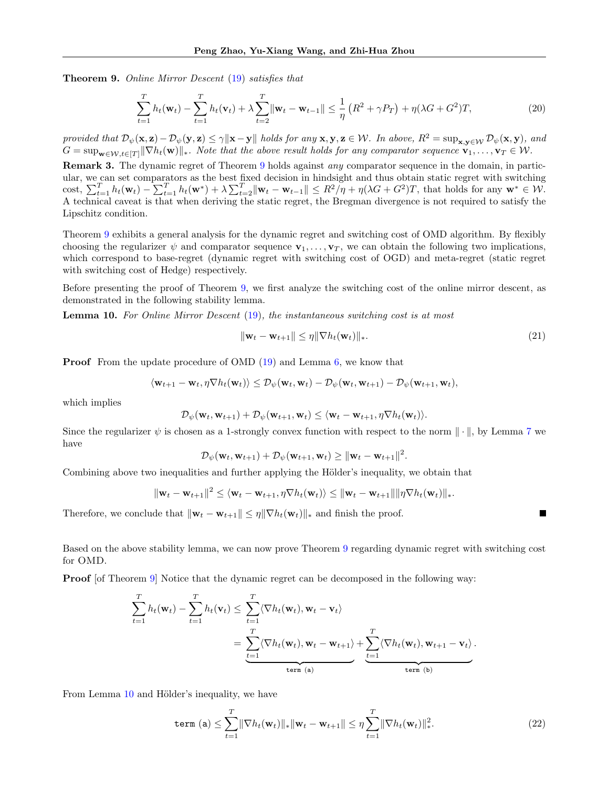<span id="page-16-0"></span>Theorem 9. Online Mirror Descent [\(19\)](#page-15-2) satisfies that

$$
\sum_{t=1}^{T} h_t(\mathbf{w}_t) - \sum_{t=1}^{T} h_t(\mathbf{v}_t) + \lambda \sum_{t=2}^{T} \|\mathbf{w}_t - \mathbf{w}_{t-1}\| \leq \frac{1}{\eta} \left( R^2 + \gamma P_T \right) + \eta (\lambda G + G^2) T,
$$
\n(20)

provided that  $\mathcal{D}_{\psi}(\mathbf{x}, \mathbf{z}) - \mathcal{D}_{\psi}(\mathbf{y}, \mathbf{z}) \leq \gamma \|\mathbf{x} - \mathbf{y}\|$  holds for any  $\mathbf{x}, \mathbf{y}, \mathbf{z} \in \mathcal{W}$ . In above,  $R^2 = \sup_{\mathbf{x}, \mathbf{y} \in \mathcal{W}} \mathcal{D}_{\psi}(\mathbf{x}, \mathbf{y})$ , and  $G = \sup_{\mathbf{w}\in\mathcal{W},t\in[T]}\|\nabla h_t(\mathbf{w})\|_*$ . Note that the above result holds for any comparator sequence  $\mathbf{v}_1,\ldots,\mathbf{v}_T\in\mathcal{W}$ .

**Remark 3.** The dynamic regret of Theorem [9](#page-16-0) holds against any comparator sequence in the domain, in particular, we can set comparators as the best fixed decision in hindsight and thus obtain static regret with switching cost,  $\sum_{t=1}^T h_t(\mathbf{w}_t) - \sum_{t=1}^T h_t(\mathbf{w}^*) + \lambda \sum_{t=2}^T \|\mathbf{w}_t - \mathbf{w}_{t-1}\| \leq R^2/\eta + \eta(\lambda G + G^2)T$ , that holds for any  $\mathbf{w}^* \in \mathcal{W}$ . A technical caveat is that when deriving the static regret, the Bregman divergence is not required to satisfy the Lipschitz condition.

Theorem [9](#page-16-0) exhibits a general analysis for the dynamic regret and switching cost of OMD algorithm. By flexibly choosing the regularizer  $\psi$  and comparator sequence  $\mathbf{v}_1, \ldots, \mathbf{v}_T$ , we can obtain the following two implications, which correspond to base-regret (dynamic regret with switching cost of OGD) and meta-regret (static regret with switching cost of Hedge) respectively.

Before presenting the proof of Theorem [9,](#page-16-0) we first analyze the switching cost of the online mirror descent, as demonstrated in the following stability lemma.

<span id="page-16-1"></span>Lemma 10. For Online Mirror Descent [\(19\)](#page-15-2), the instantaneous switching cost is at most

$$
\|\mathbf{w}_t - \mathbf{w}_{t+1}\| \le \eta \|\nabla h_t(\mathbf{w}_t)\|_*.
$$
\n(21)

П

**Proof** From the update procedure of OMD [\(19\)](#page-15-2) and Lemma [6,](#page-13-2) we know that

$$
\langle \mathbf{w}_{t+1} - \mathbf{w}_t, \eta \nabla h_t(\mathbf{w}_t) \rangle \leq \mathcal{D}_{\psi}(\mathbf{w}_t, \mathbf{w}_t) - \mathcal{D}_{\psi}(\mathbf{w}_t, \mathbf{w}_{t+1}) - \mathcal{D}_{\psi}(\mathbf{w}_{t+1}, \mathbf{w}_t),
$$

which implies

$$
\mathcal{D}_{\psi}(\mathbf{w}_t, \mathbf{w}_{t+1}) + \mathcal{D}_{\psi}(\mathbf{w}_{t+1}, \mathbf{w}_t) \leq \langle \mathbf{w}_t - \mathbf{w}_{t+1}, \eta \nabla h_t(\mathbf{w}_t) \rangle.
$$

Since the regularizer  $\psi$  is chosen as a 1-strongly convex function with respect to the norm  $\|\cdot\|$ , by Lemma [7](#page-14-5) we have

$$
\mathcal{D}_{\psi}(\mathbf{w}_t, \mathbf{w}_{t+1}) + \mathcal{D}_{\psi}(\mathbf{w}_{t+1}, \mathbf{w}_t) \geq \|\mathbf{w}_t - \mathbf{w}_{t+1}\|^2.
$$

Combining above two inequalities and further applying the Hölder's inequality, we obtain that

$$
\|\mathbf{w}_t - \mathbf{w}_{t+1}\|^2 \leq \langle \mathbf{w}_t - \mathbf{w}_{t+1}, \eta \nabla h_t(\mathbf{w}_t) \rangle \leq \|\mathbf{w}_t - \mathbf{w}_{t+1}\| \|\eta \nabla h_t(\mathbf{w}_t)\|_*.
$$

Therefore, we conclude that  $\|\mathbf{w}_t - \mathbf{w}_{t+1}\| \leq \eta \|\nabla h_t(\mathbf{w}_t)\|_*$  and finish the proof.

Based on the above stability lemma, we can now prove Theorem [9](#page-16-0) regarding dynamic regret with switching cost for OMD.

**Proof** [of Theorem [9\]](#page-16-0) Notice that the dynamic regret can be decomposed in the following way:

$$
\sum_{t=1}^{T} h_t(\mathbf{w}_t) - \sum_{t=1}^{T} h_t(\mathbf{v}_t) \leq \sum_{t=1}^{T} \langle \nabla h_t(\mathbf{w}_t), \mathbf{w}_t - \mathbf{v}_t \rangle
$$
\n
$$
= \underbrace{\sum_{t=1}^{T} \langle \nabla h_t(\mathbf{w}_t), \mathbf{w}_t - \mathbf{w}_{t+1} \rangle}_{\text{term (a)}} + \underbrace{\sum_{t=1}^{T} \langle \nabla h_t(\mathbf{w}_t), \mathbf{w}_{t+1} - \mathbf{v}_t \rangle}_{\text{term (b)}}.
$$

From Lemma [10](#page-16-1) and Hölder's inequality, we have

<span id="page-16-2"></span>term (a) 
$$
\leq \sum_{t=1}^{T} \|\nabla h_t(\mathbf{w}_t)\|_* \|\mathbf{w}_t - \mathbf{w}_{t+1}\| \leq \eta \sum_{t=1}^{T} \|\nabla h_t(\mathbf{w}_t)\|_*^2
$$
. (22)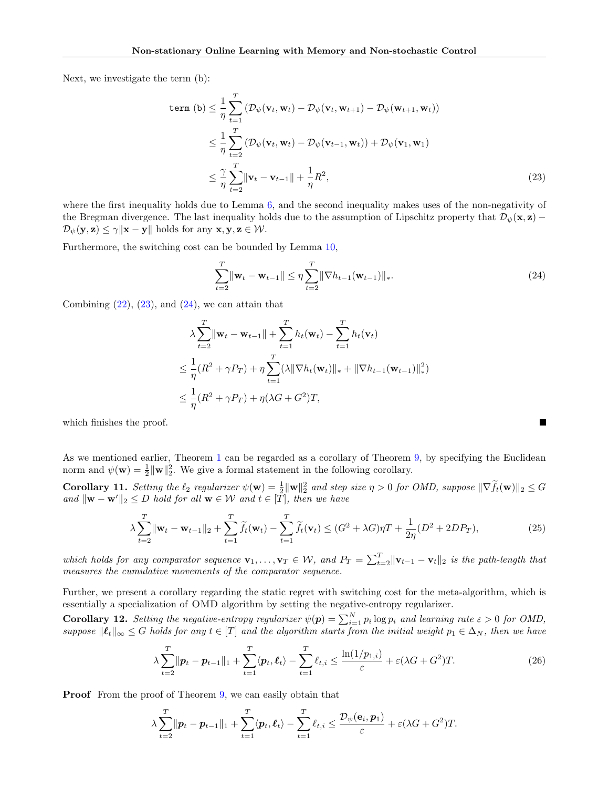Next, we investigate the term (b):

$$
\begin{split} \text{term (b)} &\leq \frac{1}{\eta} \sum_{t=1}^{T} \left( \mathcal{D}_{\psi}(\mathbf{v}_{t}, \mathbf{w}_{t}) - \mathcal{D}_{\psi}(\mathbf{v}_{t}, \mathbf{w}_{t+1}) - \mathcal{D}_{\psi}(\mathbf{w}_{t+1}, \mathbf{w}_{t}) \right) \\ &\leq \frac{1}{\eta} \sum_{t=2}^{T} \left( \mathcal{D}_{\psi}(\mathbf{v}_{t}, \mathbf{w}_{t}) - \mathcal{D}_{\psi}(\mathbf{v}_{t-1}, \mathbf{w}_{t}) \right) + \mathcal{D}_{\psi}(\mathbf{v}_{1}, \mathbf{w}_{1}) \\ &\leq \frac{\gamma}{\eta} \sum_{t=2}^{T} \|\mathbf{v}_{t} - \mathbf{v}_{t-1}\| + \frac{1}{\eta} R^{2}, \end{split} \tag{23}
$$

where the first inequality holds due to Lemma [6,](#page-13-2) and the second inequality makes uses of the non-negativity of the Bregman divergence. The last inequality holds due to the assumption of Lipschitz property that  $\mathcal{D}_{\psi}(\mathbf{x}, \mathbf{z})$  –  $\mathcal{D}_{\psi}(\mathbf{y}, \mathbf{z}) \leq \gamma \|\mathbf{x} - \mathbf{y}\|$  holds for any  $\mathbf{x}, \mathbf{y}, \mathbf{z} \in \mathcal{W}$ .

Furthermore, the switching cost can be bounded by Lemma [10,](#page-16-1)

<span id="page-17-1"></span><span id="page-17-0"></span>
$$
\sum_{t=2}^{T} \|\mathbf{w}_t - \mathbf{w}_{t-1}\| \leq \eta \sum_{t=2}^{T} \|\nabla h_{t-1}(\mathbf{w}_{t-1})\|_{*}.
$$
\n(24)

Combining  $(22)$ ,  $(23)$ , and  $(24)$ , we can attain that

$$
\lambda \sum_{t=2}^{T} ||\mathbf{w}_t - \mathbf{w}_{t-1}|| + \sum_{t=1}^{T} h_t(\mathbf{w}_t) - \sum_{t=1}^{T} h_t(\mathbf{v}_t)
$$
  
\n
$$
\leq \frac{1}{\eta} (R^2 + \gamma P_T) + \eta \sum_{t=1}^{T} (\lambda ||\nabla h_t(\mathbf{w}_t)||_* + ||\nabla h_{t-1}(\mathbf{w}_{t-1})||_*^2)
$$
  
\n
$$
\leq \frac{1}{\eta} (R^2 + \gamma P_T) + \eta (\lambda G + G^2) T,
$$

which finishes the proof.

As we mentioned earlier, Theorem [1](#page-4-0) can be regarded as a corollary of Theorem [9,](#page-16-0) by specifying the Euclidean norm and  $\psi(\mathbf{w}) = \frac{1}{2} \|\mathbf{w}\|_2^2$ . We give a formal statement in the following corollary.

Corollary 11. Setting the  $\ell_2$  regularizer  $\psi(\mathbf{w}) = \frac{1}{2} \|\mathbf{w}\|_2^2$  and step size  $\eta > 0$  for OMD, suppose  $\|\nabla \tilde{f}_t(\mathbf{w})\|_2 \leq G$ and  $\|\mathbf{w} - \mathbf{w}'\|_2 \leq D$  hold for all  $\mathbf{w} \in \mathcal{W}$  and  $t \in [\overline{T}]$ , then we have

$$
\lambda \sum_{t=2}^{T} \|\mathbf{w}_t - \mathbf{w}_{t-1}\|_2 + \sum_{t=1}^{T} \tilde{f}_t(\mathbf{w}_t) - \sum_{t=1}^{T} \tilde{f}_t(\mathbf{v}_t) \le (G^2 + \lambda G)\eta T + \frac{1}{2\eta} (D^2 + 2DP_T),
$$
\n(25)

which holds for any comparator sequence  $\mathbf{v}_1, \ldots, \mathbf{v}_T \in \mathcal{W}$ , and  $P_T = \sum_{t=2}^T \|\mathbf{v}_{t-1} - \mathbf{v}_t\|_2$  is the path-length that measures the cumulative movements of the comparator sequence.

Further, we present a corollary regarding the static regret with switching cost for the meta-algorithm, which is essentially a specialization of OMD algorithm by setting the negative-entropy regularizer.

<span id="page-17-2"></span>**Corollary 12.** Setting the negative-entropy regularizer  $\psi(\mathbf{p}) = \sum_{i=1}^{N} p_i \log p_i$  and learning rate  $\varepsilon > 0$  for OMD, suppose  $||\ell_t||_{\infty} \leq G$  holds for any  $t \in [T]$  and the algorithm starts from the initial weight  $p_1 \in \Delta_N$ , then we have

$$
\lambda \sum_{t=2}^{T} \|\boldsymbol{p}_t - \boldsymbol{p}_{t-1}\|_1 + \sum_{t=1}^{T} \langle \boldsymbol{p}_t, \boldsymbol{\ell}_t \rangle - \sum_{t=1}^{T} \ell_{t,i} \le \frac{\ln(1/p_{1,i})}{\varepsilon} + \varepsilon (\lambda G + G^2) T. \tag{26}
$$

**Proof** From the proof of Theorem [9,](#page-16-0) we can easily obtain that

$$
\lambda \sum_{t=2}^T \|\boldsymbol{p}_t - \boldsymbol{p}_{t-1}\|_1 + \sum_{t=1}^T \langle \boldsymbol{p}_t, \boldsymbol{\ell}_t \rangle - \sum_{t=1}^T \ell_{t,i} \leq \frac{\mathcal{D}_{\psi}(\mathbf{e}_i, \boldsymbol{p}_1)}{\varepsilon} + \varepsilon (\lambda G + G^2)T.
$$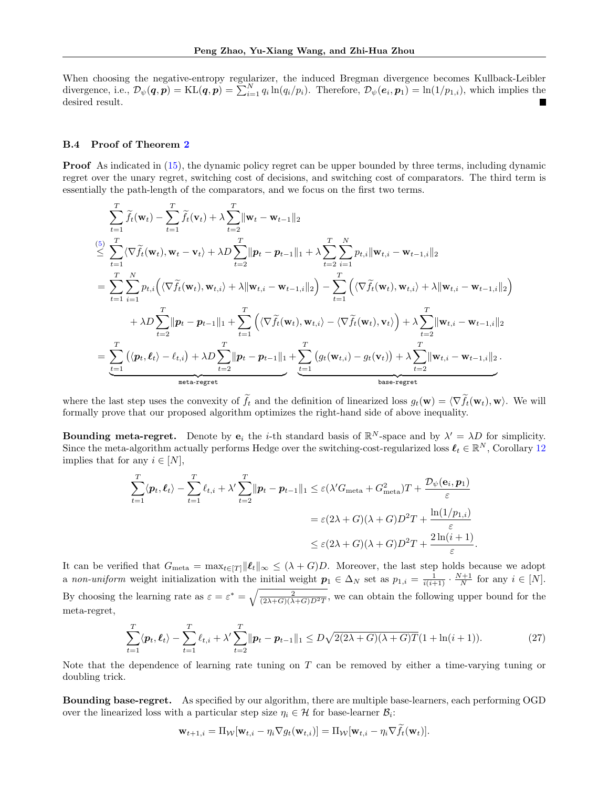When choosing the negative-entropy regularizer, the induced Bregman divergence becomes Kullback-Leibler divergence, i.e.,  $\mathcal{D}_{\psi}(q, p) = \text{KL}(q, p) = \sum_{i=1}^{N} q_i \ln(q_i/p_i)$ . Therefore,  $\mathcal{D}_{\psi}(e_i, p_1) = \ln(1/p_{1,i})$ , which implies the desired result.

#### <span id="page-18-0"></span>B.4 Proof of Theorem [2](#page-6-2)

**Proof** As indicated in [\(15\)](#page-14-2), the dynamic policy regret can be upper bounded by three terms, including dynamic regret over the unary regret, switching cost of decisions, and switching cost of comparators. The third term is essentially the path-length of the comparators, and we focus on the first two terms.

$$
\sum_{t=1}^{T} \widetilde{f}_{t}(\mathbf{w}_{t}) - \sum_{t=1}^{T} \widetilde{f}_{t}(\mathbf{v}_{t}) + \lambda \sum_{t=2}^{T} \|\mathbf{w}_{t} - \mathbf{w}_{t-1}\|_{2}
$$
\n
$$
\leq \sum_{t=1}^{T} \langle \nabla \widetilde{f}_{t}(\mathbf{w}_{t}), \mathbf{w}_{t} - \mathbf{v}_{t} \rangle + \lambda D \sum_{t=2}^{T} \|\mathbf{p}_{t} - \mathbf{p}_{t-1}\|_{1} + \lambda \sum_{t=2}^{T} \sum_{i=1}^{N} p_{t,i} \|\mathbf{w}_{t,i} - \mathbf{w}_{t-1,i}\|_{2}
$$
\n
$$
= \sum_{t=1}^{T} \sum_{i=1}^{N} p_{t,i} \Big( \langle \nabla \widetilde{f}_{t}(\mathbf{w}_{t}), \mathbf{w}_{t,i} \rangle + \lambda \|\mathbf{w}_{t,i} - \mathbf{w}_{t-1,i}\|_{2} \Big) - \sum_{t=1}^{T} \Big( \langle \nabla \widetilde{f}_{t}(\mathbf{w}_{t}), \mathbf{w}_{t,i} \rangle + \lambda \|\mathbf{w}_{t,i} - \mathbf{w}_{t-1,i}\|_{2} \Big) + \lambda D \sum_{t=2}^{T} \|\mathbf{p}_{t} - \mathbf{p}_{t-1}\|_{1} + \sum_{t=1}^{T} \Big( \langle \nabla \widetilde{f}_{t}(\mathbf{w}_{t}), \mathbf{w}_{t,i} \rangle - \langle \nabla \widetilde{f}_{t}(\mathbf{w}_{t}), \mathbf{v}_{t} \rangle \Big) + \lambda \sum_{t=2}^{T} \|\mathbf{w}_{t,i} - \mathbf{w}_{t-1,i}\|_{2}
$$
\n
$$
= \sum_{t=1}^{T} \Big( \langle \mathbf{p}_{t}, \ell_{t} \rangle - \ell_{t,i} \Big) + \lambda D \sum_{t=2}^{T} \|\mathbf{p}_{t} - \mathbf{p}_{t-1}\|_{1} + \sum_{t=1}^{T} \Big( g_{t}(\mathbf{w}_{t,i}) - g_{t}(\mathbf{v}_{t}) \Big) + \lambda \sum_{t=2}^{T} \|\mathbf{w}_{t,i} - \mathbf{w}_{t-1,i}\|
$$

where the last step uses the convexity of  $\tilde{f}_t$  and the definition of linearized loss  $g_t(\mathbf{w}) = \langle \nabla \tilde{f}_t(\mathbf{w}_t), \mathbf{w} \rangle$ . We will formally prove that our proposed algorithm optimizes the right-hand side of above inequality.

**Bounding meta-regret.** Denote by  $e_i$  the *i*-th standard basis of  $\mathbb{R}^N$ -space and by  $\lambda' = \lambda D$  for simplicity. Since the meta-algorithm actually performs Hedge over the switching-cost-regularized loss  $\ell_t \in \mathbb{R}^N$ , Corollary [12](#page-17-2) implies that for any  $i \in [N]$ ,

$$
\sum_{t=1}^{T} \langle p_t, \ell_t \rangle - \sum_{t=1}^{T} \ell_{t,i} + \lambda' \sum_{t=2}^{T} \|\pmb{p}_t - \pmb{p}_{t-1}\|_1 \leq \varepsilon (\lambda' G_{\text{meta}} + G_{\text{meta}}^2) T + \frac{\mathcal{D}_{\psi}(\mathbf{e}_i, \pmb{p}_1)}{\varepsilon}
$$

$$
= \varepsilon (2\lambda + G)(\lambda + G) D^2 T + \frac{\ln(1/p_{1,i})}{\varepsilon}
$$

$$
\leq \varepsilon (2\lambda + G)(\lambda + G) D^2 T + \frac{2\ln(i+1)}{\varepsilon}.
$$

It can be verified that  $G_{\text{meta}} = \max_{t \in [T]} ||\ell_t||_{\infty} \leq (\lambda + G)D$ . Moreover, the last step holds because we adopt a non-uniform weight initialization with the initial weight  $p_1 \in \Delta_N$  set as  $p_{1,i} = \frac{1}{i(i+1)} \cdot \frac{N+1}{N}$  for any  $i \in [N]$ . By choosing the learning rate as  $\varepsilon = \varepsilon^* = \sqrt{\frac{2}{(2\lambda+G)(\lambda+G)D^2T}}$ , we can obtain the following upper bound for the meta-regret,

<span id="page-18-1"></span>
$$
\sum_{t=1}^{T} \langle \boldsymbol{p}_t, \boldsymbol{\ell}_t \rangle - \sum_{t=1}^{T} \ell_{t,i} + \lambda' \sum_{t=2}^{T} \|\boldsymbol{p}_t - \boldsymbol{p}_{t-1}\|_1 \le D\sqrt{2(2\lambda + G)(\lambda + G)}T(1 + \ln(i+1)).
$$
\n(27)

Note that the dependence of learning rate tuning on T can be removed by either a time-varying tuning or doubling trick.

Bounding base-regret. As specified by our algorithm, there are multiple base-learners, each performing OGD over the linearized loss with a particular step size  $\eta_i \in \mathcal{H}$  for base-learner  $\mathcal{B}_i$ :

$$
\mathbf{w}_{t+1,i} = \Pi_{\mathcal{W}}[\mathbf{w}_{t,i} - \eta_i \nabla g_t(\mathbf{w}_{t,i})] = \Pi_{\mathcal{W}}[\mathbf{w}_{t,i} - \eta_i \nabla f_t(\mathbf{w}_t)].
$$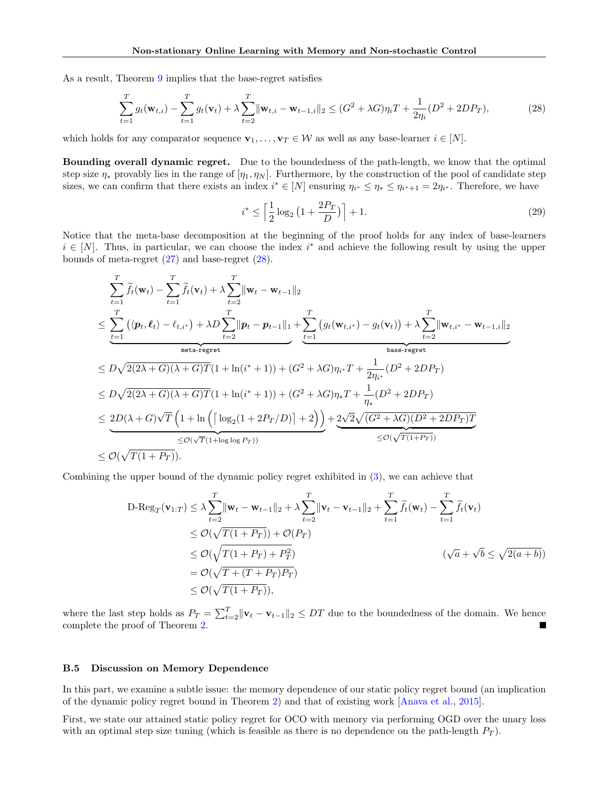As a result, Theorem [9](#page-16-0) implies that the base-regret satisfies

<span id="page-19-1"></span>
$$
\sum_{t=1}^{T} g_t(\mathbf{w}_{t,i}) - \sum_{t=1}^{T} g_t(\mathbf{v}_t) + \lambda \sum_{t=2}^{T} \|\mathbf{w}_{t,i} - \mathbf{w}_{t-1,i}\|_2 \leq (G^2 + \lambda G)\eta_i T + \frac{1}{2\eta_i} (D^2 + 2DP_T),
$$
\n(28)

which holds for any comparator sequence  $\mathbf{v}_1, \ldots, \mathbf{v}_T \in \mathcal{W}$  as well as any base-learner  $i \in [N]$ .

Bounding overall dynamic regret. Due to the boundedness of the path-length, we know that the optimal step size  $\eta_*$  provably lies in the range of  $[\eta_1, \eta_N]$ . Furthermore, by the construction of the pool of candidate step sizes, we can confirm that there exists an index  $i^* \in [N]$  ensuring  $\eta_{i^*} \leq \eta_* \leq \eta_{i^*+1} = 2\eta_{i^*}$ . Therefore, we have

$$
i^* \le \left\lceil \frac{1}{2} \log_2 \left( 1 + \frac{2P_T}{D} \right) \right\rceil + 1. \tag{29}
$$

Notice that the meta-base decomposition at the beginning of the proof holds for any index of base-learners  $i \in [N]$ . Thus, in particular, we can choose the index i<sup>\*</sup> and achieve the following result by using the upper bounds of meta-regret  $(27)$  and base-regret  $(28)$ .

$$
\sum_{t=1}^{T} \widetilde{f}_{t}(\mathbf{w}_{t}) - \sum_{t=1}^{T} \widetilde{f}_{t}(\mathbf{v}_{t}) + \lambda \sum_{t=2}^{T} \|\mathbf{w}_{t} - \mathbf{w}_{t-1}\|_{2}
$$
\n
$$
\leq \sum_{t=1}^{T} (\langle p_{t}, \ell_{t} \rangle - \ell_{t,i^{*}}) + \lambda D \sum_{t=2}^{T} \|\mathbf{p}_{t} - \mathbf{p}_{t-1}\|_{1} + \sum_{t=1}^{T} (g_{t}(\mathbf{w}_{t,i^{*}}) - g_{t}(\mathbf{v}_{t})) + \lambda \sum_{t=2}^{T} \|\mathbf{w}_{t,i^{*}} - \mathbf{w}_{t-1,i}\|_{2}
$$
\n
$$
\leq D\sqrt{2(2\lambda + G)(\lambda + G)T}(1 + \ln(i^{*} + 1)) + (G^{2} + \lambda G)\eta_{i^{*}}T + \frac{1}{2\eta_{i^{*}}} (D^{2} + 2DP_{T})
$$
\n
$$
\leq D\sqrt{2(2\lambda + G)(\lambda + G)T}(1 + \ln(i^{*} + 1)) + (G^{2} + \lambda G)\eta_{i^{*}}T + \frac{1}{\eta_{i}} (D^{2} + 2DP_{T})
$$
\n
$$
\leq 2D(\lambda + G)\sqrt{T} \left(1 + \ln\left(\left[\log_{2}(1 + 2P_{T}/D)\right] + 2\right)\right) + 2\sqrt{2}\sqrt{(G^{2} + \lambda G)(D^{2} + 2DP_{T})T}}
$$
\n
$$
\leq \mathcal{O}(\sqrt{T(1 + P_{T})}).
$$

Combining the upper bound of the dynamic policy regret exhibited in [\(3\)](#page-3-4), we can achieve that

$$
\begin{split} \text{D-Reg}_{T}(\mathbf{v}_{1:T}) &\leq \lambda \sum_{t=2}^{T} \|\mathbf{w}_{t} - \mathbf{w}_{t-1}\|_{2} + \lambda \sum_{t=2}^{T} \|\mathbf{v}_{t} - \mathbf{v}_{t-1}\|_{2} + \sum_{t=1}^{T} \widetilde{f}_{t}(\mathbf{w}_{t}) - \sum_{t=1}^{T} \widetilde{f}_{t}(\mathbf{v}_{t}) \\ &\leq \mathcal{O}(\sqrt{T(1+P_{T})} + \mathcal{O}(P_{T}) \\ &\leq \mathcal{O}(\sqrt{T(1+P_{T}) + P_{T}^{2}}) \\ &= \mathcal{O}(\sqrt{T+ (T+P_{T})P_{T}}) \\ &\leq \mathcal{O}(\sqrt{T(1+P_{T})}), \end{split}
$$

where the last step holds as  $P_T = \sum_{t=2}^T ||\mathbf{v}_t - \mathbf{v}_{t-1}||_2 \le DT$  due to the boundedness of the domain. We hence complete the proof of Theorem [2.](#page-6-2)

### <span id="page-19-0"></span>B.5 Discussion on Memory Dependence

In this part, we examine a subtle issue: the memory dependence of our static policy regret bound (an implication of the dynamic policy regret bound in Theorem [2\)](#page-6-2) and that of existing work [\[Anava et al.,](#page-9-2) [2015\]](#page-9-2).

First, we state our attained static policy regret for OCO with memory via performing OGD over the unary loss with an optimal step size tuning (which is feasible as there is no dependence on the path-length  $P_T$ ).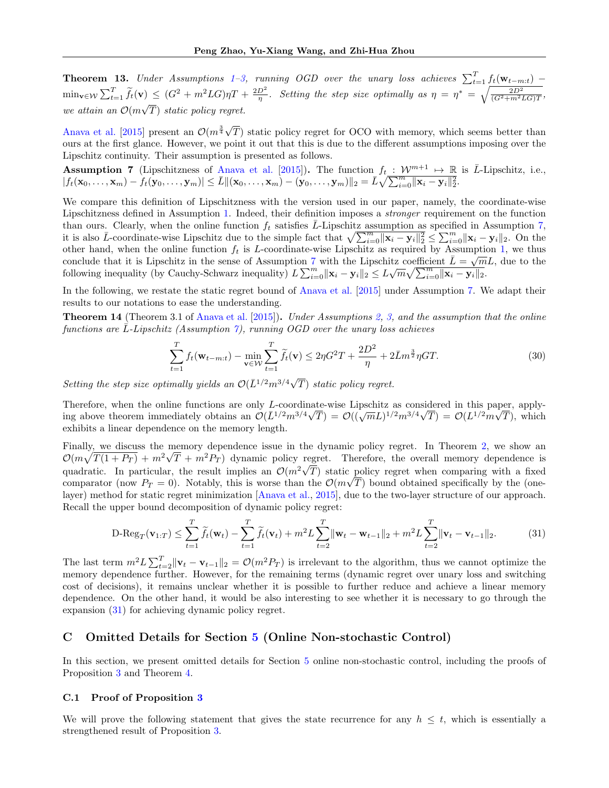**Theorem [1](#page-3-2)3.** Under Assumptions 1[–3,](#page-3-3) running OGD over the unary loss achieves  $\sum_{t=1}^{T} f_t(\mathbf{w}_{t-m:t})$  –  $\min_{\mathbf{v}\in\mathcal{W}}\sum_{t=1}^T \widetilde{f}_t(\mathbf{v}) \leq (G^2+m^2LG)\eta T + \frac{2D^2}{\eta}$ . Setting the step size optimally as  $\eta = \eta^* = \sqrt{\frac{2D^2}{(G^2+m^2LG)T}}$ we attain an  $\mathcal{O}(m\sqrt{T})$  static policy regret. √

[Anava et al.](#page-9-2) [\[2015\]](#page-9-2) present an  $\mathcal{O}(m^{\frac{3}{4}}\sqrt{3})$ T) static policy regret for OCO with memory, which seems better than ours at the first glance. However, we point it out that this is due to the different assumptions imposing over the Lipschitz continuity. Their assumption is presented as follows.

<span id="page-20-0"></span>**Assumption 7** (Lipschitzness of [Anava et al.](#page-9-2) [\[2015\]](#page-9-2)). The function  $f_t : \mathcal{W}^{m+1} \mapsto \mathbb{R}$  is  $\overline{L}$ -Lipschitz, i.e.,  $|f_t(\mathbf{x}_0, \dots, \mathbf{x}_m) - \dot{f}_t(\mathbf{y}_0, \dots, \mathbf{y}_m)| \leq \bar{L} \|(\mathbf{x}_0, \dots, \mathbf{x}_m) - (\mathbf{y}_0, \dots, \mathbf{y}_m)\|_2 = \bar{L} \sqrt{\sum_{i=0}^m \|\mathbf{x}_i - \mathbf{y}_i\|_2^2}.$ 

We compare this definition of Lipschitzness with the version used in our paper, namely, the coordinate-wise Lipschitzness defined in Assumption [1.](#page-3-2) Indeed, their definition imposes a stronger requirement on the function than ours. Clearly, when the online function  $f_t$  satisfies L-Lipschitz assumption as specified in Assumption [7,](#page-20-0) it is also  $\bar{L}$ -coordinate-wise Lipschitz due to the simple fact that  $\sqrt{\sum_{i=0}^{m} ||\mathbf{x}_i - \mathbf{y}_i||_2^2} \leq \sum_{i=0}^{m} ||\mathbf{x}_i - \mathbf{y}_i||_2$ . On the other hand, when the online function  $f_t$  is L-coordinate-wise Lipschitz as required by Assumption [1,](#page-3-2) we thus conclude that it is Lipschitz in the sense of Assumption [7](#page-20-0) with the Lipschitz coefficient  $\bar{L}=\sqrt{mL}$ , due to the following inequality (by Cauchy-Schwarz inequality)  $L \sum_{i=0}^{m} ||\mathbf{x}_i - \mathbf{y}_i||_2 \leq L \sqrt{m} \sqrt{\sum_{i=0}^{m} ||\mathbf{x}_i - \mathbf{y}_i||_2}$ .

In the following, we restate the static regret bound of [Anava et al.](#page-9-2) [\[2015\]](#page-9-2) under Assumption [7.](#page-20-0) We adapt their results to our notations to ease the understanding.

**Theorem 14** (Theorem 3.1 of [Anava et al.](#page-9-2) [\[2015\]](#page-9-2)). Under Assumptions [2,](#page-3-5) [3,](#page-3-3) and the assumption that the online functions are  $\overline{L}$ -Lipschitz (Assumption [7\)](#page-20-0), running OGD over the unary loss achieves

<span id="page-20-1"></span>
$$
\sum_{t=1}^{T} f_t(\mathbf{w}_{t-m:t}) - \min_{\mathbf{v} \in \mathcal{W}} \sum_{t=1}^{T} \tilde{f}_t(\mathbf{v}) \le 2\eta G^2 T + \frac{2D^2}{\eta} + 2\bar{L}m^{\frac{3}{2}} \eta GT.
$$
 (30)

Setting the step size optimally yields an  $\mathcal{O}(\overline{L}^{1/2}m^{3/4}\sqrt{2})$ T) static policy regret.

Therefore, when the online functions are only L-coordinate-wise Lipschitz as considered in this paper, applying above theorem immediately obtains an  $\mathcal{O}(\bar{L}^{1/2}m^{3/4}\sqrt{T}) = \mathcal{O}((\sqrt{m}L)^{1/2}m^{3/4}\sqrt{T}) = \mathcal{O}(L^{1/2}m\sqrt{T})$ , which exhibits a linear dependence on the memory length.

Finally, we discuss the memory dependence issue in the dynamic policy regret. In Theorem [2,](#page-6-2) we show an  $\mathcal{O}(m\sqrt{T(1+P_T)}+m^2\sqrt{T}+m^2P_T)$  dynamic policy regret. Therefore, the overall memory dependence is quadratic. In particular, the result implies an  $\mathcal{O}(m^2\sqrt{T})$  static policy regret when comparing with a fixed comparator (now  $P_T = 0$ ). Notably, this is worse than the  $\mathcal{O}(m\sqrt{T})$  bound obtained specifically by the (onelayer) method for static regret minimization [\[Anava et al.,](#page-9-2) [2015\]](#page-9-2), due to the two-layer structure of our approach. Recall the upper bound decomposition of dynamic policy regret:

$$
\text{D-Reg}_T(\mathbf{v}_{1:T}) \leq \sum_{t=1}^T \widetilde{f}_t(\mathbf{w}_t) - \sum_{t=1}^T \widetilde{f}_t(\mathbf{v}_t) + m^2 L \sum_{t=2}^T \|\mathbf{w}_t - \mathbf{w}_{t-1}\|_2 + m^2 L \sum_{t=2}^T \|\mathbf{v}_t - \mathbf{v}_{t-1}\|_2.
$$
 (31)

The last term  $m^2 L \sum_{t=2}^T ||\mathbf{v}_t - \mathbf{v}_{t-1}||_2 = \mathcal{O}(m^2 P_T)$  is irrelevant to the algorithm, thus we cannot optimize the memory dependence further. However, for the remaining terms (dynamic regret over unary loss and switching cost of decisions), it remains unclear whether it is possible to further reduce and achieve a linear memory dependence. On the other hand, it would be also interesting to see whether it is necessary to go through the expansion [\(31\)](#page-20-1) for achieving dynamic policy regret.

# C Omitted Details for Section [5](#page-6-0) (Online Non-stochastic Control)

In this section, we present omitted details for Section [5](#page-6-0) online non-stochastic control, including the proofs of Proposition [3](#page-7-3) and Theorem [4.](#page-8-4)

#### C.1 Proof of Proposition [3](#page-7-3)

We will prove the following statement that gives the state recurrence for any  $h \leq t$ , which is essentially a strengthened result of Proposition [3.](#page-7-3)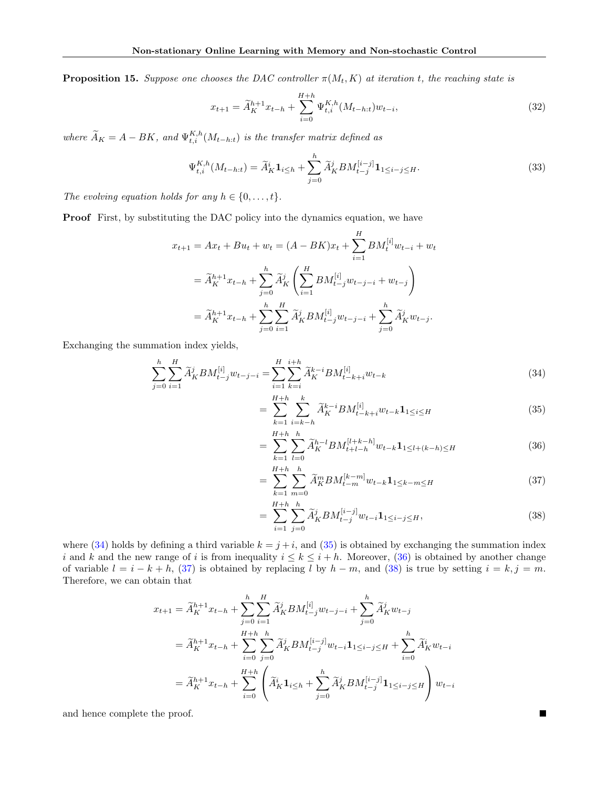**Proposition 15.** Suppose one chooses the DAC controller  $\pi(M_t, K)$  at iteration t, the reaching state is

$$
x_{t+1} = \widetilde{A}_{K}^{h+1} x_{t-h} + \sum_{i=0}^{H+h} \Psi_{t,i}^{K,h}(M_{t-h:t}) w_{t-i},
$$
\n(32)

where  $\widetilde{A}_K = A - BK$ , and  $\Psi_{t,i}^{K,h}(M_{t-h:t})$  is the transfer matrix defined as

$$
\Psi_{t,i}^{K,h}(M_{t-h:t}) = \tilde{A}_K^i \mathbf{1}_{i \le h} + \sum_{j=0}^h \tilde{A}_K^j BM_{t-j}^{[i-j]} \mathbf{1}_{1 \le i-j \le H}.
$$
\n(33)

The evolving equation holds for any  $h \in \{0, \ldots, t\}.$ 

**Proof** First, by substituting the DAC policy into the dynamics equation, we have

$$
x_{t+1} = Ax_t + Bu_t + w_t = (A - BK)x_t + \sum_{i=1}^H BM_t^{[i]} w_{t-i} + w_t
$$
  

$$
= \widetilde{A}_K^{h+1} x_{t-h} + \sum_{j=0}^h \widetilde{A}_K^j \left( \sum_{i=1}^H BM_{t-j}^{[i]} w_{t-j-i} + w_{t-j} \right)
$$
  

$$
= \widetilde{A}_K^{h+1} x_{t-h} + \sum_{j=0}^h \sum_{i=1}^H \widetilde{A}_K^j BM_{t-j}^{[i]} w_{t-j-i} + \sum_{j=0}^h \widetilde{A}_K^j w_{t-j}.
$$

Exchanging the summation index yields,

$$
\sum_{j=0}^{h} \sum_{i=1}^{H} \widetilde{A}_{K}^{j} B M_{t-j}^{[i]} w_{t-j-i} = \sum_{i=1}^{H} \sum_{k=i}^{i+h} \widetilde{A}_{K}^{k-i} B M_{t-k+i}^{[i]} w_{t-k}
$$
\n(34)

<span id="page-21-1"></span><span id="page-21-0"></span>
$$
= \sum_{k=1}^{H+h} \sum_{i=k-h}^{k} \widetilde{A}_{K}^{k-i} BM_{t-k+i}^{[i]} w_{t-k} \mathbf{1}_{1 \le i \le H}
$$
\n(35)

<span id="page-21-2"></span>
$$
= \sum_{k=1}^{H+h} \sum_{l=0}^{h} \widetilde{A}_{K}^{h-l} B M_{t+l-h}^{[l+k-h]} w_{t-k} \mathbf{1}_{1 \le l+(k-h) \le H}
$$
(36)

$$
= \sum_{k=1}^{H+h} \sum_{m=0}^{h} \widetilde{A}_{K}^{m} B M_{t-m}^{[k-m]} w_{t-k} \mathbf{1}_{1 \le k-m \le H}
$$
\n(37)

$$
= \sum_{i=1}^{H+h} \sum_{j=0}^{h} \widetilde{A}_{K}^{j} B M_{t-j}^{[i-j]} w_{t-i} \mathbf{1}_{1 \le i-j \le H}, \tag{38}
$$

<span id="page-21-4"></span><span id="page-21-3"></span> $\blacksquare$ 

where [\(34\)](#page-21-0) holds by defining a third variable  $k = j + i$ , and [\(35\)](#page-21-1) is obtained by exchanging the summation index i and k and the new range of i is from inequality  $i \leq k \leq i + h$ . Moreover, [\(36\)](#page-21-2) is obtained by another change of variable  $l = i - k + h$ , [\(37\)](#page-21-3) is obtained by replacing l by  $h - m$ , and [\(38\)](#page-21-4) is true by setting  $i = k, j = m$ . Therefore, we can obtain that

$$
x_{t+1} = \widetilde{A}_{K}^{h+1} x_{t-h} + \sum_{j=0}^{h} \sum_{i=1}^{H} \widetilde{A}_{K}^{j} B M_{t-j}^{[i]} w_{t-j-i} + \sum_{j=0}^{h} \widetilde{A}_{K}^{j} w_{t-j}
$$
  

$$
= \widetilde{A}_{K}^{h+1} x_{t-h} + \sum_{i=0}^{H+h} \sum_{j=0}^{h} \widetilde{A}_{K}^{j} B M_{t-j}^{[i-j]} w_{t-i} \mathbf{1}_{1 \le i-j \le H} + \sum_{i=0}^{h} \widetilde{A}_{K}^{i} w_{t-i}
$$
  

$$
= \widetilde{A}_{K}^{h+1} x_{t-h} + \sum_{i=0}^{H+h} \left( \widetilde{A}_{K}^{i} \mathbf{1}_{i \le h} + \sum_{j=0}^{h} \widetilde{A}_{K}^{j} B M_{t-j}^{[i-j]} \mathbf{1}_{1 \le i-j \le H} \right) w_{t-i}
$$

and hence complete the proof.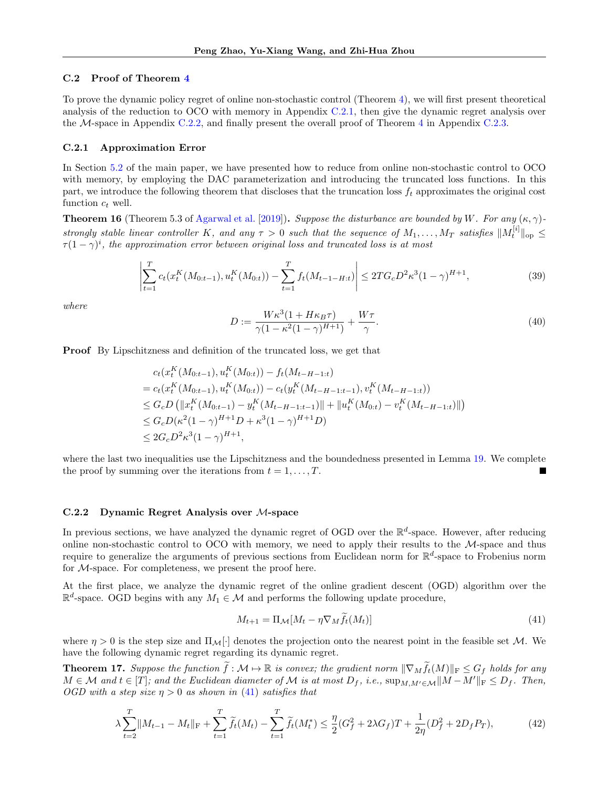#### C.2 Proof of Theorem [4](#page-8-4)

To prove the dynamic policy regret of online non-stochastic control (Theorem [4\)](#page-8-4), we will first present theoretical analysis of the reduction to OCO with memory in Appendix [C.2.1,](#page-22-1) then give the dynamic regret analysis over the  $M$ -space in Appendix [C.2.2,](#page-22-2) and finally present the overall proof of Theorem [4](#page-8-4) in Appendix [C.2.3.](#page-23-0)

#### <span id="page-22-1"></span>C.2.1 Approximation Error

In Section [5.2](#page-7-4) of the main paper, we have presented how to reduce from online non-stochastic control to OCO with memory, by employing the DAC parameterization and introducing the truncated loss functions. In this part, we introduce the following theorem that discloses that the truncation loss  $f_t$  approximates the original cost function  $c_t$  well.

<span id="page-22-3"></span>**Theorem 16** (Theorem 5.3 of [Agarwal et al.](#page-9-0) [\[2019\]](#page-9-0)). Suppose the disturbance are bounded by W. For any  $(\kappa, \gamma)$ strongly stable linear controller K, and any  $\tau > 0$  such that the sequence of  $M_1, \ldots, M_T$  satisfies  $||M_t^{[i]}||_{op} \leq$  $\tau (1 - \gamma)^i$ , the approximation error between original loss and truncated loss is at most

$$
\left| \sum_{t=1}^{T} c_t(x_t^K(M_{0:t-1}), u_t^K(M_{0:t})) - \sum_{t=1}^{T} f_t(M_{t-1-H:t}) \right| \le 2T G_c D^2 \kappa^3 (1 - \gamma)^{H+1}, \tag{39}
$$

where

<span id="page-22-5"></span>
$$
D := \frac{W\kappa^3(1 + H\kappa_B\tau)}{\gamma(1 - \kappa^2(1 - \gamma)^{H+1})} + \frac{W\tau}{\gamma}.
$$
\n(40)

Proof By Lipschitzness and definition of the truncated loss, we get that

$$
c_t(x_t^K(M_{0:t-1}), u_t^K(M_{0:t})) - f_t(M_{t-H-1:t})
$$
  
=  $c_t(x_t^K(M_{0:t-1}), u_t^K(M_{0:t})) - c_t(y_t^K(M_{t-H-1:t-1}), v_t^K(M_{t-H-1:t}))$   
 $\leq G_c D(\|x_t^K(M_{0:t-1}) - y_t^K(M_{t-H-1:t-1})\| + \|u_t^K(M_{0:t}) - v_t^K(M_{t-H-1:t})\|)$   
 $\leq G_c D(\kappa^2 (1-\gamma)^{H+1} D + \kappa^3 (1-\gamma)^{H+1} D)$   
 $\leq 2G_c D^2 \kappa^3 (1-\gamma)^{H+1},$ 

where the last two inequalities use the Lipschitzness and the boundedness presented in Lemma [19.](#page-26-0) We complete the proof by summing over the iterations from  $t = 1, \ldots, T$ .

#### <span id="page-22-2"></span>C.2.2 Dynamic Regret Analysis over M-space

In previous sections, we have analyzed the dynamic regret of OGD over the  $\mathbb{R}^d$ -space. However, after reducing online non-stochastic control to OCO with memory, we need to apply their results to the  $M$ -space and thus require to generalize the arguments of previous sections from Euclidean norm for  $\mathbb{R}^d$ -space to Frobenius norm for M-space. For completeness, we present the proof here.

At the first place, we analyze the dynamic regret of the online gradient descent (OGD) algorithm over the  $\mathbb{R}^d$ -space. OGD begins with any  $M_1 \in \mathcal{M}$  and performs the following update procedure,

<span id="page-22-0"></span>
$$
M_{t+1} = \Pi_{\mathcal{M}}[M_t - \eta \nabla_M \hat{f}_t(M_t)] \tag{41}
$$

where  $\eta > 0$  is the step size and  $\Pi_{\mathcal{M}}[\cdot]$  denotes the projection onto the nearest point in the feasible set M. We have the following dynamic regret regarding its dynamic regret.

<span id="page-22-4"></span>**Theorem 17.** Suppose the function  $\tilde{f}: \mathcal{M} \to \mathbb{R}$  is convex; the gradient norm  $\|\nabla_M \tilde{f}_t(M)\|_F \leq G_f$  holds for any  $M \in \mathcal{M}$  and  $t \in [T]$ ; and the Euclidean diameter of  $\mathcal M$  is at most  $D_f$ , i.e.,  $\sup_{M,M' \in \mathcal M} ||M - M'||_F \leq D_f$ . Then, OGD with a step size  $\eta > 0$  as shown in [\(41\)](#page-22-0) satisfies that

$$
\lambda \sum_{t=2}^{T} \|M_{t-1} - M_t\|_{\mathcal{F}} + \sum_{t=1}^{T} \widetilde{f}_t(M_t) - \sum_{t=1}^{T} \widetilde{f}_t(M_t^*) \leq \frac{\eta}{2} (G_f^2 + 2\lambda G_f) T + \frac{1}{2\eta} (D_f^2 + 2D_f P_T),\tag{42}
$$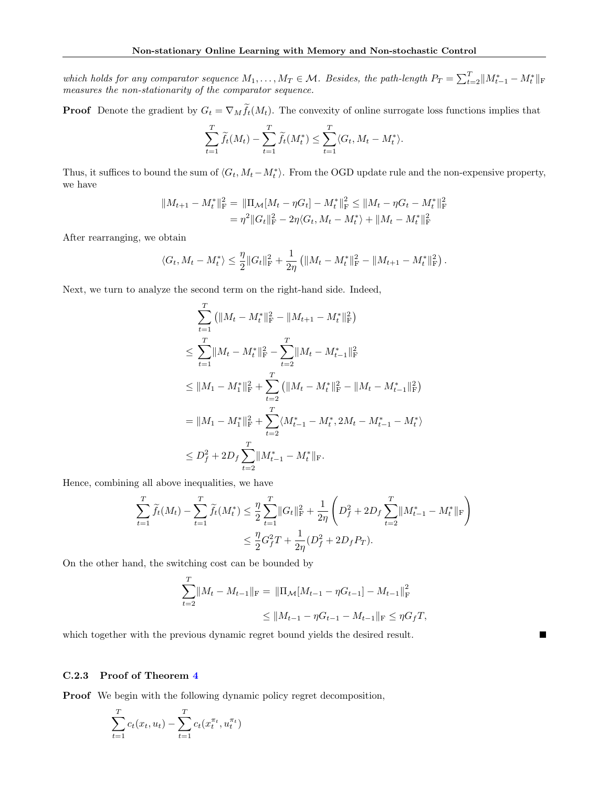which holds for any comparator sequence  $M_1, \ldots, M_T \in \mathcal{M}$ . Besides, the path-length  $P_T = \sum_{t=2}^T ||M_{t-1}^* - M_t^*||_F$ measures the non-stationarity of the comparator sequence.

**Proof** Denote the gradient by  $G_t = \nabla_M \tilde{f}_t(M_t)$ . The convexity of online surrogate loss functions implies that

$$
\sum_{t=1}^T \widetilde{f}_t(M_t) - \sum_{t=1}^T \widetilde{f}_t(M_t^*) \le \sum_{t=1}^T \langle G_t, M_t - M_t^* \rangle.
$$

Thus, it suffices to bound the sum of  $\langle G_t, M_t - M_t^* \rangle$ . From the OGD update rule and the non-expensive property, we have

$$
||M_{t+1} - M_t^*||_F^2 = ||\Pi_{\mathcal{M}}[M_t - \eta G_t] - M_t^*||_F^2 \le ||M_t - \eta G_t - M_t^*||_F^2
$$
  
=  $\eta^2 ||G_t||_F^2 - 2\eta \langle G_t, M_t - M_t^* \rangle + ||M_t - M_t^*||_F^2$ 

After rearranging, we obtain

$$
\langle G_t, M_t - M_t^* \rangle \leq \frac{\eta}{2} \| G_t \|_{\mathrm{F}}^2 + \frac{1}{2\eta} \left( \| M_t - M_t^* \|_{\mathrm{F}}^2 - \| M_{t+1} - M_t^* \|_{\mathrm{F}}^2 \right).
$$

Next, we turn to analyze the second term on the right-hand side. Indeed,

$$
\sum_{t=1}^{T} (||M_t - M_t^*||_{\mathrm{F}}^2 - ||M_{t+1} - M_t^*||_{\mathrm{F}}^2)
$$
\n
$$
\leq \sum_{t=1}^{T} ||M_t - M_t^*||_{\mathrm{F}}^2 - \sum_{t=2}^{T} ||M_t - M_{t-1}^*||_{\mathrm{F}}^2
$$
\n
$$
\leq ||M_1 - M_1^*||_{\mathrm{F}}^2 + \sum_{t=2}^{T} (||M_t - M_t^*||_{\mathrm{F}}^2 - ||M_t - M_{t-1}^*||_{\mathrm{F}}^2)
$$
\n
$$
= ||M_1 - M_1^*||_{\mathrm{F}}^2 + \sum_{t=2}^{T} \langle M_{t-1}^* - M_t^*, 2M_t - M_{t-1}^* - M_t^* \rangle
$$
\n
$$
\leq D_f^2 + 2D_f \sum_{t=2}^{T} ||M_{t-1}^* - M_t^*||_{\mathrm{F}}.
$$

Hence, combining all above inequalities, we have

$$
\sum_{t=1}^{T} \widetilde{f}_{t}(M_{t}) - \sum_{t=1}^{T} \widetilde{f}_{t}(M_{t}^{*}) \leq \frac{\eta}{2} \sum_{t=1}^{T} ||G_{t}||_{\mathrm{F}}^{2} + \frac{1}{2\eta} \left( D_{f}^{2} + 2D_{f} \sum_{t=2}^{T} ||M_{t-1}^{*} - M_{t}^{*}||_{\mathrm{F}} \right) \leq \frac{\eta}{2} G_{f}^{2} T + \frac{1}{2\eta} (D_{f}^{2} + 2D_{f} P_{T}).
$$

On the other hand, the switching cost can be bounded by

$$
\sum_{t=2}^{T} ||M_t - M_{t-1}||_{\mathcal{F}} = ||\Pi_{\mathcal{M}}[M_{t-1} - \eta G_{t-1}] - M_{t-1}||_{\mathcal{F}}^2
$$
  

$$
\leq ||M_{t-1} - \eta G_{t-1} - M_{t-1}||_{\mathcal{F}} \leq \eta G_f T,
$$

Г

which together with the previous dynamic regret bound yields the desired result.

### <span id="page-23-0"></span>C.2.3 Proof of Theorem [4](#page-8-4)

Proof We begin with the following dynamic policy regret decomposition,

$$
\sum_{t=1}^{T} c_t(x_t, u_t) - \sum_{t=1}^{T} c_t(x_t^{\pi_t}, u_t^{\pi_t})
$$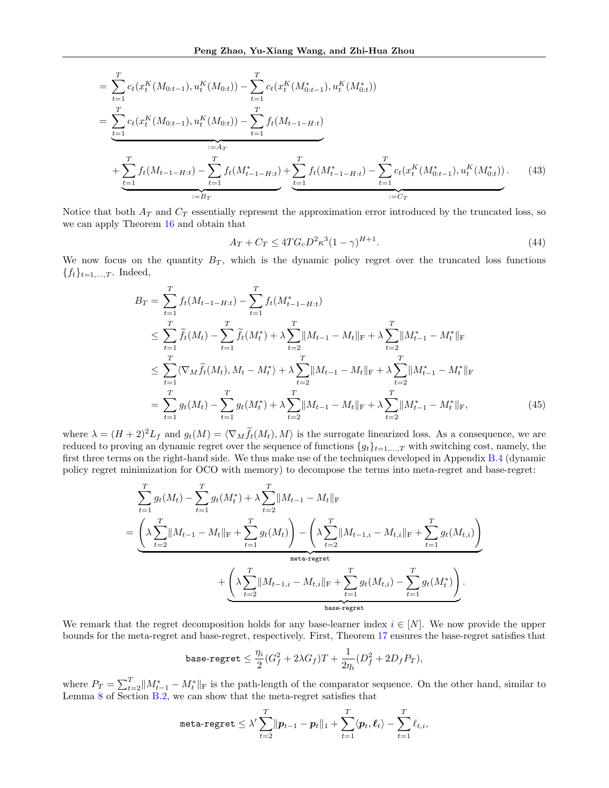$$
= \sum_{t=1}^{T} c_t(x_t^K(M_{0:t-1}), u_t^K(M_{0:t})) - \sum_{t=1}^{T} c_t(x_t^K(M_{0:t-1}), u_t^K(M_{0:t}))
$$
  
\n
$$
= \sum_{t=1}^{T} c_t(x_t^K(M_{0:t-1}), u_t^K(M_{0:t})) - \sum_{t=1}^{T} f_t(M_{t-1-H:t})
$$
  
\n
$$
+ \sum_{t=1}^{T} f_t(M_{t-1-H:t}) - \sum_{t=1}^{T} f_t(M_{t-1-H:t}^*) + \sum_{t=1}^{T} f_t(M_{t-1-H:t}^*) - \sum_{t=1}^{T} c_t(x_t^K(M_{0:t-1}^*), u_t^K(M_{0:t}^*)).
$$
 (43)  
\n
$$
= B_T
$$

Notice that both  $A_T$  and  $C_T$  essentially represent the approximation error introduced by the truncated loss, so we can apply Theorem [16](#page-22-3) and obtain that

<span id="page-24-2"></span><span id="page-24-1"></span><span id="page-24-0"></span>
$$
A_T + C_T \le 4T G_c D^2 \kappa^3 (1 - \gamma)^{H+1}.
$$
\n(44)

We now focus on the quantity  $B_T$ , which is the dynamic policy regret over the truncated loss functions  ${f_t}_{t=1,...,T}$ . Indeed,

$$
B_T = \sum_{t=1}^T f_t(M_{t-1-H:t}) - \sum_{t=1}^T f_t(M_{t-1-H:t}^*)
$$
  
\n
$$
\leq \sum_{t=1}^T \widetilde{f}_t(M_t) - \sum_{t=1}^T \widetilde{f}_t(M_t^*) + \lambda \sum_{t=2}^T \|M_{t-1} - M_t\|_{\mathcal{F}} + \lambda \sum_{t=2}^T \|M_{t-1}^* - M_t^*\|_{\mathcal{F}}
$$
  
\n
$$
\leq \sum_{t=1}^T \langle \nabla_M \widetilde{f}_t(M_t), M_t - M_t^* \rangle + \lambda \sum_{t=2}^T \|M_{t-1} - M_t\|_{\mathcal{F}} + \lambda \sum_{t=2}^T \|M_{t-1}^* - M_t^*\|_{\mathcal{F}}
$$
  
\n
$$
= \sum_{t=1}^T g_t(M_t) - \sum_{t=1}^T g_t(M_t^*) + \lambda \sum_{t=2}^T \|M_{t-1} - M_t\|_{\mathcal{F}} + \lambda \sum_{t=2}^T \|M_{t-1}^* - M_t^*\|_{\mathcal{F}}, \tag{45}
$$

where  $\lambda = (H+2)^2 L_f$  and  $g_t(M) = \langle \nabla_M \tilde{f}_t(M_t), M \rangle$  is the surrogate linearized loss. As a consequence, we are reduced to proving an dynamic regret over the sequence of functions  ${g_t}_{t=1,\ldots,T}$  with switching cost, namely, the first three terms on the right-hand side. We thus make use of the techniques developed in Appendix [B.4](#page-18-0) (dynamic policy regret minimization for OCO with memory) to decompose the terms into meta-regret and base-regret:

$$
\sum_{t=1}^{T} g_t(M_t) - \sum_{t=1}^{T} g_t(M_t^*) + \lambda \sum_{t=2}^{T} \|M_{t-1} - M_t\|_{\mathcal{F}}
$$
  
=  $\underbrace{\left(\lambda \sum_{t=2}^{T} \|M_{t-1} - M_t\|_{\mathcal{F}} + \sum_{t=1}^{T} g_t(M_t)\right) - \left(\lambda \sum_{t=2}^{T} \|M_{t-1,i} - M_{t,i}\|_{\mathcal{F}} + \sum_{t=1}^{T} g_t(M_{t,i})\right)}_{\text{meta-regret}} + \underbrace{\left(\lambda \sum_{t=2}^{T} \|M_{t-1,i} - M_{t,i}\|_{\mathcal{F}} + \sum_{t=1}^{T} g_t(M_{t,i}) - \sum_{t=1}^{T} g_t(M_t^*)\right)}_{\text{base-regret}}.$ 

We remark that the regret decomposition holds for any base-learner index  $i \in [N]$ . We now provide the upper bounds for the meta-regret and base-regret, respectively. First, Theorem [17](#page-22-4) ensures the base-regret satisfies that

$$
\text{base-regret} \leq \frac{\eta_i}{2} (G_f^2 + 2 \lambda G_f) T + \frac{1}{2 \eta_i} (D_f^2 + 2 D_f P_T),
$$

where  $P_T = \sum_{t=2}^T ||M_{t-1}^* - M_t^*||_F$  is the path-length of the comparator sequence. On the other hand, similar to Lemma [8](#page-15-3) of Section [B.2,](#page-15-0) we can show that the meta-regret satisfies that

$$
\texttt{meta-regret} \leq \lambda' \sum_{t=2}^T \lVert \boldsymbol{p}_{t-1} - \boldsymbol{p}_t \rVert_1 + \sum_{t=1}^T \langle \boldsymbol{p}_t, \boldsymbol{\ell}_t \rangle - \sum_{t=1}^T \ell_{t,i},
$$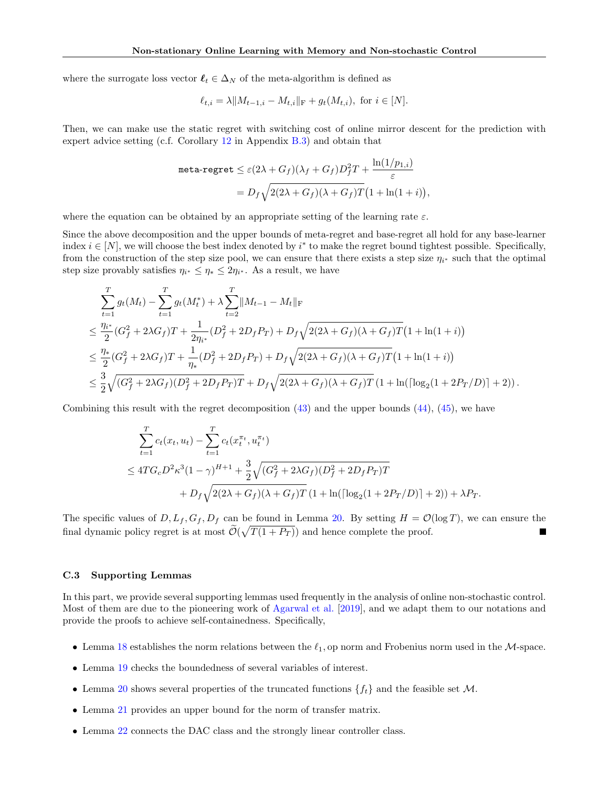where the surrogate loss vector  $\ell_t \in \Delta_N$  of the meta-algorithm is defined as

$$
\ell_{t,i} = \lambda \| M_{t-1,i} - M_{t,i} \|_{\mathcal{F}} + g_t(M_{t,i}),
$$
 for  $i \in [N]$ .

Then, we can make use the static regret with switching cost of online mirror descent for the prediction with expert advice setting (c.f. Corollary [12](#page-17-2) in Appendix [B.3\)](#page-15-1) and obtain that

$$
\begin{aligned} \texttt{meta-regret} &\leq \varepsilon (2\lambda + G_f)(\lambda_f + G_f)D_f^2 T + \frac{\ln(1/p_{1,i})}{\varepsilon} \\ &= D_f \sqrt{2(2\lambda + G_f)(\lambda + G_f)T} \big(1 + \ln(1+i)\big), \end{aligned}
$$

where the equation can be obtained by an appropriate setting of the learning rate  $\varepsilon$ .

Since the above decomposition and the upper bounds of meta-regret and base-regret all hold for any base-learner index  $i \in [N]$ , we will choose the best index denoted by  $i^*$  to make the regret bound tightest possible. Specifically, from the construction of the step size pool, we can ensure that there exists a step size  $\eta_{i^*}$  such that the optimal step size provably satisfies  $\eta_{i^*} \leq \eta_* \leq 2\eta_{i^*}$ . As a result, we have

$$
\sum_{t=1}^{T} g_t(M_t) - \sum_{t=1}^{T} g_t(M_t^*) + \lambda \sum_{t=2}^{T} ||M_{t-1} - M_t||_{\mathrm{F}} \n\leq \frac{\eta_{i^*}}{2} (G_f^2 + 2\lambda G_f)T + \frac{1}{2\eta_{i^*}} (D_f^2 + 2D_f P_T) + D_f \sqrt{2(2\lambda + G_f)(\lambda + G_f)T} \Big(1 + \ln(1 + i)\Big) \n\leq \frac{\eta_{*}}{2} (G_f^2 + 2\lambda G_f)T + \frac{1}{\eta_{*}} (D_f^2 + 2D_f P_T) + D_f \sqrt{2(2\lambda + G_f)(\lambda + G_f)T} \Big(1 + \ln(1 + i)\Big) \n\leq \frac{3}{2} \sqrt{(G_f^2 + 2\lambda G_f)(D_f^2 + 2D_f P_T)T} + D_f \sqrt{2(2\lambda + G_f)(\lambda + G_f)T} \Big(1 + \ln(\lceil \log_2(1 + 2P_T/D) \rceil + 2)\Big).
$$

Combining this result with the regret decomposition  $(43)$  and the upper bounds  $(44)$ ,  $(45)$ , we have

$$
\sum_{t=1}^{T} c_t(x_t, u_t) - \sum_{t=1}^{T} c_t(x_t^{\pi_t}, u_t^{\pi_t})
$$
\n
$$
\leq 4TG_cD^2\kappa^3(1-\gamma)^{H+1} + \frac{3}{2}\sqrt{(G_f^2 + 2\lambda G_f)(D_f^2 + 2D_fP_T)T}
$$
\n
$$
+ D_f\sqrt{2(2\lambda + G_f)(\lambda + G_f)T}(1 + \ln(\lceil \log_2(1 + 2P_T/D) \rceil + 2)) + \lambda P_T.
$$

The specific values of  $D, L_f, G_f, D_f$  can be found in Lemma [20.](#page-28-0) By setting  $H = \mathcal{O}(\log T)$ , we can ensure the final dynamic policy regret is at most  $\mathcal{O}(\sqrt{T(1+P_T)})$  and hence complete the proof.

#### C.3 Supporting Lemmas

In this part, we provide several supporting lemmas used frequently in the analysis of online non-stochastic control. Most of them are due to the pioneering work of [Agarwal et al.](#page-9-0) [\[2019\]](#page-9-0), and we adapt them to our notations and provide the proofs to achieve self-containedness. Specifically,

- Lemma [18](#page-26-1) establishes the norm relations between the  $\ell_1$ , op norm and Frobenius norm used in the M-space.
- Lemma [19](#page-26-0) checks the boundedness of several variables of interest.
- Lemma [20](#page-28-0) shows several properties of the truncated functions  $\{f_t\}$  and the feasible set M.
- Lemma [21](#page-30-0) provides an upper bound for the norm of transfer matrix.
- Lemma [22](#page-30-1) connects the DAC class and the strongly linear controller class.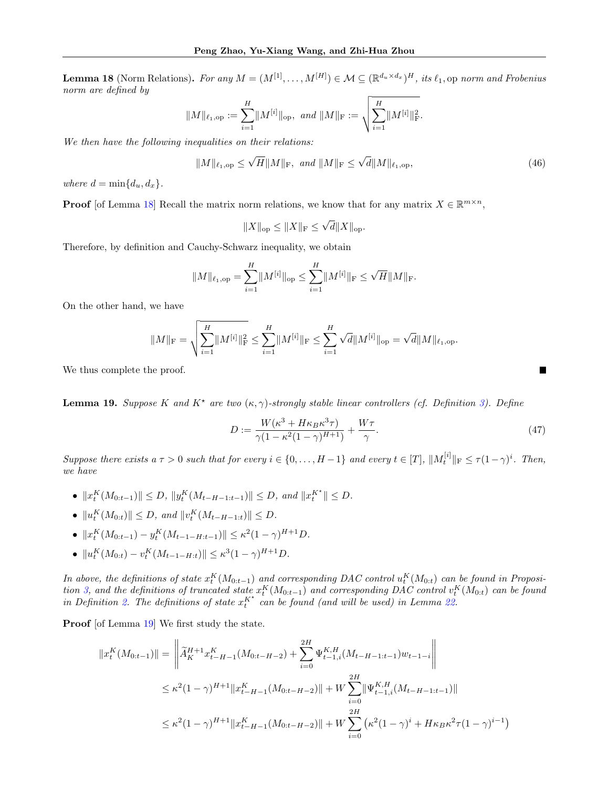<span id="page-26-1"></span>**Lemma 18** (Norm Relations). For any  $M = (M^{[1]}, \ldots, M^{[H]}) \in \mathcal{M} \subseteq (\mathbb{R}^{d_u \times d_x})^H$ , its  $\ell_1$ , op norm and Frobenius norm are defined by

$$
\|M\|_{\ell_1, \mathrm{op}} := \sum_{i=1}^H \|M^{[i]}\|_{\mathrm{op}}, \ \text{and} \ \|M\|_{\mathrm{F}} := \sqrt{\sum_{i=1}^H \|M^{[i]}\|_{\mathrm{F}}^2}.
$$

We then have the following inequalities on their relations:

<span id="page-26-2"></span>
$$
||M||_{\ell_1,op} \le \sqrt{H}||M||_{\mathrm{F}}, \ \ and \ ||M||_{\mathrm{F}} \le \sqrt{d}||M||_{\ell_1,op},\tag{46}
$$

where  $d = \min\{d_u, d_x\}.$ 

**Proof** [of Lemma [18\]](#page-26-1) Recall the matrix norm relations, we know that for any matrix  $X \in \mathbb{R}^{m \times n}$ ,

$$
||X||_{op} \le ||X||_{F} \le \sqrt{d}||X||_{op}.
$$

Therefore, by definition and Cauchy-Schwarz inequality, we obtain

$$
||M||_{\ell_1,op} = \sum_{i=1}^{H} ||M^{[i]}||_{op} \le \sum_{i=1}^{H} ||M^{[i]}||_{F} \le \sqrt{H} ||M||_{F}.
$$

On the other hand, we have

$$
||M||_{\mathrm{F}} = \sqrt{\sum_{i=1}^{H} ||M^{[i]}||_{\mathrm{F}}^{2}} \leq \sum_{i=1}^{H} ||M^{[i]}||_{\mathrm{F}} \leq \sum_{i=1}^{H} \sqrt{d} ||M^{[i]}||_{\mathrm{op}} = \sqrt{d} ||M||_{\ell_{1},\mathrm{op}}.
$$

We thus complete the proof.

<span id="page-26-0"></span>**Lemma 19.** Suppose K and  $K^*$  are two  $(\kappa, \gamma)$ -strongly stable linear controllers (cf. Definition [3\)](#page-13-0). Define

$$
D := \frac{W(\kappa^3 + H\kappa_B \kappa^3 \tau)}{\gamma (1 - \kappa^2 (1 - \gamma)^{H+1})} + \frac{W\tau}{\gamma}.
$$
\n(47)

Suppose there exists a  $\tau > 0$  such that for every  $i \in \{0, \ldots, H-1\}$  and every  $t \in [T]$ ,  $||M_t^{[i]}||_F \leq \tau (1-\gamma)^i$ . Then, we have

- $||x_i^K(M_{0:t-1})|| \leq D, ||y_i^K(M_{t-H-1:t-1})|| \leq D, \text{ and } ||x_i^{K^*}|| \leq D.$
- $||u_t^K(M_{0:t})|| \leq D$ , and  $||v_t^K(M_{t-H-1:t})|| \leq D$ .
- $||x_i^K(M_{0:t-1}) y_i^K(M_{t-1-H:t-1})|| \leq \kappa^2 (1-\gamma)^{H+1} D.$
- $||u_t^K(M_{0:t}) v_t^K(M_{t-1-H:t})|| \leq \kappa^3 (1-\gamma)^{H+1} D.$

In above, the definitions of state  $x_t^K(M_{0:t-1})$  and corresponding DAC control  $u_t^K(M_{0:t})$  can be found in Proposi-tion [3,](#page-7-3) and the definitions of truncated state  $x_t^K(M_{0:t-1})$  and corresponding DAC control  $v_t^K(M_{0:t})$  can be found in Definition [2.](#page-7-2) The definitions of state  $x_t^{K^*}$  can be found (and will be used) in Lemma [22.](#page-30-1)

Proof [of Lemma [19\]](#page-26-0) We first study the state.

$$
||x_t^K(M_{0:t-1})|| = \left\| \widetilde{A}_K^{H+1} x_{t-H-1}^K(M_{0:t-H-2}) + \sum_{i=0}^{2H} \Psi_{t-1,i}^{K,H}(M_{t-H-1:t-1}) w_{t-1-i} \right\|
$$
  

$$
\leq \kappa^2 (1-\gamma)^{H+1} ||x_{t-H-1}^K(M_{0:t-H-2})|| + W \sum_{i=0}^{2H} ||\Psi_{t-1,i}^{K,H}(M_{t-H-1:t-1})||
$$
  

$$
\leq \kappa^2 (1-\gamma)^{H+1} ||x_{t-H-1}^K(M_{0:t-H-2})|| + W \sum_{i=0}^{2H} (\kappa^2 (1-\gamma)^i + H \kappa_B \kappa^2 \tau (1-\gamma)^{i-1})
$$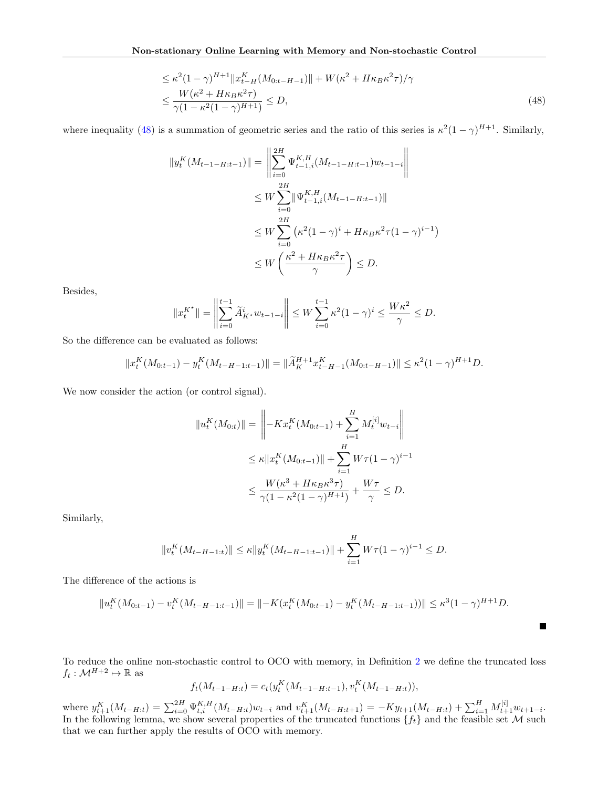$$
\leq \kappa^{2} (1 - \gamma)^{H+1} \|x_{t-H}^{K}(M_{0:t-H-1})\| + W(\kappa^{2} + H\kappa_{B}\kappa^{2}\tau)/\gamma
$$
  

$$
\leq \frac{W(\kappa^{2} + H\kappa_{B}\kappa^{2}\tau)}{\gamma(1 - \kappa^{2}(1 - \gamma)^{H+1})} \leq D,
$$
 (48)

where inequality [\(48\)](#page-27-0) is a summation of geometric series and the ratio of this series is  $\kappa^2(1-\gamma)^{H+1}$ . Similarly,

<span id="page-27-0"></span>
$$
||y_t^K(M_{t-1-H:t-1})|| = \left\| \sum_{i=0}^{2H} \Psi_{t-1,i}^{K,H}(M_{t-1-H:t-1}) w_{t-1-i} \right\|
$$
  
\n
$$
\leq W \sum_{i=0}^{2H} ||\Psi_{t-1,i}^{K,H}(M_{t-1-H:t-1})||
$$
  
\n
$$
\leq W \sum_{i=0}^{2H} (\kappa^2 (1-\gamma)^i + H\kappa_B \kappa^2 \tau (1-\gamma)^{i-1})
$$
  
\n
$$
\leq W \left( \frac{\kappa^2 + H\kappa_B \kappa^2 \tau}{\gamma} \right) \leq D.
$$

Besides,

$$
||x_t^{K^*}|| = \left\|\sum_{i=0}^{t-1} \widetilde{A}_{K^*}^i w_{t-1-i}\right\| \le W \sum_{i=0}^{t-1} \kappa^2 (1-\gamma)^i \le \frac{W\kappa^2}{\gamma} \le D.
$$

So the difference can be evaluated as follows:

$$
||x_t^K(M_{0:t-1}) - y_t^K(M_{t-H-1:t-1})|| = ||\widetilde{A}_K^{H+1} x_{t-H-1}^K(M_{0:t-H-1})|| \le \kappa^2 (1-\gamma)^{H+1} D.
$$

We now consider the action (or control signal).

$$
||u_t^K(M_{0:t})|| = \left\| -Kx_t^K(M_{0:t-1}) + \sum_{i=1}^H M_t^{[i]} w_{t-i} \right\|
$$
  

$$
\leq \kappa ||x_t^K(M_{0:t-1})|| + \sum_{i=1}^H W\tau (1-\gamma)^{i-1}
$$
  

$$
\leq \frac{W(\kappa^3 + H\kappa_B \kappa^3 \tau)}{\gamma (1 - \kappa^2 (1 - \gamma)^{H+1})} + \frac{W\tau}{\gamma} \leq D.
$$

Similarly,

$$
||v_t^K(M_{t-H-1:t})|| \le \kappa ||y_t^K(M_{t-H-1:t-1})|| + \sum_{i=1}^H W\tau (1-\gamma)^{i-1} \le D.
$$

The difference of the actions is

$$
||u_t^K(M_{0:t-1}) - v_t^K(M_{t-H-1:t-1})|| = ||-K(x_t^K(M_{0:t-1}) - y_t^K(M_{t-H-1:t-1}))|| \le \kappa^3 (1-\gamma)^{H+1} D.
$$

L.

To reduce the online non-stochastic control to OCO with memory, in Definition [2](#page-7-2) we define the truncated loss  $f_t: \mathcal{M}^{H+2} \mapsto \mathbb{R}$  as

$$
f_t(M_{t-1-H:t}) = c_t(y_t^K(M_{t-1-H:t-1}), v_t^K(M_{t-1-H:t})),
$$

where  $y_{t+1}^{K}(M_{t-H:t}) = \sum_{i=0}^{2H} \Psi_{t,i}^{K,H}(M_{t-H:t})w_{t-i}$  and  $v_{t+1}^{K}(M_{t-H:t+1}) = -Ky_{t+1}(M_{t-H:t}) + \sum_{i=1}^{H} M_{t+1}^{[i]}w_{t+1-i}$ . In the following lemma, we show several properties of the truncated functions  $\{f_t\}$  and the feasible set M such that we can further apply the results of OCO with memory.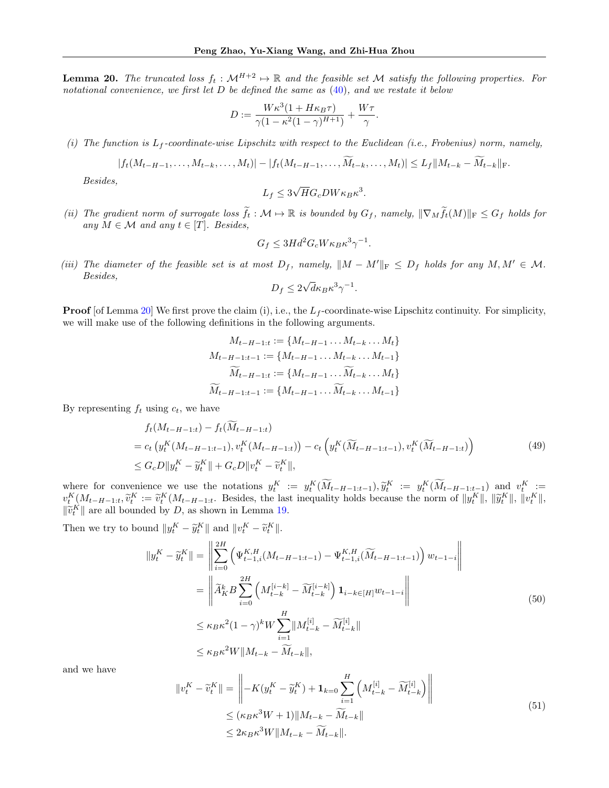<span id="page-28-0"></span>**Lemma 20.** The truncated loss  $f_t : \mathcal{M}^{H+2} \to \mathbb{R}$  and the feasible set M satisfy the following properties. For notational convenience, we first let  $D$  be defined the same as  $(40)$ , and we restate it below

$$
D := \frac{W\kappa^3(1 + H\kappa_B\tau)}{\gamma(1 - \kappa^2(1 - \gamma)^{H+1})} + \frac{W\tau}{\gamma}.
$$

(i) The function is  $L_f$ -coordinate-wise Lipschitz with respect to the Euclidean (i.e., Frobenius) norm, namely,

$$
|f_t(M_{t-H-1},\ldots,M_{t-k},\ldots,M_t)|-|f_t(M_{t-H-1},\ldots,\widetilde{M}_{t-k},\ldots,M_t)|\leq L_f||M_{t-k}-\widetilde{M}_{t-k}||_F.
$$

Besides,

$$
L_f \le 3\sqrt{H}G_cDW\kappa_B\kappa^3.
$$

(ii) The gradient norm of surrogate loss  $\tilde{f}_t : \mathcal{M} \mapsto \mathbb{R}$  is bounded by  $G_f$ , namely,  $\|\nabla_M \tilde{f}_t(M)\|_F \leq G_f$  holds for any  $M \in \mathcal{M}$  and any  $t \in [T]$ . Besides,

$$
G_f \le 3Hd^2 G_c W \kappa_B \kappa^3 \gamma^{-1}.
$$

(iii) The diameter of the feasible set is at most  $D_f$ , namely,  $||M - M'||_F \le D_f$  holds for any  $M, M' \in \mathcal{M}$ . Besides, √

$$
D_f \le 2\sqrt{d\kappa_B\kappa^3\gamma^{-1}}.
$$

**Proof** [of Lemma [20\]](#page-28-0) We first prove the claim (i), i.e., the  $L_f$ -coordinate-wise Lipschitz continuity. For simplicity, we will make use of the following definitions in the following arguments.

$$
M_{t-H-1:t} := \{M_{t-H-1} \dots M_{t-k} \dots M_t\}
$$
  

$$
M_{t-H-1:t-1} := \{M_{t-H-1} \dots M_{t-k} \dots M_{t-1}\}
$$
  

$$
\widetilde{M}_{t-H-1:t} := \{M_{t-H-1} \dots \widetilde{M}_{t-k} \dots M_t\}
$$
  

$$
\widetilde{M}_{t-H-1:t-1} := \{M_{t-H-1} \dots \widetilde{M}_{t-k} \dots M_{t-1}\}
$$

<span id="page-28-1"></span>By representing  $f_t$  using  $c_t$ , we have

$$
f_t(M_{t-H-1:t}) - f_t(M_{t-H-1:t})
$$
  
=  $c_t \left( y_t^K(M_{t-H-1:t-1}), v_t^K(M_{t-H-1:t}) \right) - c_t \left( y_t^K(\widetilde{M}_{t-H-1:t-1}), v_t^K(\widetilde{M}_{t-H-1:t}) \right)$   
 $\leq G_c D ||y_t^K - \widetilde{y}_t^K|| + G_c D ||v_t^K - \widetilde{v}_t^K||,$  (49)

where for convenience we use the notations  $y_1^K := y_1^K(\tilde{M}_{t-H-1:t-1}), \tilde{y}_1^K := y_1^K(\tilde{M}_{t-H-1:t-1})$  and  $v_1^K :=$ <br> $y_1^K(M_{t-H-1:t-1})$  and  $v_1^K :=$  $v_t^K(M_{t-H-1:t}, \tilde{v}_t^K := \tilde{v}_t^K(M_{t-H-1:t}, \text{ Besides, the last inequality holds because the norm of } ||y_t^K||, ||\tilde{y}_t^K||, ||v_t^K||,$  $\|\widetilde{v}_t^K\|$  are all bounded by D, as shown in Lemma [19.](#page-26-0)

Then we try to bound  $||y_t^K - \tilde{y}_t^K||$  and  $||v_t^K - \tilde{v}_t^K||$ .

<span id="page-28-3"></span>∥v

<span id="page-28-2"></span>
$$
||y_t^K - \widetilde{y}_t^K|| = \left\| \sum_{i=0}^{2H} \left( \Psi_{t-1,i}^{K,H} (M_{t-H-1:t-1}) - \Psi_{t-1,i}^{K,H} (\widetilde{M}_{t-H-1:t-1}) \right) w_{t-1-i} \right\|
$$
  
\n
$$
= \left\| \widetilde{A}_K^k B \sum_{i=0}^{2H} \left( M_{t-k}^{[i-k]} - \widetilde{M}_{t-k}^{[i-k]} \right) \mathbf{1}_{i-k \in [H]} w_{t-1-i} \right\|
$$
  
\n
$$
\leq \kappa_B \kappa^2 (1 - \gamma)^k W \sum_{i=1}^H ||M_{t-k}^{[i]} - \widetilde{M}_{t-k}^{[i]}||
$$
  
\n
$$
\leq \kappa_B \kappa^2 W ||M_{t-k} - \widetilde{M}_{t-k}||,
$$
\n(50)

and we have

$$
|v_t^K - \widetilde{v}_t^K|| = \left\| -K(y_t^K - \widetilde{y}_t^K) + \mathbf{1}_{k=0} \sum_{i=1}^H \left( M_{t-k}^{[i]} - \widetilde{M}_{t-k}^{[i]} \right) \right\|
$$
  
\n
$$
\leq (\kappa_B \kappa^3 W + 1) \| M_{t-k} - \widetilde{M}_{t-k} \|
$$
  
\n
$$
\leq 2\kappa_B \kappa^3 W \| M_{t-k} - \widetilde{M}_{t-k} \|.
$$
\n(51)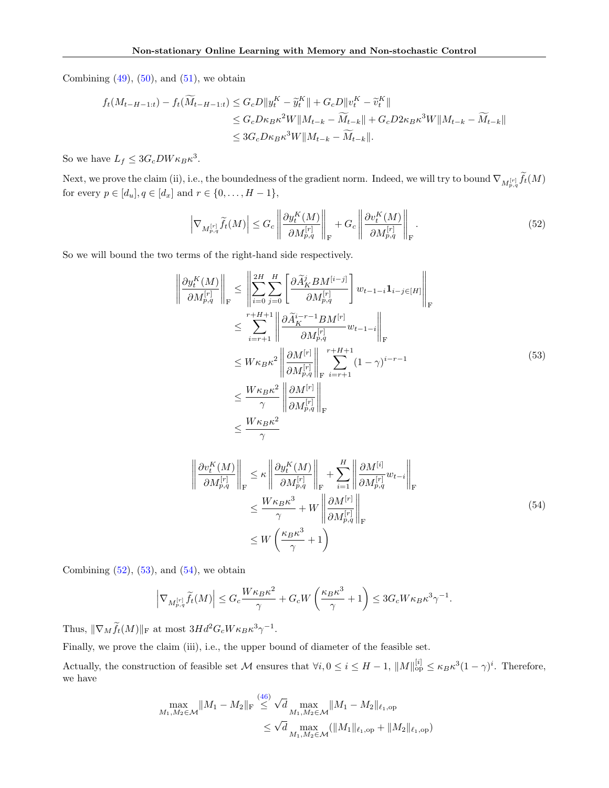Combining  $(49)$ ,  $(50)$ , and  $(51)$ , we obtain

$$
f_t(M_{t-H-1:t}) - f_t(\widetilde{M}_{t-H-1:t}) \le G_c D ||y_t^K - \widetilde{y}_t^K|| + G_c D ||v_t^K - \widetilde{v}_t^K||
$$
  
\n
$$
\le G_c D \kappa_B \kappa^2 W ||M_{t-k} - \widetilde{M}_{t-k}|| + G_c D 2 \kappa_B \kappa^3 W ||M_{t-k} - \widetilde{M}_{t-k}||
$$
  
\n
$$
\le 3 G_c D \kappa_B \kappa^3 W ||M_{t-k} - \widetilde{M}_{t-k}||.
$$

So we have  $L_f \leq 3G_cDW\kappa_B\kappa^3$ .

Next, we prove the claim (ii), i.e., the boundedness of the gradient norm. Indeed, we will try to bound  $\nabla_{M^{[r]}_{p,q}}f_t(M)$ for every  $p \in [d_u]$ ,  $q \in [d_x]$  and  $r \in \{0, ..., H - 1\}$ ,

<span id="page-29-0"></span>
$$
\left|\nabla_{M_{p,q}^{[r]}}\widetilde{f}_{t}(M)\right| \leq G_c \left\|\frac{\partial y_t^K(M)}{\partial M_{p,q}^{[r]}}\right\|_{\mathcal{F}} + G_c \left\|\frac{\partial v_t^K(M)}{\partial M_{p,q}^{[r]}}\right\|_{\mathcal{F}}.\tag{52}
$$

So we will bound the two terms of the right-hand side respectively.

<span id="page-29-1"></span>

$$
\frac{\partial y_{t}^{K}(M)}{\partial M_{p,q}^{[r]}}\Bigg\|_{\mathrm{F}} \leq \left\|\sum_{i=0}^{2H} \sum_{j=0}^{H} \left[\frac{\partial \widetilde{A}_{K}^{j} B M^{[i-j]}}{\partial M_{p,q}^{[r]}}\right] w_{t-1-i} \mathbf{1}_{i-j \in [H]} \right\|_{\mathrm{F}}
$$
\n
$$
\leq \sum_{i=r+1}^{r+H+1} \left\|\frac{\partial \widetilde{A}_{K}^{i-r-1} B M^{[r]}}{\partial M_{p,q}^{[r]}} w_{t-1-i}\right\|_{\mathrm{F}}
$$
\n
$$
\leq W \kappa_{B} \kappa^{2} \left\|\frac{\partial M^{[r]}}{\partial M_{p,q}^{[r]}}\right\|_{\mathrm{F}} \sum_{i=r+1}^{r+H+1} (1-\gamma)^{i-r-1}
$$
\n
$$
\leq \frac{W \kappa_{B} \kappa^{2}}{\gamma} \left\|\frac{\partial M^{[r]}}{\partial M_{p,q}^{[r]}}\right\|_{\mathrm{F}}
$$
\n
$$
\leq \frac{W \kappa_{B} \kappa^{2}}{\gamma}
$$
\n
$$
\leq \frac{W \kappa_{B} \kappa^{2}}{\gamma}
$$
\n(53)

<span id="page-29-2"></span>
$$
\left\| \frac{\partial v_t^K(M)}{\partial M_{p,q}^{[r]}} \right\|_{\mathrm{F}} \le \kappa \left\| \frac{\partial y_t^K(M)}{\partial M_{p,q}^{[r]}} \right\|_{\mathrm{F}} + \sum_{i=1}^H \left\| \frac{\partial M^{[i]}}{\partial M_{p,q}^{[r]}} w_{t-i} \right\|_{\mathrm{F}}
$$
  

$$
\le \frac{W \kappa_B \kappa^3}{\gamma} + W \left\| \frac{\partial M^{[r]}}{\partial M_{p,q}^{[r]}} \right\|_{\mathrm{F}}
$$
  

$$
\le W \left( \frac{\kappa_B \kappa^3}{\gamma} + 1 \right)
$$
 (54)

Combining  $(52)$ ,  $(53)$ , and  $(54)$ , we obtain

$$
\left|\nabla_{M_{p,q}^{[r]}}\widetilde{f}_{t}(M)\right|\leq G_c\frac{W\kappa_B\kappa^2}{\gamma}+G_cW\left(\frac{\kappa_B\kappa^3}{\gamma}+1\right)\leq 3G_cW\kappa_B\kappa^3\gamma^{-1}.
$$

Thus,  $\|\nabla_M \tilde{f}_t(M)\|_{\text{F}}$  at most  $3Hd^2G_cW\kappa_B\kappa^3\gamma^{-1}$ .

Finally, we prove the claim (iii), i.e., the upper bound of diameter of the feasible set.

Actually, the construction of feasible set M ensures that  $\forall i, 0 \leq i \leq H-1$ ,  $||M||_{op}^{[i]} \leq \kappa_B \kappa^3 (1-\gamma)^i$ . Therefore, we have

$$
\max_{M_1, M_2 \in \mathcal{M}} \|M_1 - M_2\|_{\mathrm{F}} \stackrel{(46)}{\leq} \sqrt{d} \max_{M_1, M_2 \in \mathcal{M}} \|M_1 - M_2\|_{\ell_1, \mathrm{op}}
$$
  

$$
\leq \sqrt{d} \max_{M_1, M_2 \in \mathcal{M}} (\|M_1\|_{\ell_1, \mathrm{op}} + \|M_2\|_{\ell_1, \mathrm{op}})
$$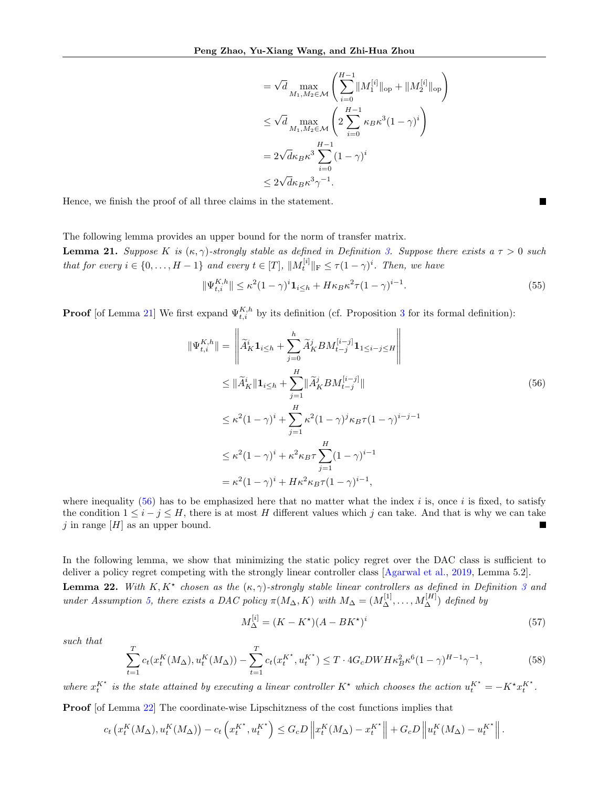$$
= \sqrt{d} \max_{M_1, M_2 \in \mathcal{M}} \left( \sum_{i=0}^{H-1} \| M_1^{[i]} \|_{op} + \| M_2^{[i]} \|_{op} \right)
$$
  
\n
$$
\leq \sqrt{d} \max_{M_1, M_2 \in \mathcal{M}} \left( 2 \sum_{i=0}^{H-1} \kappa_B \kappa^3 (1 - \gamma)^i \right)
$$
  
\n
$$
= 2\sqrt{d} \kappa_B \kappa^3 \sum_{i=0}^{H-1} (1 - \gamma)^i
$$
  
\n
$$
\leq 2\sqrt{d} \kappa_B \kappa^3 \gamma^{-1}.
$$

Hence, we finish the proof of all three claims in the statement.

The following lemma provides an upper bound for the norm of transfer matrix.

<span id="page-30-0"></span>**Lemma 21.** Suppose K is  $(\kappa, \gamma)$ -strongly stable as defined in Definition [3.](#page-13-0) Suppose there exists a  $\tau > 0$  such that for every  $i \in \{0, ..., H-1\}$  and every  $t \in [T]$ ,  $||M_t^{[i]}||_F \leq \tau (1-\gamma)^i$ . Then, we have

<span id="page-30-2"></span>
$$
\|\Psi_{t,i}^{K,h}\| \le \kappa^2 (1-\gamma)^i \mathbf{1}_{i \le h} + H\kappa_B \kappa^2 \tau (1-\gamma)^{i-1}.
$$
\n
$$
(55)
$$

**Proof** [of Lemma [21\]](#page-30-0) We first expand  $\Psi_{t,i}^{K,h}$  by its definition (cf. Proposition [3](#page-7-3) for its formal definition):

$$
\|\Psi_{t,i}^{K,h}\| = \left\|\tilde{A}_K^i \mathbf{1}_{i \leq h} + \sum_{j=0}^h \tilde{A}_K^j BM_{t-j}^{[i-j]} \mathbf{1}_{1 \leq i-j \leq H} \right\|
$$
  
\n
$$
\leq \|\tilde{A}_K^i \|\mathbf{1}_{i \leq h} + \sum_{j=1}^H \|\tilde{A}_K^j BM_{t-j}^{[i-j]} \|
$$
  
\n
$$
\leq \kappa^2 (1 - \gamma)^i + \sum_{j=1}^H \kappa^2 (1 - \gamma)^j \kappa_B \tau (1 - \gamma)^{i-j-1}
$$
  
\n
$$
\leq \kappa^2 (1 - \gamma)^i + \kappa^2 \kappa_B \tau \sum_{j=1}^H (1 - \gamma)^{i-1}
$$
  
\n
$$
= \kappa^2 (1 - \gamma)^i + H \kappa^2 \kappa_B \tau (1 - \gamma)^{i-1},
$$

where inequality [\(56\)](#page-30-2) has to be emphasized here that no matter what the index i is, once i is fixed, to satisfy the condition  $1 \leq i - j \leq H$ , there is at most H different values which j can take. And that is why we can take j in range  $[H]$  as an upper bound. Ξ

<span id="page-30-1"></span>In the following lemma, we show that minimizing the static policy regret over the DAC class is sufficient to deliver a policy regret competing with the strongly linear controller class [\[Agarwal et al.,](#page-9-0) [2019,](#page-9-0) Lemma 5.2]. **Lemma 22.** With  $K, K^*$  chosen as the  $(\kappa, \gamma)$ -strongly stable linear controllers as defined in Definition [3](#page-13-0) and under Assumption [5,](#page-8-5) there exists a DAC policy  $\pi(M_{\Delta}, K)$  with  $M_{\Delta} = (M_{\Delta}^{[1]}, \ldots, M_{\Delta}^{[H]})$  defined by

<span id="page-30-3"></span>
$$
M_{\Delta}^{[i]} = (K - K^*) (A - BK^*)^i
$$
\n(57)

such that

$$
\sum_{t=1}^{T} c_t(x_t^K(M_\Delta), u_t^K(M_\Delta)) - \sum_{t=1}^{T} c_t(x_t^{K^\star}, u_t^{K^\star}) \le T \cdot 4G_c DW H \kappa_B^2 \kappa^6 (1 - \gamma)^{H-1} \gamma^{-1},\tag{58}
$$

where  $x_t^{K^*}$  is the state attained by executing a linear controller  $K^*$  which chooses the action  $u_t^{K^*} = -K^* x_t^{K^*}$ .

Proof [of Lemma [22\]](#page-30-1) The coordinate-wise Lipschitzness of the cost functions implies that

$$
c_t\left(x_t^K(M_\Delta), u_t^K(M_\Delta)\right) - c_t\left(x_t^{K^*}, u_t^{K^*}\right) \leq G_c D \left\|x_t^K(M_\Delta) - x_t^{K^*}\right\| + G_c D \left\|u_t^K(M_\Delta) - u_t^{K^*}\right\|.
$$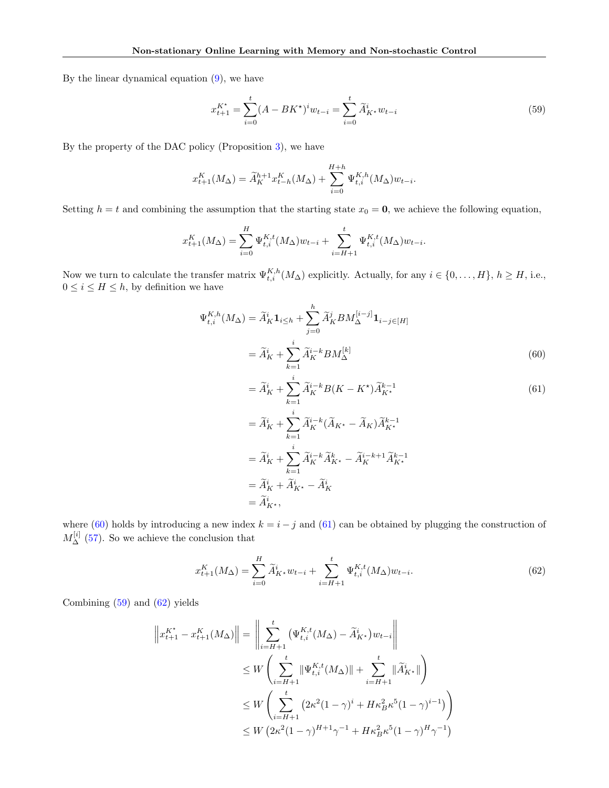By the linear dynamical equation [\(9\)](#page-6-3), we have

<span id="page-31-2"></span>
$$
x_{t+1}^{K^*} = \sum_{i=0}^t (A - BK^*)^i w_{t-i} = \sum_{i=0}^t \widetilde{A}_{K^*}^i w_{t-i}
$$
(59)

By the property of the DAC policy (Proposition [3\)](#page-7-3), we have

$$
x_{t+1}^{K}(M_{\Delta}) = \widetilde{A}_{K}^{h+1} x_{t-h}^{K}(M_{\Delta}) + \sum_{i=0}^{H+h} \Psi_{t,i}^{K,h}(M_{\Delta}) w_{t-i}.
$$

Setting  $h = t$  and combining the assumption that the starting state  $x_0 = 0$ , we achieve the following equation,

$$
x_{t+1}^K(M_\Delta) = \sum_{i=0}^H \Psi_{t,i}^{K,t}(M_\Delta) w_{t-i} + \sum_{i=H+1}^t \Psi_{t,i}^{K,t}(M_\Delta) w_{t-i}.
$$

Now we turn to calculate the transfer matrix  $\Psi_{t,i}^{K,h}(M_\Delta)$  explicitly. Actually, for any  $i \in \{0,\ldots,H\}, h \geq H$ , i.e.,  $0 \leq i \leq H \leq h$ , by definition we have

$$
\Psi_{t,i}^{K,h}(M_{\Delta}) = \widetilde{A}_K^i \mathbf{1}_{i \leq h} + \sum_{j=0}^h \widetilde{A}_K^j BM_{\Delta}^{[i-j]} \mathbf{1}_{i-j \in [H]}
$$

$$
= \widetilde{A}_K^i + \sum_{k=1}^i \widetilde{A}_K^{i-k} BM_{\Delta}^{[k]}
$$
(60)

<span id="page-31-1"></span><span id="page-31-0"></span>
$$
= \widetilde{A}_K^i + \sum_{k=1}^i \widetilde{A}_K^{i-k} B(K - K^*) \widetilde{A}_{K^*}^{k-1}
$$
\n
$$
\tag{61}
$$

$$
= \widetilde{A}_{K}^{i} + \sum_{k=1}^{i} \widetilde{A}_{K}^{i-k} (\widetilde{A}_{K^{\star}} - \widetilde{A}_{K}) \widetilde{A}_{K^{\star}}^{k-1}
$$
  
\n
$$
= \widetilde{A}_{K}^{i} + \sum_{k=1}^{i} \widetilde{A}_{K}^{i-k} \widetilde{A}_{K^{\star}}^{k} - \widetilde{A}_{K}^{i-k+1} \widetilde{A}_{K^{\star}}^{k-1}
$$
  
\n
$$
= \widetilde{A}_{K}^{i} + \widetilde{A}_{K^{\star}}^{i} - \widetilde{A}_{K}^{i}
$$
  
\n
$$
= \widetilde{A}_{K^{\star}}^{i},
$$

where [\(60\)](#page-31-0) holds by introducing a new index  $k = i - j$  and [\(61\)](#page-31-1) can be obtained by plugging the construction of  $M_{\Delta}^{[i]}$  [\(57\)](#page-30-3). So we achieve the conclusion that

<span id="page-31-3"></span>
$$
x_{t+1}^{K}(M_{\Delta}) = \sum_{i=0}^{H} \widetilde{A}_{K^*}^{i} w_{t-i} + \sum_{i=H+1}^{t} \Psi_{t,i}^{K,t}(M_{\Delta}) w_{t-i}.
$$
 (62)

Combining [\(59\)](#page-31-2) and [\(62\)](#page-31-3) yields

$$
\|x_{t+1}^{K^*} - x_{t+1}^K(M_\Delta)\| = \left\|\sum_{i=H+1}^t (\Psi_{t,i}^{K,t}(M_\Delta) - \tilde{A}_{K^*}^i)w_{t-i}\right\|
$$
  
\n
$$
\leq W\left(\sum_{i=H+1}^t \|\Psi_{t,i}^{K,t}(M_\Delta)\| + \sum_{i=H+1}^t \|\tilde{A}_{K^*}^i\|\right)
$$
  
\n
$$
\leq W\left(\sum_{i=H+1}^t (2\kappa^2(1-\gamma)^i + H\kappa_B^2\kappa^5(1-\gamma)^{i-1})\right)
$$
  
\n
$$
\leq W\left(2\kappa^2(1-\gamma)^{H+1}\gamma^{-1} + H\kappa_B^2\kappa^5(1-\gamma)^H\gamma^{-1}\right)
$$